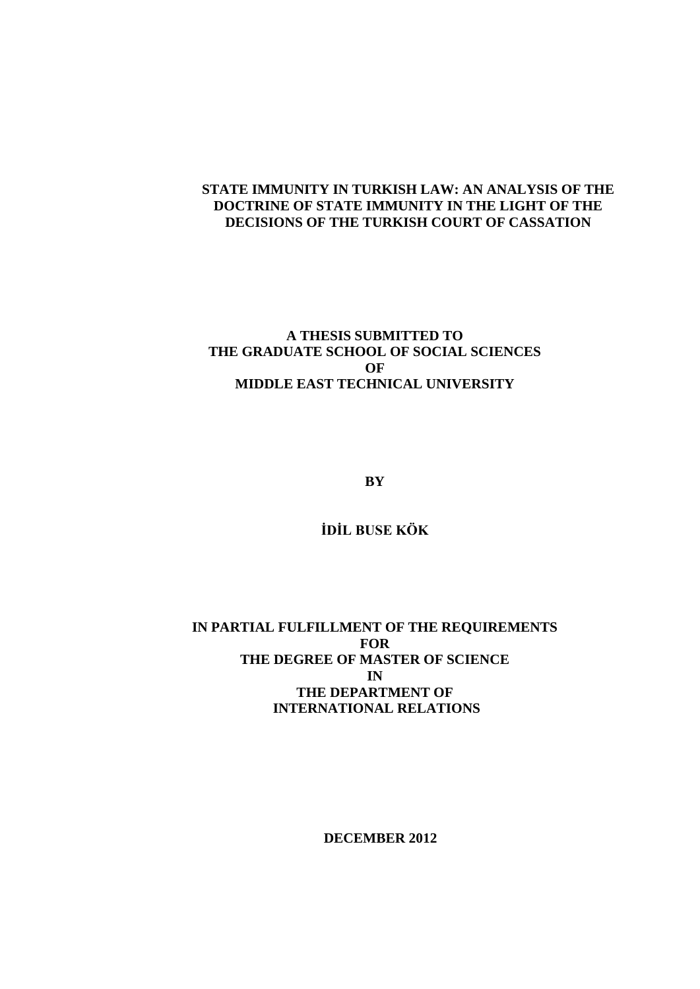# **STATE IMMUNITY IN TURKISH LAW: AN ANALYSIS OF THE DOCTRINE OF STATE IMMUNITY IN THE LIGHT OF THE DECISIONS OF THE TURKISH COURT OF CASSATION**

# **A THESIS SUBMITTED TO THE GRADUATE SCHOOL OF SOCIAL SCIENCES OF MIDDLE EAST TECHNICAL UNIVERSITY**

**BY** 

**İDİL BUSE KÖK**

**IN PARTIAL FULFILLMENT OF THE REQUIREMENTS FOR THE DEGREE OF MASTER OF SCIENCE IN THE DEPARTMENT OF INTERNATIONAL RELATIONS**

 **DECEMBER 2012**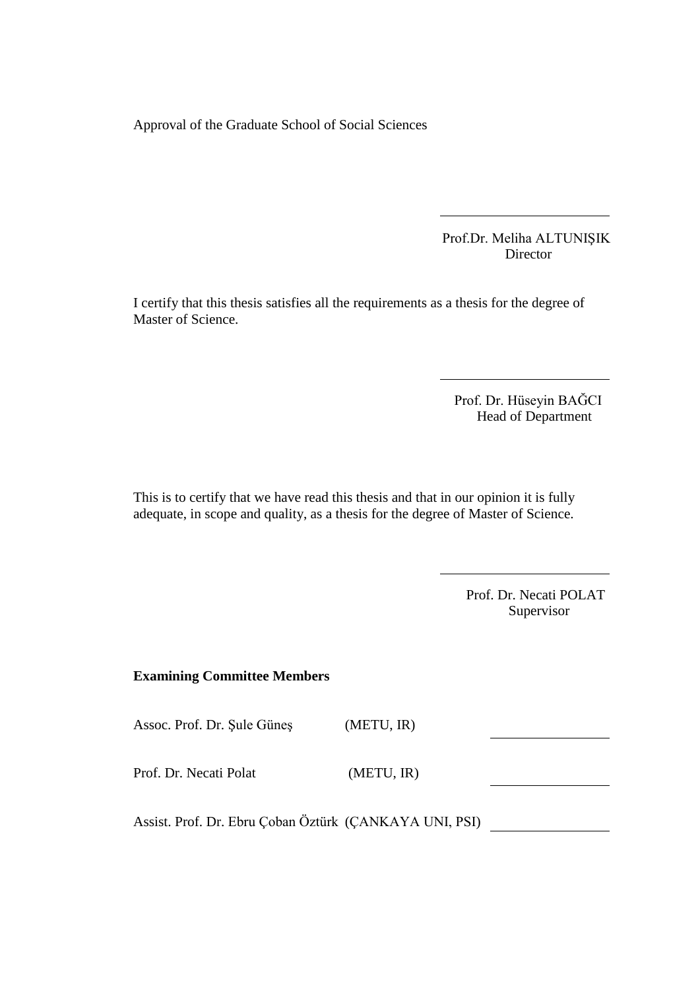Approval of the Graduate School of Social Sciences

 Prof.Dr. Meliha ALTUNIŞIK Director

I certify that this thesis satisfies all the requirements as a thesis for the degree of Master of Science.

> Prof. Dr. Hüseyin BAĞCI Head of Department

This is to certify that we have read this thesis and that in our opinion it is fully adequate, in scope and quality, as a thesis for the degree of Master of Science.

> Prof. Dr. Necati POLAT Supervisor

## **Examining Committee Members**

Assoc. Prof. Dr. Şule Güneş (METU, IR)

Prof. Dr. Necati Polat (METU, IR)

Assist. Prof. Dr. Ebru Çoban Öztürk (ÇANKAYA UNI, PSI)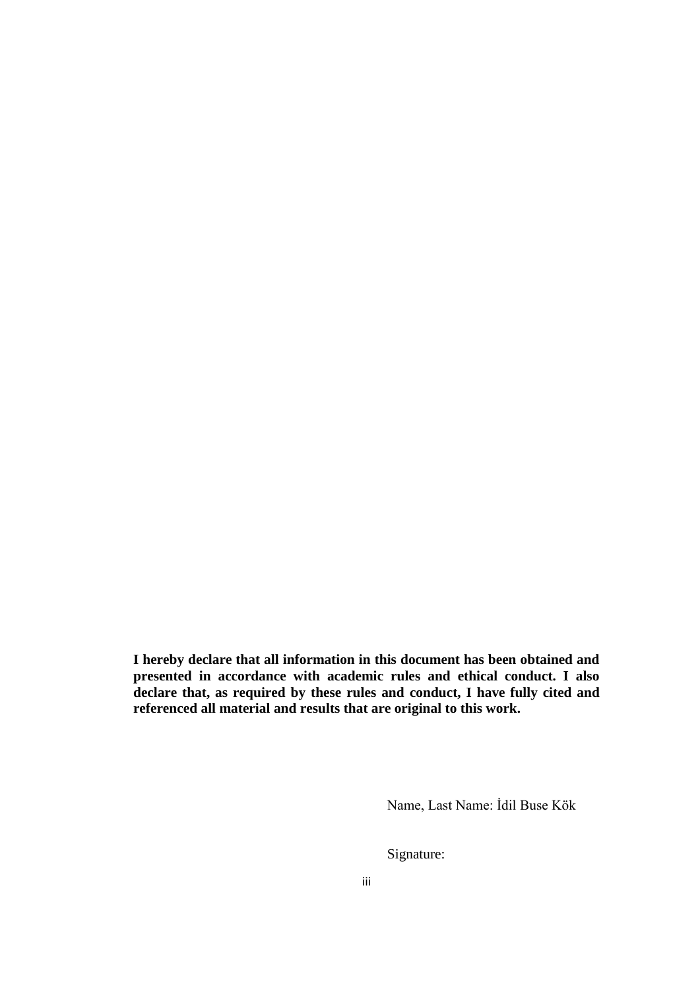**I hereby declare that all information in this document has been obtained and presented in accordance with academic rules and ethical conduct. I also declare that, as required by these rules and conduct, I have fully cited and referenced all material and results that are original to this work.**

Name, Last Name: İdil Buse Kök

Signature: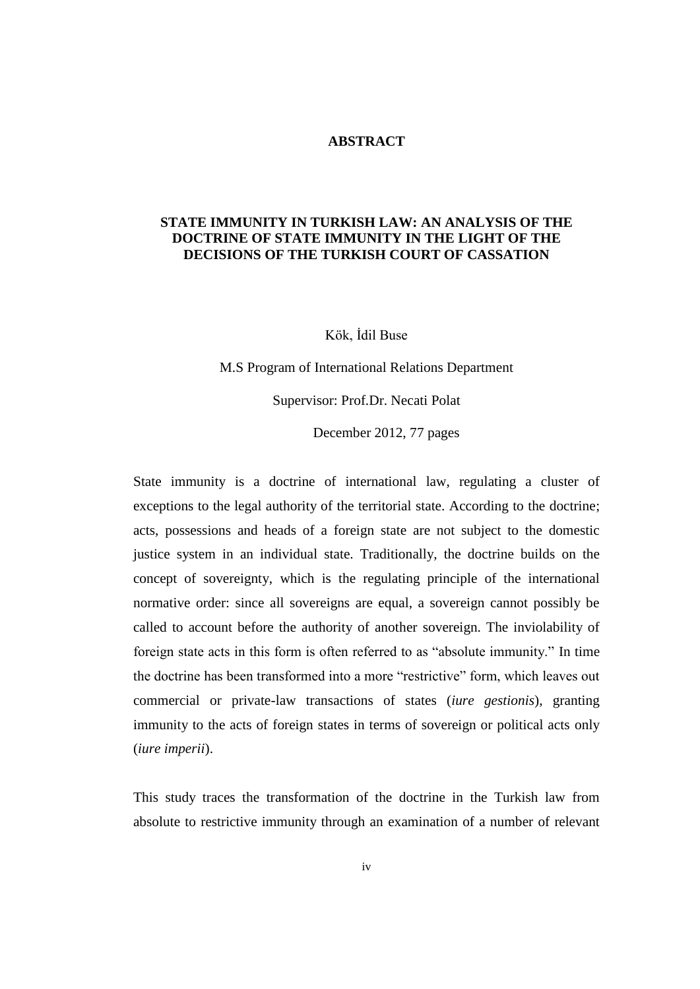#### **ABSTRACT**

## **STATE IMMUNITY IN TURKISH LAW: AN ANALYSIS OF THE DOCTRINE OF STATE IMMUNITY IN THE LIGHT OF THE DECISIONS OF THE TURKISH COURT OF CASSATION**

Kök, İdil Buse

M.S Program of International Relations Department Supervisor: Prof.Dr. Necati Polat

December 2012, 77 pages

State immunity is a doctrine of international law, regulating a cluster of exceptions to the legal authority of the territorial state. According to the doctrine; acts, possessions and heads of a foreign state are not subject to the domestic justice system in an individual state. Traditionally, the doctrine builds on the concept of sovereignty, which is the regulating principle of the international normative order: since all sovereigns are equal, a sovereign cannot possibly be called to account before the authority of another sovereign. The inviolability of foreign state acts in this form is often referred to as "absolute immunity." In time the doctrine has been transformed into a more "restrictive" form, which leaves out commercial or private-law transactions of states (*iure gestionis*), granting immunity to the acts of foreign states in terms of sovereign or political acts only (*iure imperii*).

This study traces the transformation of the doctrine in the Turkish law from absolute to restrictive immunity through an examination of a number of relevant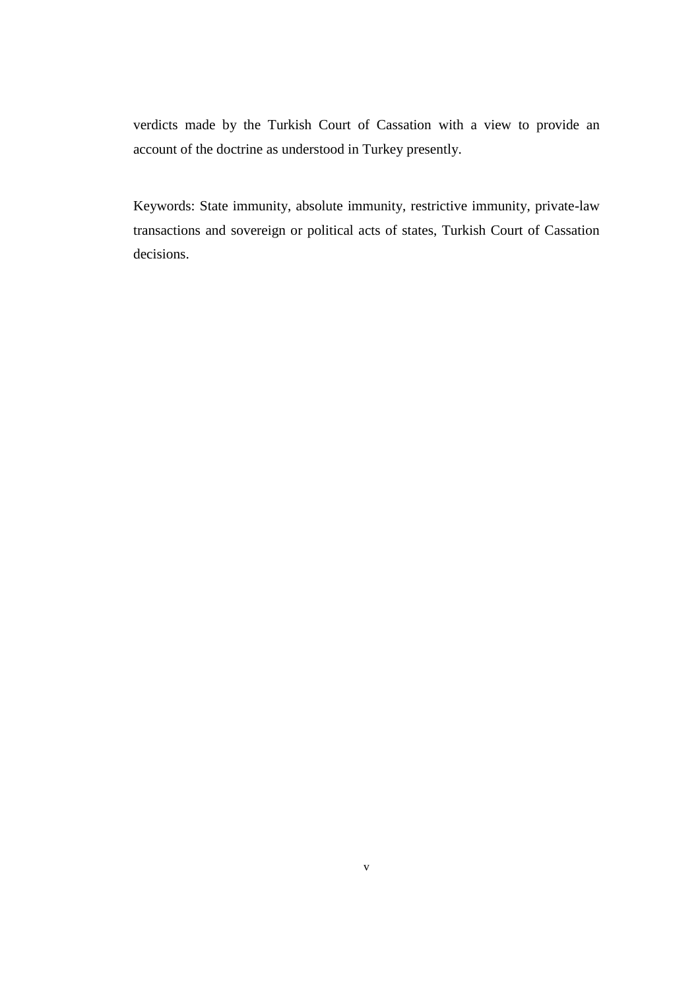verdicts made by the Turkish Court of Cassation with a view to provide an account of the doctrine as understood in Turkey presently.

Keywords: State immunity, absolute immunity, restrictive immunity, private-law transactions and sovereign or political acts of states, Turkish Court of Cassation decisions.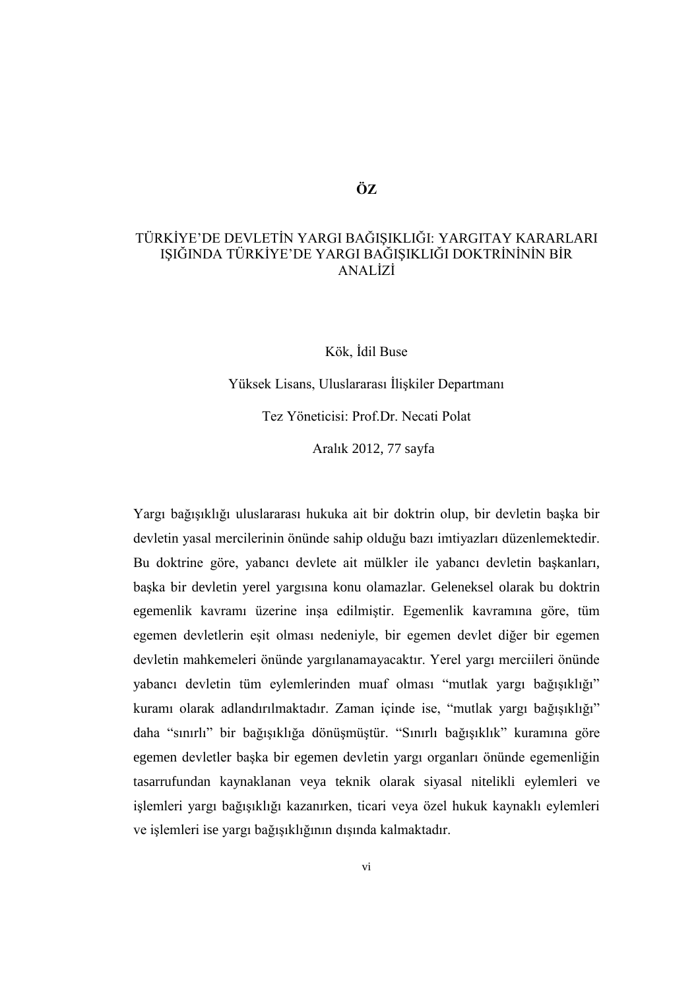## **ÖZ**

# TÜRKİYE'DE DEVLETİN YARGI BAĞIŞIKLIĞI: YARGITAY KARARLARI IŞIĞINDA TÜRKİYE'DE YARGI BAĞIŞIKLIĞI DOKTRİNİNİN BİR ANALİZİ

Kök, İdil Buse

Yüksek Lisans, Uluslararası İlişkiler Departmanı Tez Yöneticisi: Prof.Dr. Necati Polat

Aralık 2012, 77 sayfa

Yargı bağışıklığı uluslararası hukuka ait bir doktrin olup, bir devletin başka bir devletin yasal mercilerinin önünde sahip olduğu bazı imtiyazları düzenlemektedir. Bu doktrine göre, yabancı devlete ait mülkler ile yabancı devletin başkanları, başka bir devletin yerel yargısına konu olamazlar. Geleneksel olarak bu doktrin egemenlik kavramı üzerine inşa edilmiştir. Egemenlik kavramına göre, tüm egemen devletlerin eşit olması nedeniyle, bir egemen devlet diğer bir egemen devletin mahkemeleri önünde yargılanamayacaktır. Yerel yargı merciileri önünde yabancı devletin tüm eylemlerinden muaf olması "mutlak yargı bağışıklığı" kuramı olarak adlandırılmaktadır. Zaman içinde ise, "mutlak yargı bağışıklığı" daha "sınırlı" bir bağışıklığa dönüşmüştür. "Sınırlı bağışıklık" kuramına göre egemen devletler başka bir egemen devletin yargı organları önünde egemenliğin tasarrufundan kaynaklanan veya teknik olarak siyasal nitelikli eylemleri ve işlemleri yargı bağışıklığı kazanırken, ticari veya özel hukuk kaynaklı eylemleri ve işlemleri ise yargı bağışıklığının dışında kalmaktadır.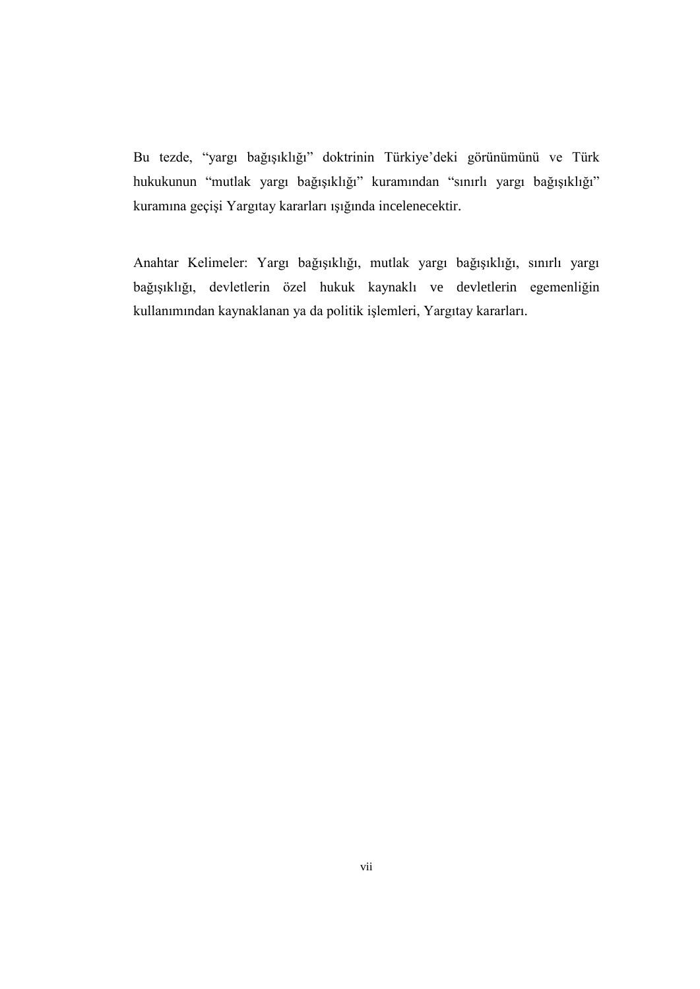Bu tezde, "yargı bağışıklığı" doktrinin Türkiye'deki görünümünü ve Türk hukukunun "mutlak yargı bağışıklığı" kuramından "sınırlı yargı bağışıklığı" kuramına geçişi Yargıtay kararları ışığında incelenecektir.

Anahtar Kelimeler: Yargı bağışıklığı, mutlak yargı bağışıklığı, sınırlı yargı bağışıklığı, devletlerin özel hukuk kaynaklı ve devletlerin egemenliğin kullanımından kaynaklanan ya da politik işlemleri, Yargıtay kararları.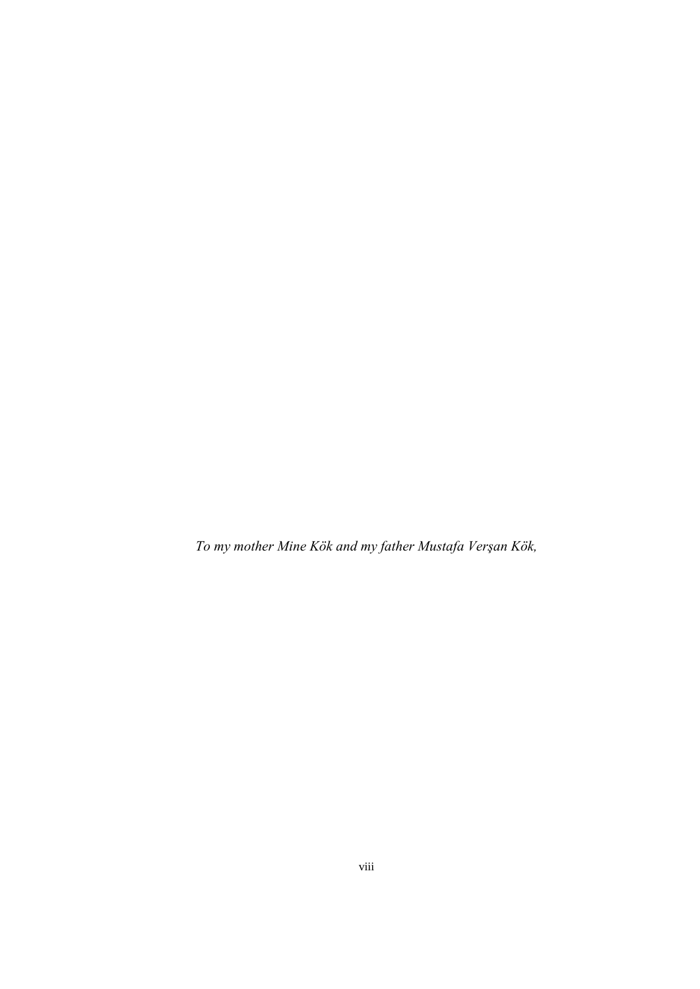*To my mother Mine Kök and my father Mustafa Verşan Kök,*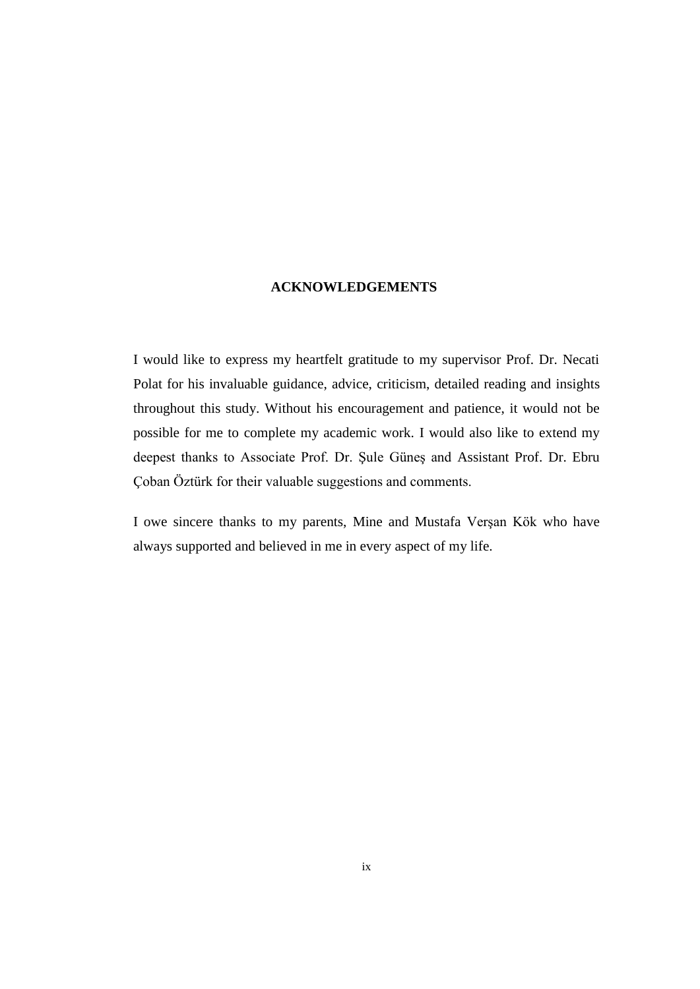#### **ACKNOWLEDGEMENTS**

I would like to express my heartfelt gratitude to my supervisor Prof. Dr. Necati Polat for his invaluable guidance, advice, criticism, detailed reading and insights throughout this study. Without his encouragement and patience, it would not be possible for me to complete my academic work. I would also like to extend my deepest thanks to Associate Prof. Dr. Şule Güneş and Assistant Prof. Dr. Ebru Çoban Öztürk for their valuable suggestions and comments.

I owe sincere thanks to my parents, Mine and Mustafa Verşan Kök who have always supported and believed in me in every aspect of my life.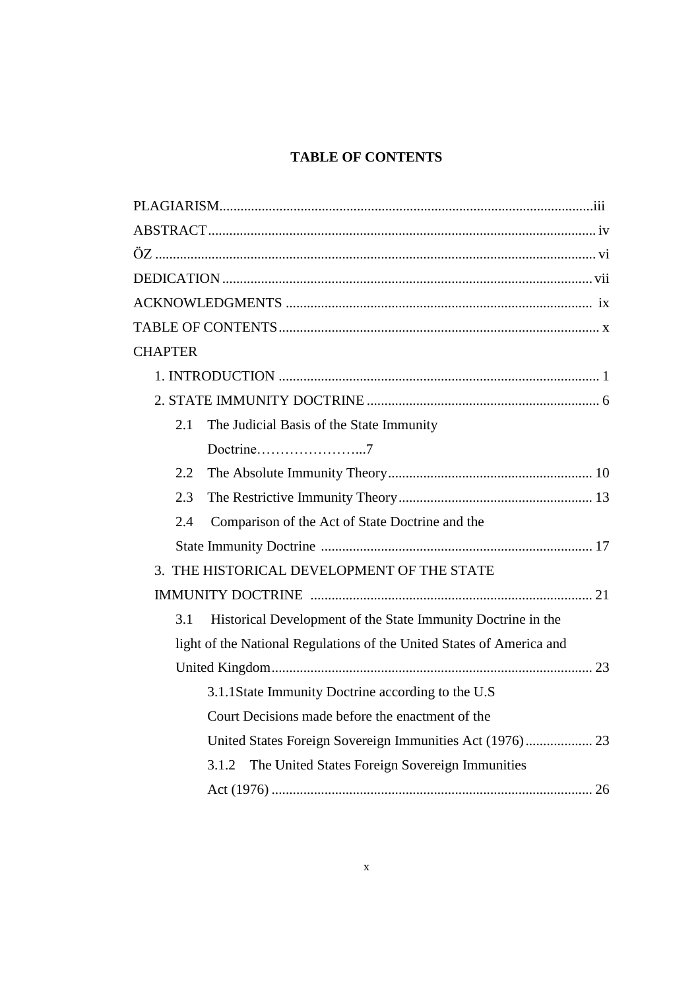# **TABLE OF CONTENTS**

| <b>CHAPTER</b>                                                        |
|-----------------------------------------------------------------------|
|                                                                       |
|                                                                       |
| The Judicial Basis of the State Immunity<br>2.1                       |
|                                                                       |
| 2.2                                                                   |
| 2.3                                                                   |
| Comparison of the Act of State Doctrine and the<br>2.4                |
|                                                                       |
| 3. THE HISTORICAL DEVELOPMENT OF THE STATE                            |
|                                                                       |
| Historical Development of the State Immunity Doctrine in the<br>3.1   |
| light of the National Regulations of the United States of America and |
|                                                                       |
| 3.1.1State Immunity Doctrine according to the U.S                     |
| Court Decisions made before the enactment of the                      |
| United States Foreign Sovereign Immunities Act (1976) 23              |
| 3.1.2 The United States Foreign Sovereign Immunities                  |
|                                                                       |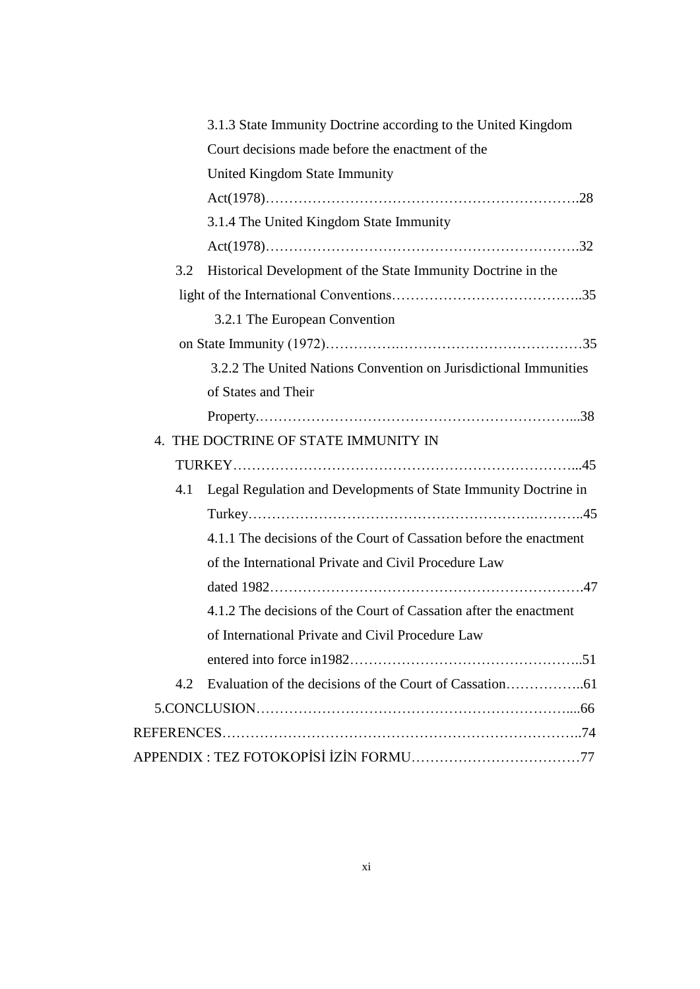|     | 3.1.3 State Immunity Doctrine according to the United Kingdom      |
|-----|--------------------------------------------------------------------|
|     | Court decisions made before the enactment of the                   |
|     | United Kingdom State Immunity                                      |
|     |                                                                    |
|     | 3.1.4 The United Kingdom State Immunity                            |
|     |                                                                    |
| 3.2 | Historical Development of the State Immunity Doctrine in the       |
|     |                                                                    |
|     | 3.2.1 The European Convention                                      |
|     |                                                                    |
|     | 3.2.2 The United Nations Convention on Jurisdictional Immunities   |
|     | of States and Their                                                |
|     |                                                                    |
|     | 4. THE DOCTRINE OF STATE IMMUNITY IN                               |
|     |                                                                    |
| 4.1 | Legal Regulation and Developments of State Immunity Doctrine in    |
|     |                                                                    |
|     | 4.1.1 The decisions of the Court of Cassation before the enactment |
|     | of the International Private and Civil Procedure Law               |
|     |                                                                    |
|     | 4.1.2 The decisions of the Court of Cassation after the enactment  |
|     | of International Private and Civil Procedure Law                   |
|     |                                                                    |
| 4.2 |                                                                    |
|     |                                                                    |
|     |                                                                    |
|     |                                                                    |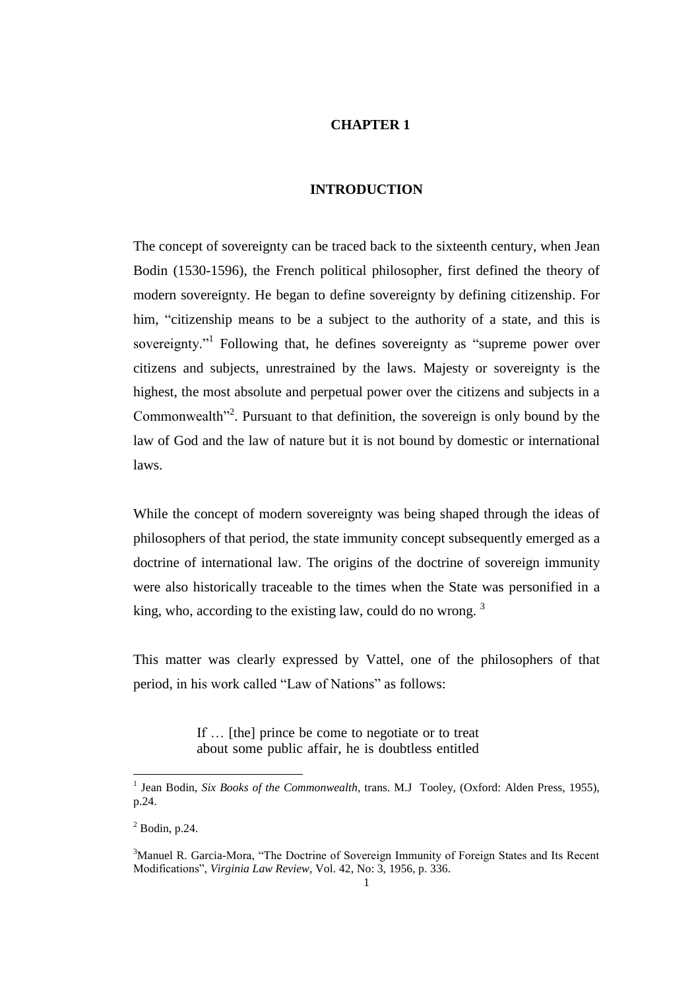## **CHAPTER 1**

## **INTRODUCTION**

The concept of sovereignty can be traced back to the sixteenth century, when Jean Bodin (1530-1596), the French political philosopher, first defined the theory of modern sovereignty. He began to define sovereignty by defining citizenship. For him, "citizenship means to be a subject to the authority of a state, and this is sovereignty."<sup>1</sup> Following that, he defines sovereignty as "supreme power over citizens and subjects, unrestrained by the laws. Majesty or sovereignty is the highest, the most absolute and perpetual power over the citizens and subjects in a Commonwealth $12$ <sup>2</sup>. Pursuant to that definition, the sovereign is only bound by the law of God and the law of nature but it is not bound by domestic or international laws.

While the concept of modern sovereignty was being shaped through the ideas of philosophers of that period, the state immunity concept subsequently emerged as a doctrine of international law. The origins of the doctrine of sovereign immunity were also historically traceable to the times when the State was personified in a king, who, according to the existing law, could do no wrong.  $3$ 

This matter was clearly expressed by Vattel, one of the philosophers of that period, in his work called "Law of Nations" as follows:

> If … [the] prince be come to negotiate or to treat about some public affair, he is doubtless entitled

<sup>&</sup>lt;sup>1</sup> Jean Bodin, *Six Books of the Commonwealth*, trans. M.J Tooley, (Oxford: Alden Press, 1955), p.24.

 $2$  Bodin, p.24.

<sup>&</sup>lt;sup>3</sup>Manuel R. Garcia-Mora, "The Doctrine of Sovereign Immunity of Foreign States and Its Recent Modifications", *Virginia Law Review,* Vol. 42, No: 3, 1956, p. 336.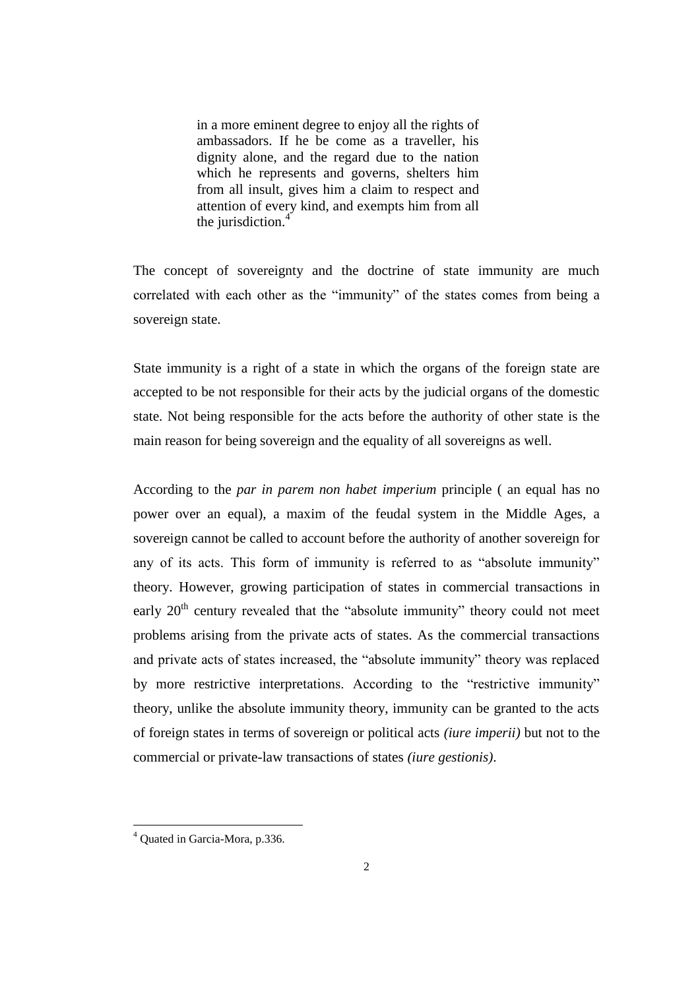in a more eminent degree to enjoy all the rights of ambassadors. If he be come as a traveller, his dignity alone, and the regard due to the nation which he represents and governs, shelters him from all insult, gives him a claim to respect and attention of every kind, and exempts him from all the jurisdiction.<sup>4</sup>

The concept of sovereignty and the doctrine of state immunity are much correlated with each other as the "immunity" of the states comes from being a sovereign state.

State immunity is a right of a state in which the organs of the foreign state are accepted to be not responsible for their acts by the judicial organs of the domestic state. Not being responsible for the acts before the authority of other state is the main reason for being sovereign and the equality of all sovereigns as well.

According to the *par in parem non habet imperium* principle ( an equal has no power over an equal), a maxim of the feudal system in the Middle Ages, a sovereign cannot be called to account before the authority of another sovereign for any of its acts. This form of immunity is referred to as "absolute immunity" theory. However, growing participation of states in commercial transactions in early 20<sup>th</sup> century revealed that the "absolute immunity" theory could not meet problems arising from the private acts of states. As the commercial transactions and private acts of states increased, the "absolute immunity" theory was replaced by more restrictive interpretations. According to the "restrictive immunity" theory, unlike the absolute immunity theory, immunity can be granted to the acts of foreign states in terms of sovereign or political acts *(iure imperii)* but not to the commercial or private-law transactions of states *(iure gestionis)*.

<sup>4</sup> Quated in Garcia-Mora, p.336.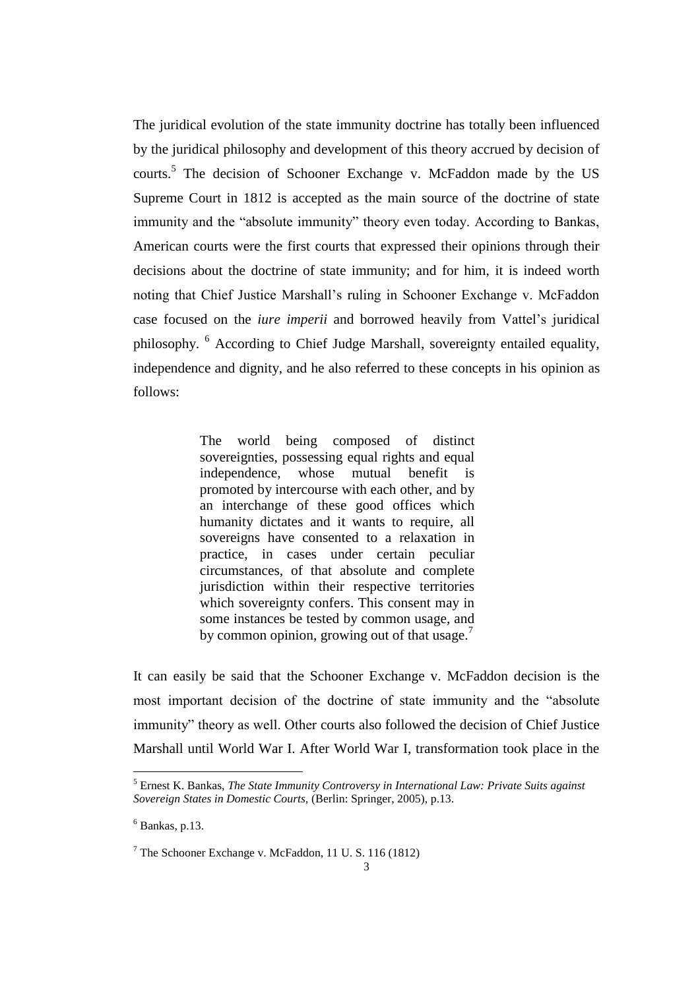The juridical evolution of the state immunity doctrine has totally been influenced by the juridical philosophy and development of this theory accrued by decision of courts.<sup>5</sup> The decision of Schooner Exchange v. McFaddon made by the US Supreme Court in 1812 is accepted as the main source of the doctrine of state immunity and the "absolute immunity" theory even today. According to Bankas, American courts were the first courts that expressed their opinions through their decisions about the doctrine of state immunity; and for him, it is indeed worth noting that Chief Justice Marshall's ruling in Schooner Exchange v. McFaddon case focused on the *iure imperii* and borrowed heavily from Vattel's juridical philosophy. <sup>6</sup> According to Chief Judge Marshall, sovereignty entailed equality, independence and dignity, and he also referred to these concepts in his opinion as follows:

> The world being composed of distinct sovereignties, possessing equal rights and equal independence, whose mutual benefit is promoted by intercourse with each other, and by an interchange of these good offices which humanity dictates and it wants to require, all sovereigns have consented to a relaxation in practice, in cases under certain peculiar circumstances, of that absolute and complete jurisdiction within their respective territories which sovereignty confers. This consent may in some instances be tested by common usage, and by common opinion, growing out of that usage.<sup>7</sup>

It can easily be said that the Schooner Exchange v. McFaddon decision is the most important decision of the doctrine of state immunity and the "absolute immunity" theory as well. Other courts also followed the decision of Chief Justice Marshall until World War I. After World War I, transformation took place in the

<sup>5</sup> Ernest K. Bankas, *The State Immunity Controversy in International Law: Private Suits against Sovereign States in Domestic Courts,* (Berlin: Springer, 2005), p.13.

 $6$  Bankas, p.13.

<sup>7</sup> The Schooner Exchange v. McFaddon, 11 U. S. 116 (1812)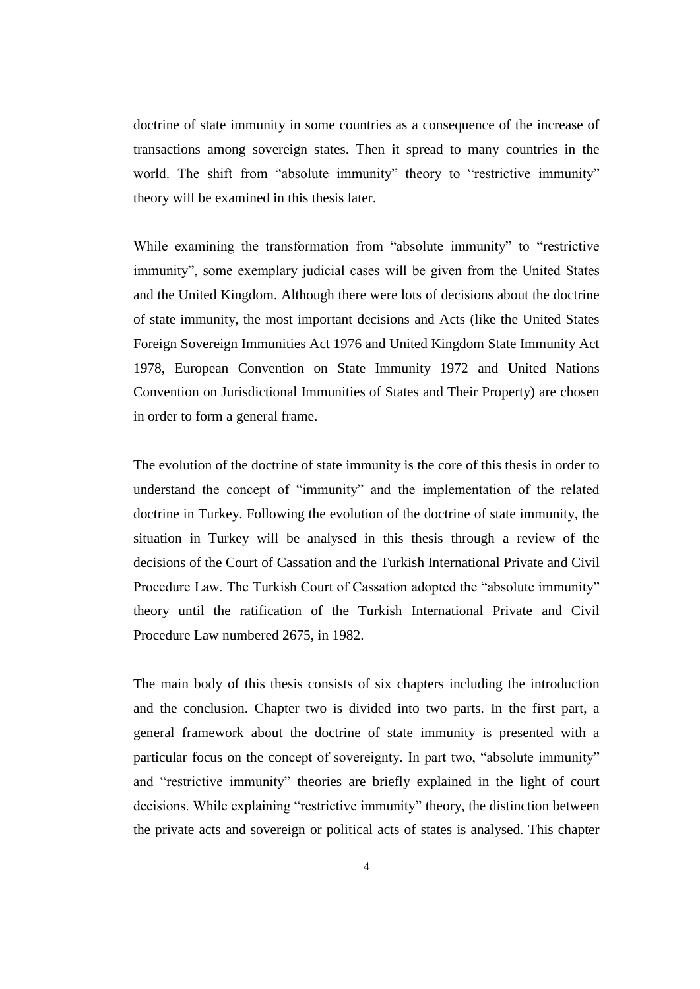doctrine of state immunity in some countries as a consequence of the increase of transactions among sovereign states. Then it spread to many countries in the world. The shift from "absolute immunity" theory to "restrictive immunity" theory will be examined in this thesis later.

While examining the transformation from "absolute immunity" to "restrictive immunity", some exemplary judicial cases will be given from the United States and the United Kingdom. Although there were lots of decisions about the doctrine of state immunity, the most important decisions and Acts (like the United States Foreign Sovereign Immunities Act 1976 and United Kingdom State Immunity Act 1978, European Convention on State Immunity 1972 and United Nations Convention on Jurisdictional Immunities of States and Their Property) are chosen in order to form a general frame.

The evolution of the doctrine of state immunity is the core of this thesis in order to understand the concept of "immunity" and the implementation of the related doctrine in Turkey. Following the evolution of the doctrine of state immunity, the situation in Turkey will be analysed in this thesis through a review of the decisions of the Court of Cassation and the Turkish International Private and Civil Procedure Law. The Turkish Court of Cassation adopted the "absolute immunity" theory until the ratification of the Turkish International Private and Civil Procedure Law numbered 2675, in 1982.

The main body of this thesis consists of six chapters including the introduction and the conclusion. Chapter two is divided into two parts. In the first part, a general framework about the doctrine of state immunity is presented with a particular focus on the concept of sovereignty. In part two, "absolute immunity" and "restrictive immunity" theories are briefly explained in the light of court decisions. While explaining "restrictive immunity" theory, the distinction between the private acts and sovereign or political acts of states is analysed. This chapter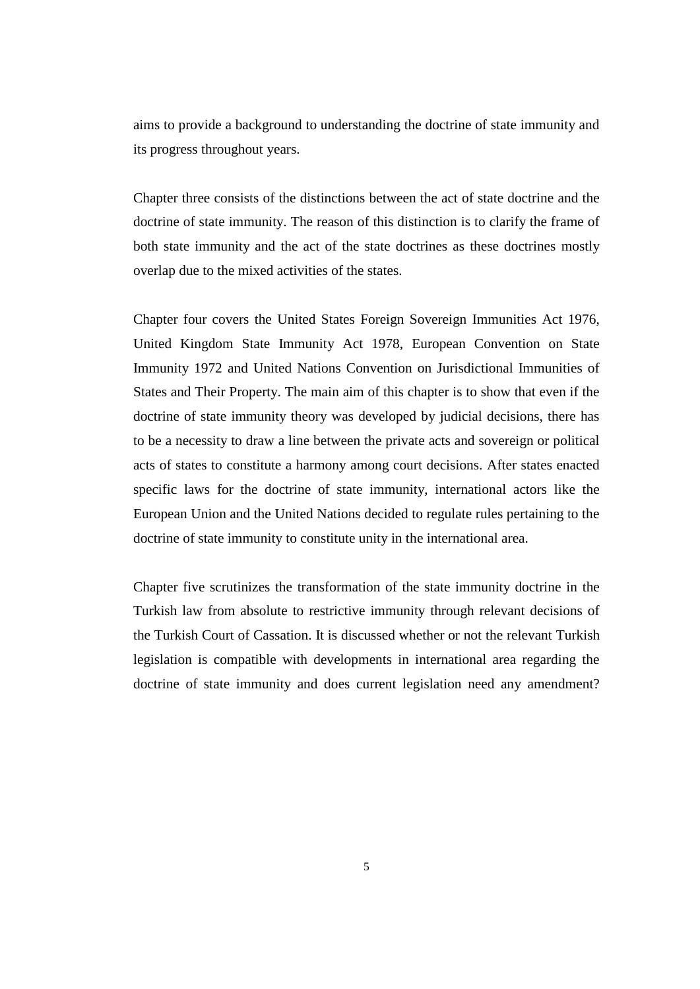aims to provide a background to understanding the doctrine of state immunity and its progress throughout years.

Chapter three consists of the distinctions between the act of state doctrine and the doctrine of state immunity. The reason of this distinction is to clarify the frame of both state immunity and the act of the state doctrines as these doctrines mostly overlap due to the mixed activities of the states.

Chapter four covers the United States Foreign Sovereign Immunities Act 1976, United Kingdom State Immunity Act 1978, European Convention on State Immunity 1972 and United Nations Convention on Jurisdictional Immunities of States and Their Property. The main aim of this chapter is to show that even if the doctrine of state immunity theory was developed by judicial decisions, there has to be a necessity to draw a line between the private acts and sovereign or political acts of states to constitute a harmony among court decisions. After states enacted specific laws for the doctrine of state immunity, international actors like the European Union and the United Nations decided to regulate rules pertaining to the doctrine of state immunity to constitute unity in the international area.

Chapter five scrutinizes the transformation of the state immunity doctrine in the Turkish law from absolute to restrictive immunity through relevant decisions of the Turkish Court of Cassation. It is discussed whether or not the relevant Turkish legislation is compatible with developments in international area regarding the doctrine of state immunity and does current legislation need any amendment?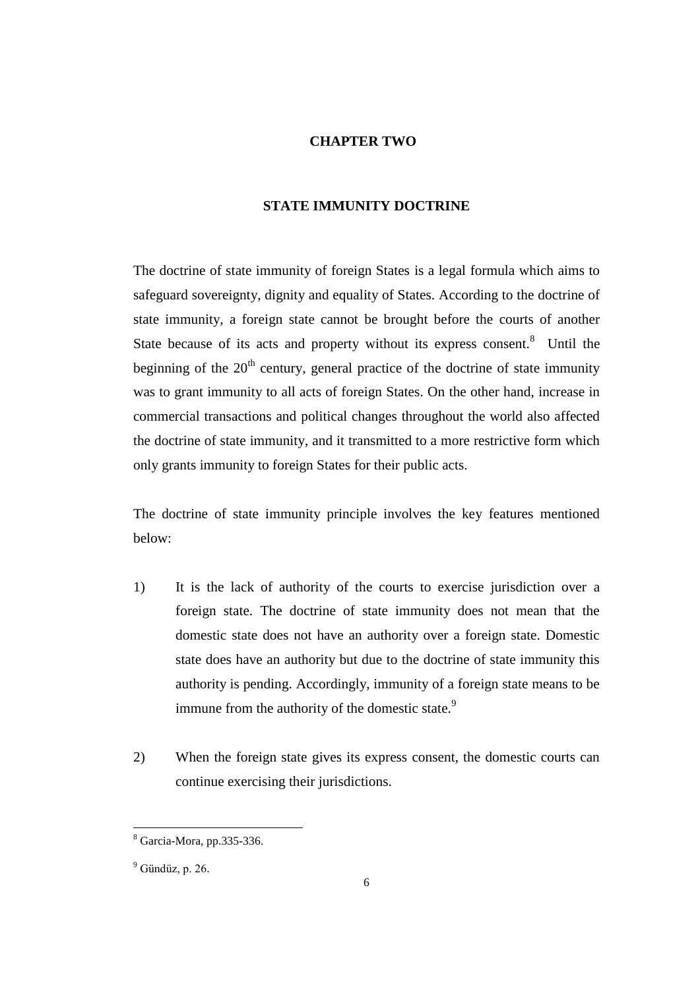#### **CHAPTER TWO**

#### **STATE IMMUNITY DOCTRINE**

The doctrine of state immunity of foreign States is a legal formula which aims to safeguard sovereignty, dignity and equality of States. According to the doctrine of state immunity, a foreign state cannot be brought before the courts of another State because of its acts and property without its express consent. $8$  Until the beginning of the  $20<sup>th</sup>$  century, general practice of the doctrine of state immunity was to grant immunity to all acts of foreign States. On the other hand, increase in commercial transactions and political changes throughout the world also affected the doctrine of state immunity, and it transmitted to a more restrictive form which only grants immunity to foreign States for their public acts.

The doctrine of state immunity principle involves the key features mentioned below:

- 1) It is the lack of authority of the courts to exercise jurisdiction over a foreign state. The doctrine of state immunity does not mean that the domestic state does not have an authority over a foreign state. Domestic state does have an authority but due to the doctrine of state immunity this authority is pending. Accordingly, immunity of a foreign state means to be immune from the authority of the domestic state.<sup>9</sup>
- 2) When the foreign state gives its express consent, the domestic courts can continue exercising their jurisdictions.

<sup>8</sup> Garcia-Mora, pp.335-336.

 $<sup>9</sup>$  Gündüz, p. 26.</sup>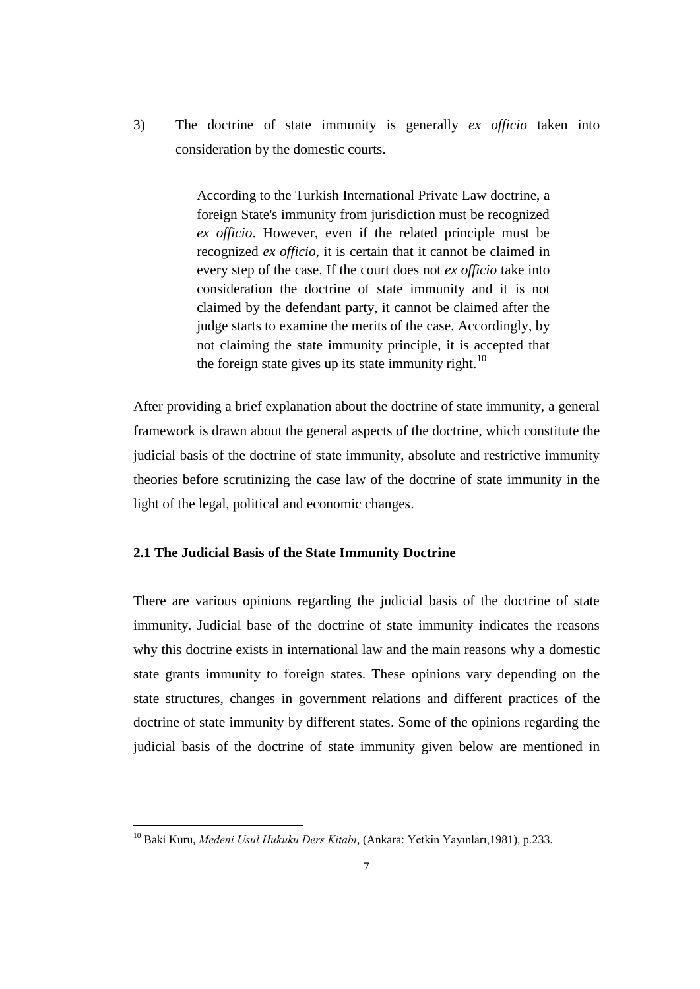3) The doctrine of state immunity is generally *ex officio* taken into consideration by the domestic courts.

> According to the Turkish International Private Law doctrine, a foreign State's immunity from jurisdiction must be recognized *ex officio*. However, even if the related principle must be recognized *ex officio*, it is certain that it cannot be claimed in every step of the case. If the court does not *ex officio* take into consideration the doctrine of state immunity and it is not claimed by the defendant party, it cannot be claimed after the judge starts to examine the merits of the case. Accordingly, by not claiming the state immunity principle, it is accepted that the foreign state gives up its state immunity right.<sup>10</sup>

After providing a brief explanation about the doctrine of state immunity, a general framework is drawn about the general aspects of the doctrine, which constitute the judicial basis of the doctrine of state immunity, absolute and restrictive immunity theories before scrutinizing the case law of the doctrine of state immunity in the light of the legal, political and economic changes.

#### **2.1 The Judicial Basis of the State Immunity Doctrine**

There are various opinions regarding the judicial basis of the doctrine of state immunity. Judicial base of the doctrine of state immunity indicates the reasons why this doctrine exists in international law and the main reasons why a domestic state grants immunity to foreign states. These opinions vary depending on the state structures, changes in government relations and different practices of the doctrine of state immunity by different states. Some of the opinions regarding the judicial basis of the doctrine of state immunity given below are mentioned in

<sup>10</sup> Baki Kuru, *Medeni Usul Hukuku Ders Kitabı*, (Ankara: Yetkin Yayınları,1981), p.233.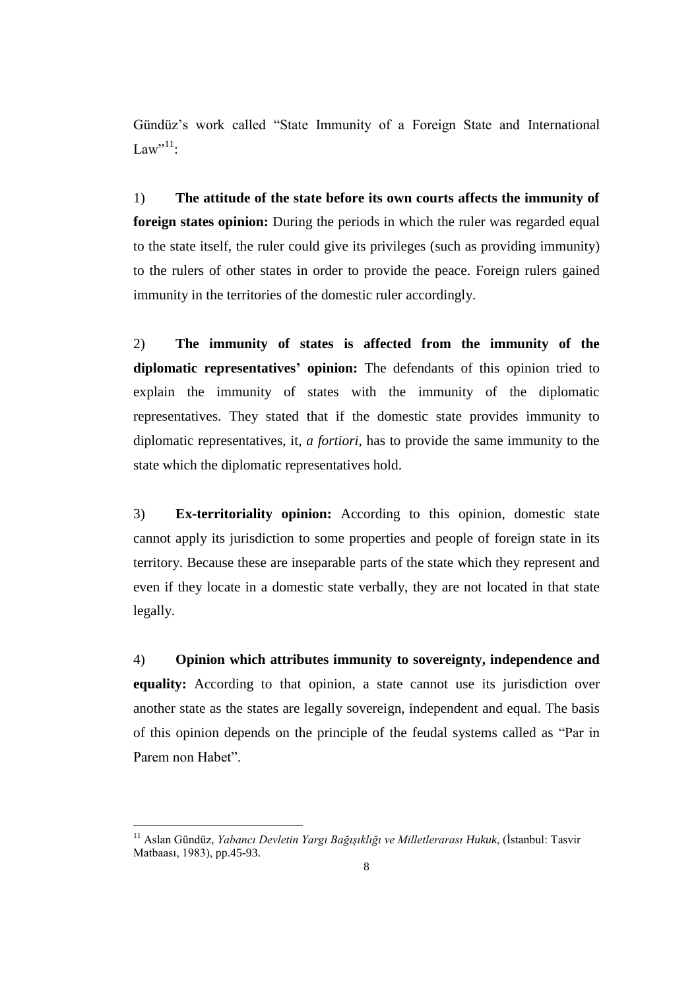Gündüz's work called "State Immunity of a Foreign State and International Law" $^{11}$ :

1) **The attitude of the state before its own courts affects the immunity of foreign states opinion:** During the periods in which the ruler was regarded equal to the state itself, the ruler could give its privileges (such as providing immunity) to the rulers of other states in order to provide the peace. Foreign rulers gained immunity in the territories of the domestic ruler accordingly.

2) **The immunity of states is affected from the immunity of the diplomatic representatives' opinion:** The defendants of this opinion tried to explain the immunity of states with the immunity of the diplomatic representatives. They stated that if the domestic state provides immunity to diplomatic representatives, it, *a fortiori,* has to provide the same immunity to the state which the diplomatic representatives hold.

3) **Ex-territoriality opinion:** According to this opinion, domestic state cannot apply its jurisdiction to some properties and people of foreign state in its territory. Because these are inseparable parts of the state which they represent and even if they locate in a domestic state verbally, they are not located in that state legally.

4) **Opinion which attributes immunity to sovereignty, independence and equality:** According to that opinion, a state cannot use its jurisdiction over another state as the states are legally sovereign, independent and equal. The basis of this opinion depends on the principle of the feudal systems called as "Par in Parem non Habet".

<sup>11</sup> Aslan Gündüz, *Yabancı Devletin Yargı Bağışıklığı ve Milletlerarası Hukuk*, (İstanbul: Tasvir Matbaası, 1983), pp.45-93.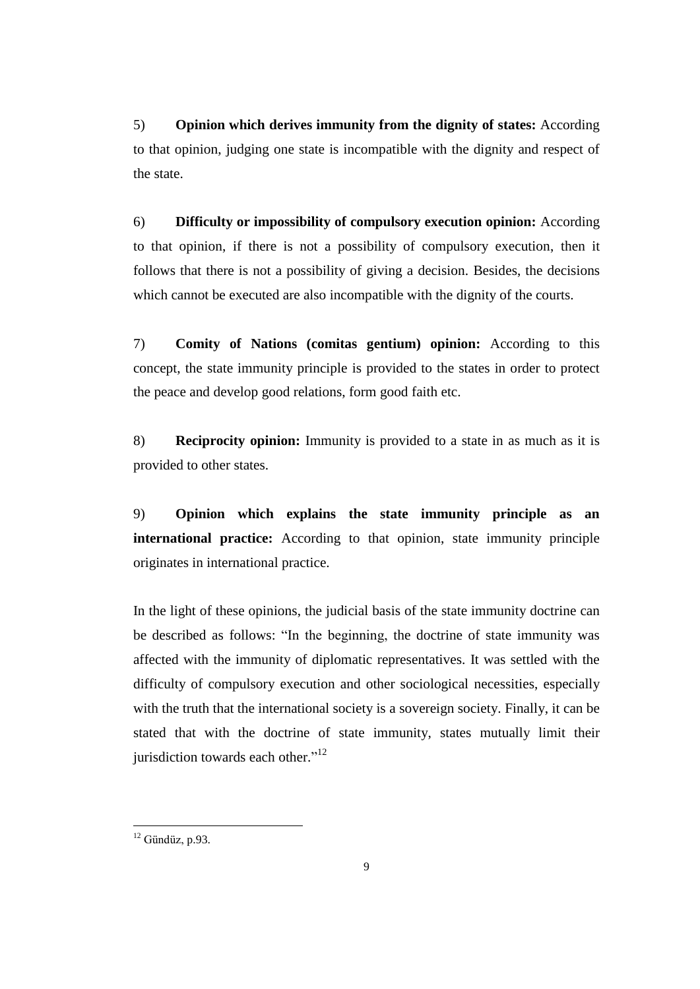5) **Opinion which derives immunity from the dignity of states:** According to that opinion, judging one state is incompatible with the dignity and respect of the state.

6) **Difficulty or impossibility of compulsory execution opinion:** According to that opinion, if there is not a possibility of compulsory execution, then it follows that there is not a possibility of giving a decision. Besides, the decisions which cannot be executed are also incompatible with the dignity of the courts.

7) **Comity of Nations (comitas gentium) opinion:** According to this concept, the state immunity principle is provided to the states in order to protect the peace and develop good relations, form good faith etc.

8) **Reciprocity opinion:** Immunity is provided to a state in as much as it is provided to other states.

9) **Opinion which explains the state immunity principle as an international practice:** According to that opinion, state immunity principle originates in international practice.

In the light of these opinions, the judicial basis of the state immunity doctrine can be described as follows: "In the beginning, the doctrine of state immunity was affected with the immunity of diplomatic representatives. It was settled with the difficulty of compulsory execution and other sociological necessities, especially with the truth that the international society is a sovereign society. Finally, it can be stated that with the doctrine of state immunity, states mutually limit their jurisdiction towards each other."<sup>12</sup>

 $12$  Gündüz, p.93.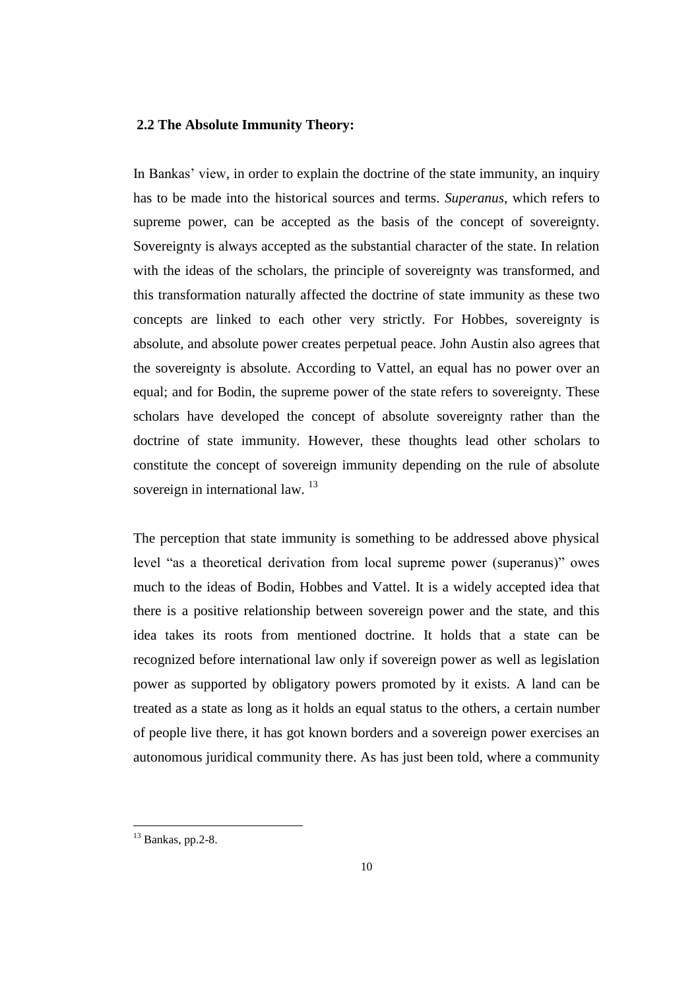#### **2.2 The Absolute Immunity Theory:**

In Bankas' view, in order to explain the doctrine of the state immunity, an inquiry has to be made into the historical sources and terms. *Superanus*, which refers to supreme power, can be accepted as the basis of the concept of sovereignty. Sovereignty is always accepted as the substantial character of the state. In relation with the ideas of the scholars, the principle of sovereignty was transformed, and this transformation naturally affected the doctrine of state immunity as these two concepts are linked to each other very strictly. For Hobbes, sovereignty is absolute, and absolute power creates perpetual peace. John Austin also agrees that the sovereignty is absolute. According to Vattel, an equal has no power over an equal; and for Bodin, the supreme power of the state refers to sovereignty. These scholars have developed the concept of absolute sovereignty rather than the doctrine of state immunity. However, these thoughts lead other scholars to constitute the concept of sovereign immunity depending on the rule of absolute sovereign in international law. <sup>13</sup>

The perception that state immunity is something to be addressed above physical level "as a theoretical derivation from local supreme power (superanus)" owes much to the ideas of Bodin, Hobbes and Vattel. It is a widely accepted idea that there is a positive relationship between sovereign power and the state, and this idea takes its roots from mentioned doctrine. It holds that a state can be recognized before international law only if sovereign power as well as legislation power as supported by obligatory powers promoted by it exists. A land can be treated as a state as long as it holds an equal status to the others, a certain number of people live there, it has got known borders and a sovereign power exercises an autonomous juridical community there. As has just been told, where a community

 $13$  Bankas, pp.2-8.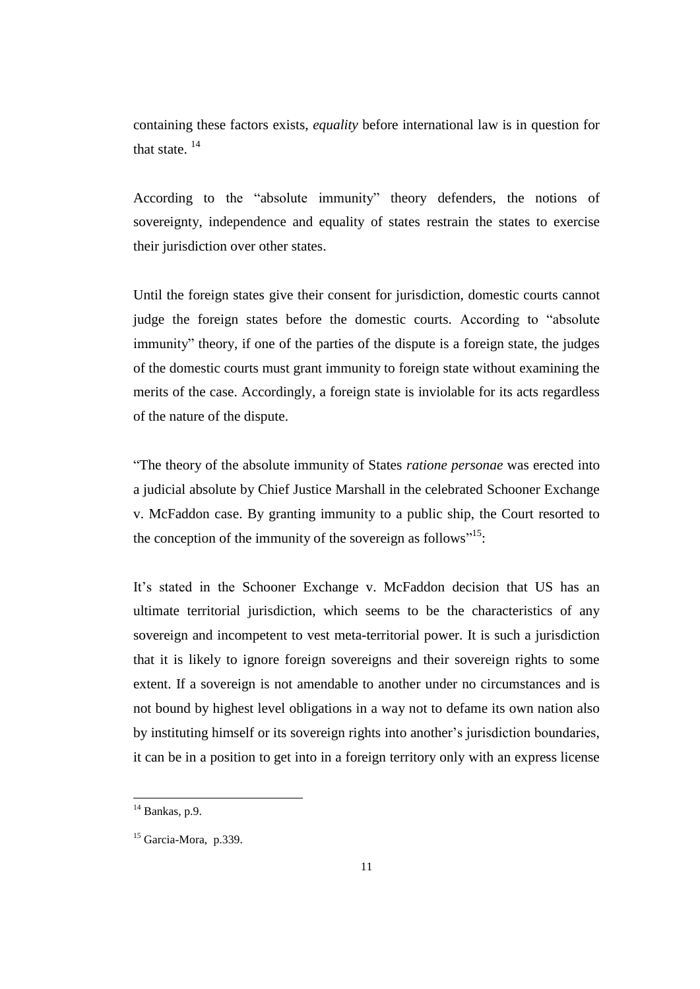containing these factors exists, *equality* before international law is in question for that state.  $^{14}$ 

According to the "absolute immunity" theory defenders, the notions of sovereignty, independence and equality of states restrain the states to exercise their jurisdiction over other states.

Until the foreign states give their consent for jurisdiction, domestic courts cannot judge the foreign states before the domestic courts. According to "absolute immunity" theory, if one of the parties of the dispute is a foreign state, the judges of the domestic courts must grant immunity to foreign state without examining the merits of the case. Accordingly, a foreign state is inviolable for its acts regardless of the nature of the dispute.

"The theory of the absolute immunity of States *ratione personae* was erected into a judicial absolute by Chief Justice Marshall in the celebrated Schooner Exchange v. McFaddon case. By granting immunity to a public ship, the Court resorted to the conception of the immunity of the sovereign as follows"<sup>15</sup>:

It's stated in the Schooner Exchange v. McFaddon decision that US has an ultimate territorial jurisdiction, which seems to be the characteristics of any sovereign and incompetent to vest meta-territorial power. It is such a jurisdiction that it is likely to ignore foreign sovereigns and their sovereign rights to some extent. If a sovereign is not amendable to another under no circumstances and is not bound by highest level obligations in a way not to defame its own nation also by instituting himself or its sovereign rights into another's jurisdiction boundaries, it can be in a position to get into in a foreign territory only with an express license

 $14$  Bankas, p.9.

 $15$  Garcia-Mora, p.339.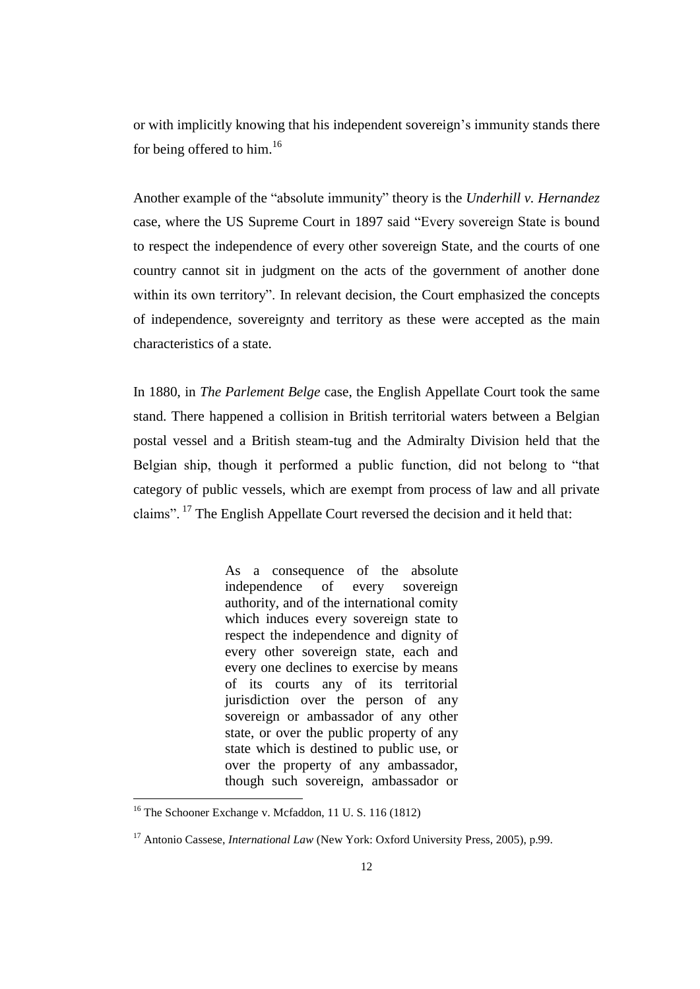or with implicitly knowing that his independent sovereign's immunity stands there for being offered to him.<sup>16</sup>

Another example of the "absolute immunity" theory is the *Underhill v. Hernandez* case, where the US Supreme Court in 1897 said "Every sovereign State is bound to respect the independence of every other sovereign State, and the courts of one country cannot sit in judgment on the acts of the government of another done within its own territory". In relevant decision, the Court emphasized the concepts of independence, sovereignty and territory as these were accepted as the main characteristics of a state.

In 1880, in *The Parlement Belge* case, the English Appellate Court took the same stand. There happened a collision in British territorial waters between a Belgian postal vessel and a British steam-tug and the Admiralty Division held that the Belgian ship, though it performed a public function, did not belong to "that category of public vessels, which are exempt from process of law and all private claims". <sup>17</sup> The English Appellate Court reversed the decision and it held that:

> As a consequence of the absolute independence of every sovereign authority, and of the international comity which induces every sovereign state to respect the independence and dignity of every other sovereign state, each and every one declines to exercise by means of its courts any of its territorial jurisdiction over the person of any sovereign or ambassador of any other state, or over the public property of any state which is destined to public use, or over the property of any ambassador, though such sovereign, ambassador or

<sup>&</sup>lt;sup>16</sup> The Schooner Exchange v. Mcfaddon, 11 U.S. 116 (1812)

<sup>&</sup>lt;sup>17</sup> Antonio Cassese, *International Law* (New York: Oxford University Press, 2005), p.99.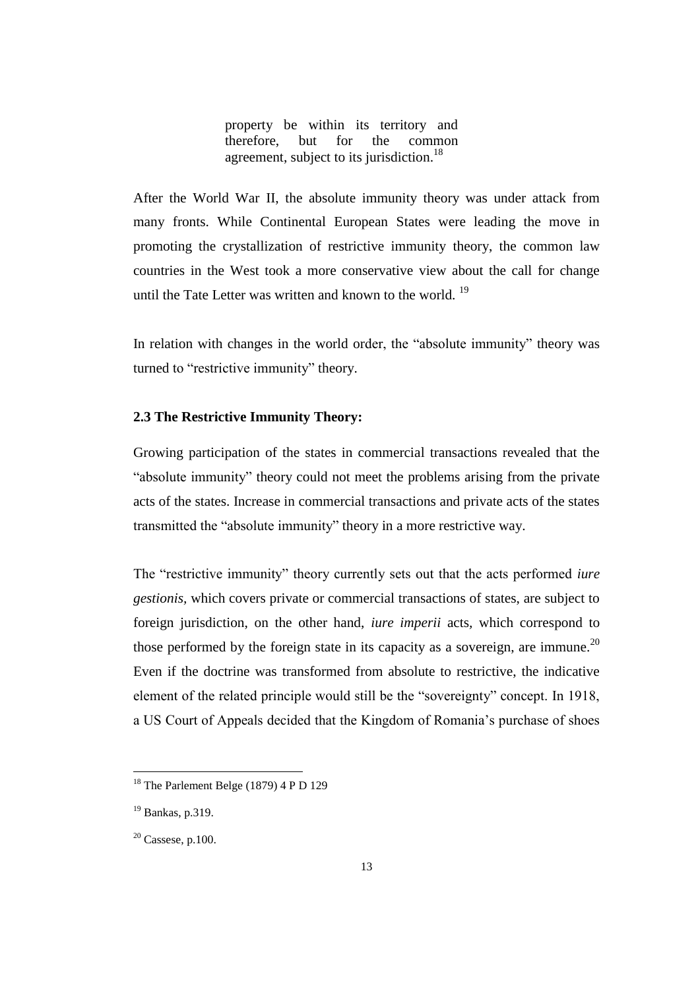property be within its territory and therefore, but for the common agreement, subject to its jurisdiction.<sup>18</sup>

After the World War II, the absolute immunity theory was under attack from many fronts. While Continental European States were leading the move in promoting the crystallization of restrictive immunity theory, the common law countries in the West took a more conservative view about the call for change until the Tate Letter was written and known to the world.<sup>19</sup>

In relation with changes in the world order, the "absolute immunity" theory was turned to "restrictive immunity" theory.

## **2.3 The Restrictive Immunity Theory:**

Growing participation of the states in commercial transactions revealed that the "absolute immunity" theory could not meet the problems arising from the private acts of the states. Increase in commercial transactions and private acts of the states transmitted the "absolute immunity" theory in a more restrictive way.

The "restrictive immunity" theory currently sets out that the acts performed *iure gestionis,* which covers private or commercial transactions of states, are subject to foreign jurisdiction, on the other hand, *iure imperii* acts*,* which correspond to those performed by the foreign state in its capacity as a sovereign, are immune.<sup>20</sup> Even if the doctrine was transformed from absolute to restrictive, the indicative element of the related principle would still be the "sovereignty" concept. In 1918, a US Court of Appeals decided that the Kingdom of Romania's purchase of shoes

 $18$  The Parlement Belge (1879) 4 P D 129

<sup>19</sup> Bankas, p.319.

 $20$  Cassese, p.100.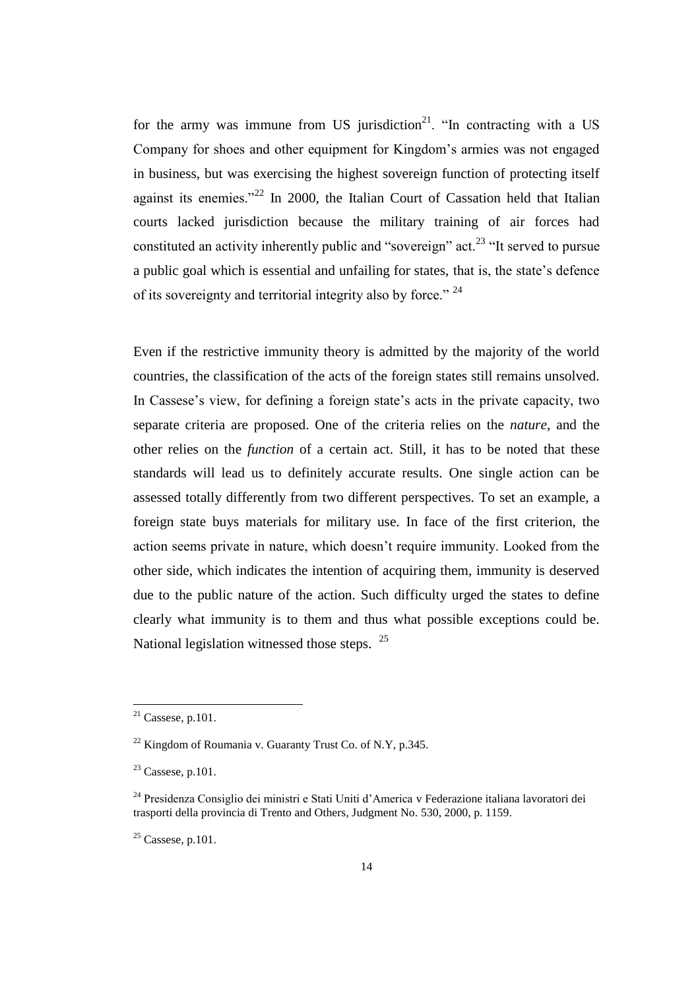for the army was immune from US jurisdiction<sup>21</sup>. "In contracting with a US Company for shoes and other equipment for Kingdom's armies was not engaged in business, but was exercising the highest sovereign function of protecting itself against its enemies."<sup>22</sup> In 2000, the Italian Court of Cassation held that Italian courts lacked jurisdiction because the military training of air forces had constituted an activity inherently public and "sovereign" act.<sup>23</sup> "It served to pursue a public goal which is essential and unfailing for states, that is, the state's defence of its sovereignty and territorial integrity also by force." <sup>24</sup>

Even if the restrictive immunity theory is admitted by the majority of the world countries, the classification of the acts of the foreign states still remains unsolved. In Cassese's view, for defining a foreign state's acts in the private capacity, two separate criteria are proposed. One of the criteria relies on the *nature*, and the other relies on the *function* of a certain act. Still, it has to be noted that these standards will lead us to definitely accurate results. One single action can be assessed totally differently from two different perspectives. To set an example, a foreign state buys materials for military use. In face of the first criterion, the action seems private in nature, which doesn't require immunity. Looked from the other side, which indicates the intention of acquiring them, immunity is deserved due to the public nature of the action. Such difficulty urged the states to define clearly what immunity is to them and thus what possible exceptions could be. National legislation witnessed those steps.  $25$ 

 $21$  Cassese, p.101.

 $^{22}$  Kingdom of Roumania v. Guaranty Trust Co. of N.Y, p.345.

 $23$  Cassese, p.101.

<sup>24</sup> Presidenza Consiglio dei ministri e Stati Uniti d'America v Federazione italiana lavoratori dei trasporti della provincia di Trento and Others, Judgment No. 530, 2000, p. 1159.

 $25$  Cassese, p.101.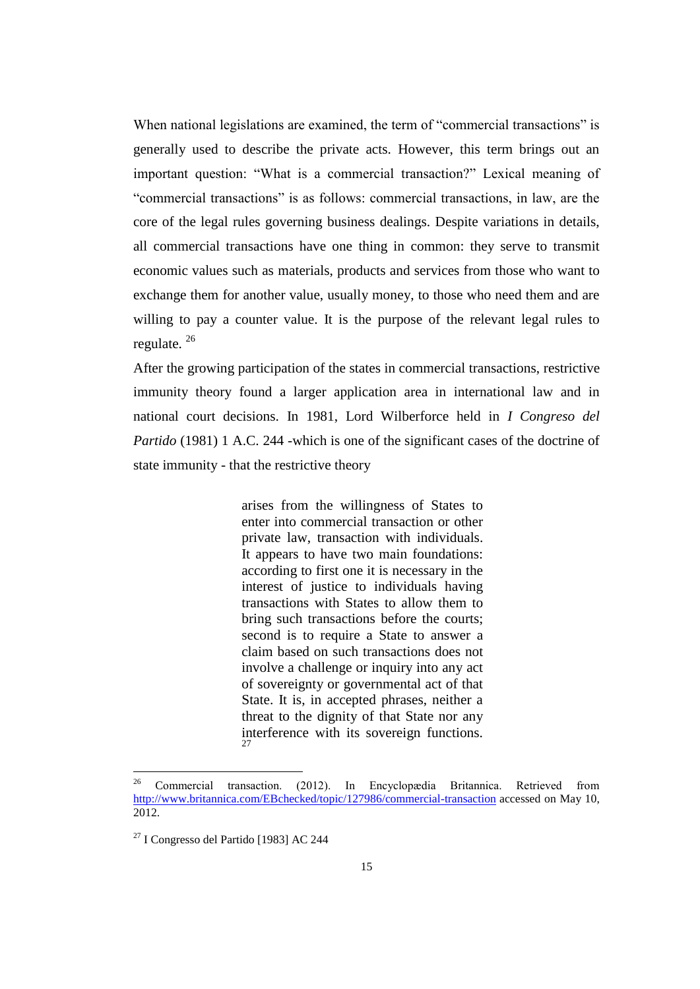When national legislations are examined, the term of "commercial transactions" is generally used to describe the private acts. However, this term brings out an important question: "What is a commercial transaction?" Lexical meaning of "commercial transactions" is as follows: commercial transactions, in law, are the core of the legal rules governing business dealings. Despite variations in details, all commercial transactions have one thing in common: they serve to transmit economic values such as materials, products and services from those who want to exchange them for another value, usually money, to those who need them and are willing to pay a counter value. It is the purpose of the relevant legal rules to regulate. <sup>26</sup>

After the growing participation of the states in commercial transactions, restrictive immunity theory found a larger application area in international law and in national court decisions. In 1981, Lord Wilberforce held in *I Congreso del Partido* (1981) 1 A.C. 244 *-*which is one of the significant cases of the doctrine of state immunity - that the restrictive theory

> arises from the willingness of States to enter into commercial transaction or other private law, transaction with individuals. It appears to have two main foundations: according to first one it is necessary in the interest of justice to individuals having transactions with States to allow them to bring such transactions before the courts; second is to require a State to answer a claim based on such transactions does not involve a challenge or inquiry into any act of sovereignty or governmental act of that State. It is, in accepted phrases, neither a threat to the dignity of that State nor any interference with its sovereign functions. 27

<sup>26</sup> <sup>26</sup> Commercial transaction. (2012). In Encyclopædia Britannica. Retrieved from <http://www.britannica.com/EBchecked/topic/127986/commercial-transaction> accessed on May 10, 2012.

 $27$  I Congresso del Partido [1983] AC 244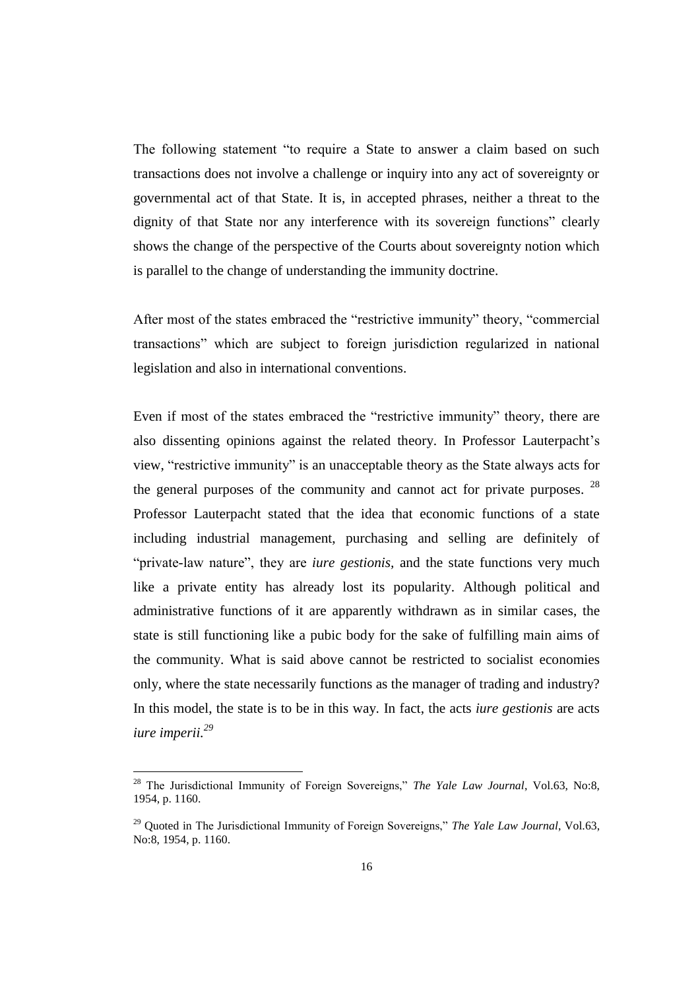The following statement "to require a State to answer a claim based on such transactions does not involve a challenge or inquiry into any act of sovereignty or governmental act of that State. It is, in accepted phrases, neither a threat to the dignity of that State nor any interference with its sovereign functions" clearly shows the change of the perspective of the Courts about sovereignty notion which is parallel to the change of understanding the immunity doctrine.

After most of the states embraced the "restrictive immunity" theory, "commercial transactions" which are subject to foreign jurisdiction regularized in national legislation and also in international conventions.

Even if most of the states embraced the "restrictive immunity" theory, there are also dissenting opinions against the related theory. In Professor Lauterpacht's view, "restrictive immunity" is an unacceptable theory as the State always acts for the general purposes of the community and cannot act for private purposes.  $28$ Professor Lauterpacht stated that the idea that economic functions of a state including industrial management, purchasing and selling are definitely of "private-law nature", they are *iure gestionis,* and the state functions very much like a private entity has already lost its popularity. Although political and administrative functions of it are apparently withdrawn as in similar cases, the state is still functioning like a pubic body for the sake of fulfilling main aims of the community. What is said above cannot be restricted to socialist economies only, where the state necessarily functions as the manager of trading and industry? In this model, the state is to be in this way. In fact, the acts *iure gestionis* are acts *iure imperii.<sup>29</sup>*

<sup>28</sup> The Jurisdictional Immunity of Foreign Sovereigns," *The Yale Law Journal*, Vol.63, No:8, 1954, p. 1160.

<sup>29</sup> Quoted in The Jurisdictional Immunity of Foreign Sovereigns," *The Yale Law Journal*, Vol.63, No:8, 1954, p. 1160.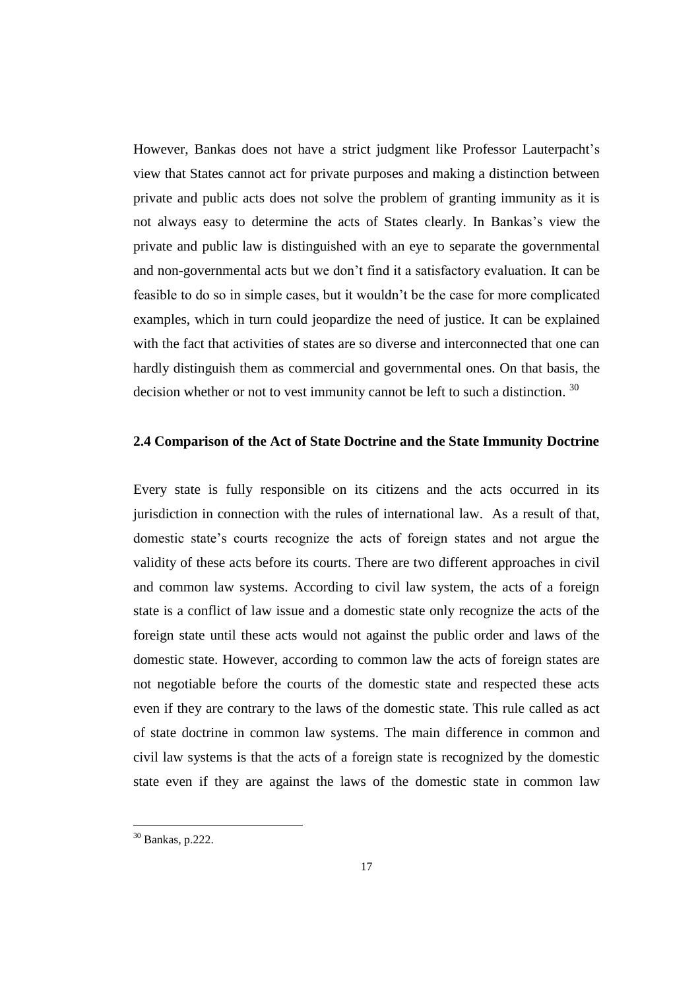However, Bankas does not have a strict judgment like Professor Lauterpacht's view that States cannot act for private purposes and making a distinction between private and public acts does not solve the problem of granting immunity as it is not always easy to determine the acts of States clearly. In Bankas's view the private and public law is distinguished with an eye to separate the governmental and non-governmental acts but we don't find it a satisfactory evaluation. It can be feasible to do so in simple cases, but it wouldn't be the case for more complicated examples, which in turn could jeopardize the need of justice. It can be explained with the fact that activities of states are so diverse and interconnected that one can hardly distinguish them as commercial and governmental ones. On that basis, the decision whether or not to vest immunity cannot be left to such a distinction.<sup>30</sup>

#### **2.4 Comparison of the Act of State Doctrine and the State Immunity Doctrine**

Every state is fully responsible on its citizens and the acts occurred in its jurisdiction in connection with the rules of international law. As a result of that, domestic state's courts recognize the acts of foreign states and not argue the validity of these acts before its courts. There are two different approaches in civil and common law systems. According to civil law system, the acts of a foreign state is a conflict of law issue and a domestic state only recognize the acts of the foreign state until these acts would not against the public order and laws of the domestic state. However, according to common law the acts of foreign states are not negotiable before the courts of the domestic state and respected these acts even if they are contrary to the laws of the domestic state. This rule called as act of state doctrine in common law systems. The main difference in common and civil law systems is that the acts of a foreign state is recognized by the domestic state even if they are against the laws of the domestic state in common law

 $30$  Bankas, p.222.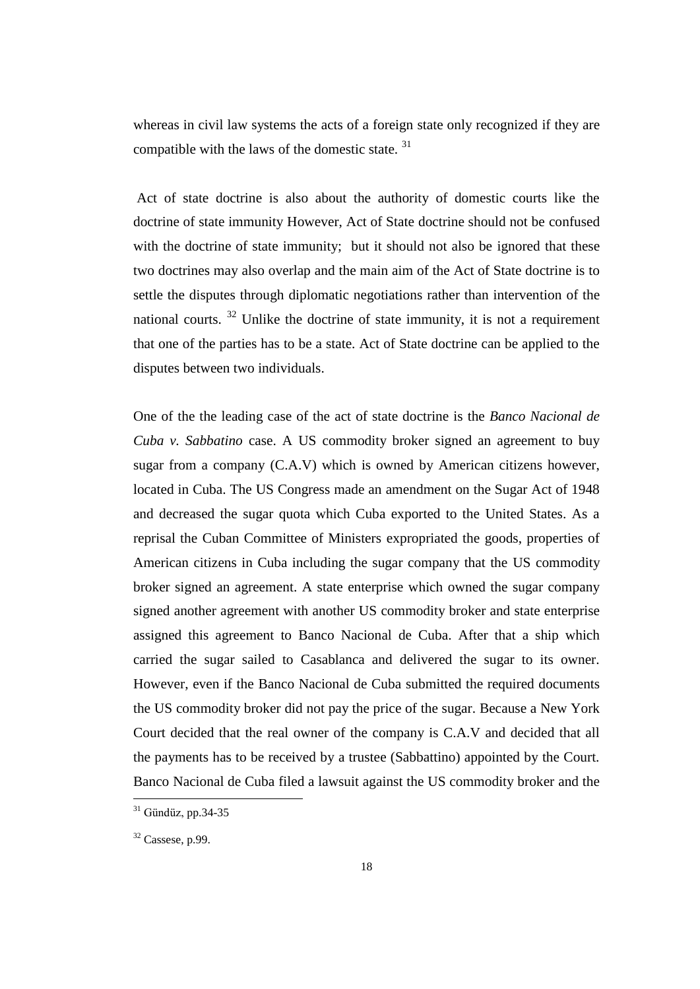whereas in civil law systems the acts of a foreign state only recognized if they are compatible with the laws of the domestic state. <sup>31</sup>

Act of state doctrine is also about the authority of domestic courts like the doctrine of state immunity However, Act of State doctrine should not be confused with the doctrine of state immunity; but it should not also be ignored that these two doctrines may also overlap and the main aim of the Act of State doctrine is to settle the disputes through diplomatic negotiations rather than intervention of the national courts.  $32$  Unlike the doctrine of state immunity, it is not a requirement that one of the parties has to be a state. Act of State doctrine can be applied to the disputes between two individuals.

One of the the leading case of the act of state doctrine is the *Banco Nacional de Cuba v. Sabbatino* case. A US commodity broker signed an agreement to buy sugar from a company (C.A.V) which is owned by American citizens however, located in Cuba. The US Congress made an amendment on the Sugar Act of 1948 and decreased the sugar quota which Cuba exported to the United States. As a reprisal the Cuban Committee of Ministers expropriated the goods, properties of American citizens in Cuba including the sugar company that the US commodity broker signed an agreement. A state enterprise which owned the sugar company signed another agreement with another US commodity broker and state enterprise assigned this agreement to Banco Nacional de Cuba. After that a ship which carried the sugar sailed to Casablanca and delivered the sugar to its owner. However, even if the Banco Nacional de Cuba submitted the required documents the US commodity broker did not pay the price of the sugar. Because a New York Court decided that the real owner of the company is C.A.V and decided that all the payments has to be received by a trustee (Sabbattino) appointed by the Court. Banco Nacional de Cuba filed a lawsuit against the US commodity broker and the

 $31$  Gündüz, pp. 34-35

 $32$  Cassese, p.99.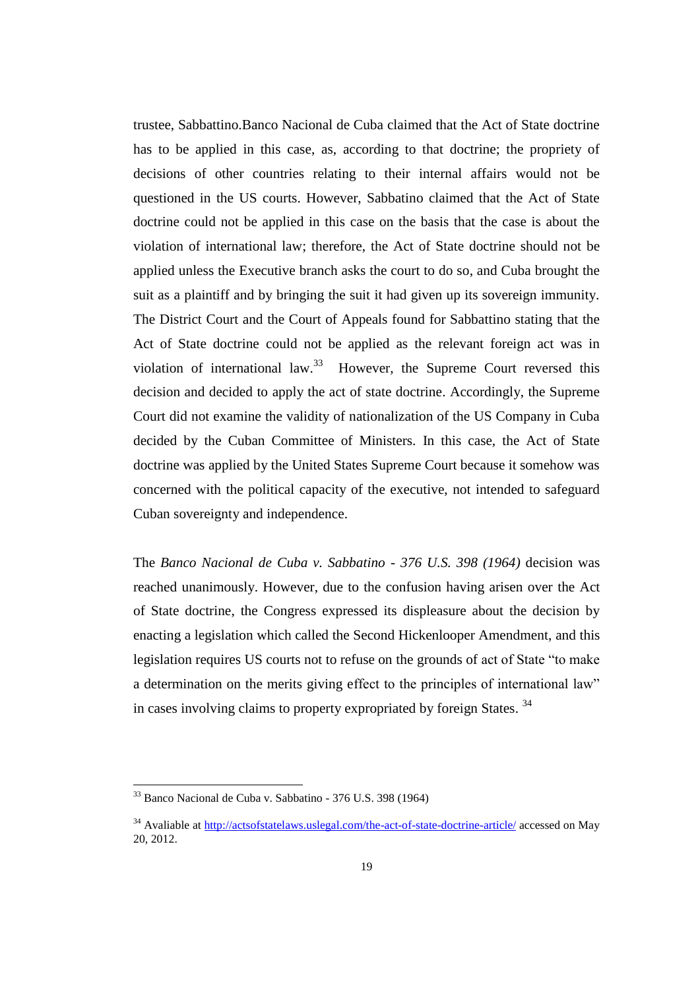trustee, Sabbattino.Banco Nacional de Cuba claimed that the Act of State doctrine has to be applied in this case, as, according to that doctrine; the propriety of decisions of other countries relating to their internal affairs would not be questioned in the US courts. However, Sabbatino claimed that the Act of State doctrine could not be applied in this case on the basis that the case is about the violation of international law; therefore, the Act of State doctrine should not be applied unless the Executive branch asks the court to do so, and Cuba brought the suit as a plaintiff and by bringing the suit it had given up its sovereign immunity. The District Court and the Court of Appeals found for Sabbattino stating that the Act of State doctrine could not be applied as the relevant foreign act was in violation of international law.<sup>33</sup> However, the Supreme Court reversed this decision and decided to apply the act of state doctrine. Accordingly, the Supreme Court did not examine the validity of nationalization of the US Company in Cuba decided by the Cuban Committee of Ministers. In this case, the Act of State doctrine was applied by the United States Supreme Court because it somehow was concerned with the political capacity of the executive, not intended to safeguard Cuban sovereignty and independence.

The *Banco Nacional de Cuba v. Sabbatino - 376 U.S. 398 (1964)* decision was reached unanimously. However, due to the confusion having arisen over the Act of State doctrine, the Congress expressed its displeasure about the decision by enacting a legislation which called the Second Hickenlooper Amendment, and this legislation requires US courts not to refuse on the grounds of act of State "to make a determination on the merits giving effect to the principles of international law" in cases involving claims to property expropriated by foreign States.<sup>34</sup>

<sup>33</sup> Banco Nacional de Cuba v. Sabbatino - 376 U.S. 398 (1964)

<sup>&</sup>lt;sup>34</sup> Avaliable at <http://actsofstatelaws.uslegal.com/the-act-of-state-doctrine-article/> accessed on May 20, 2012.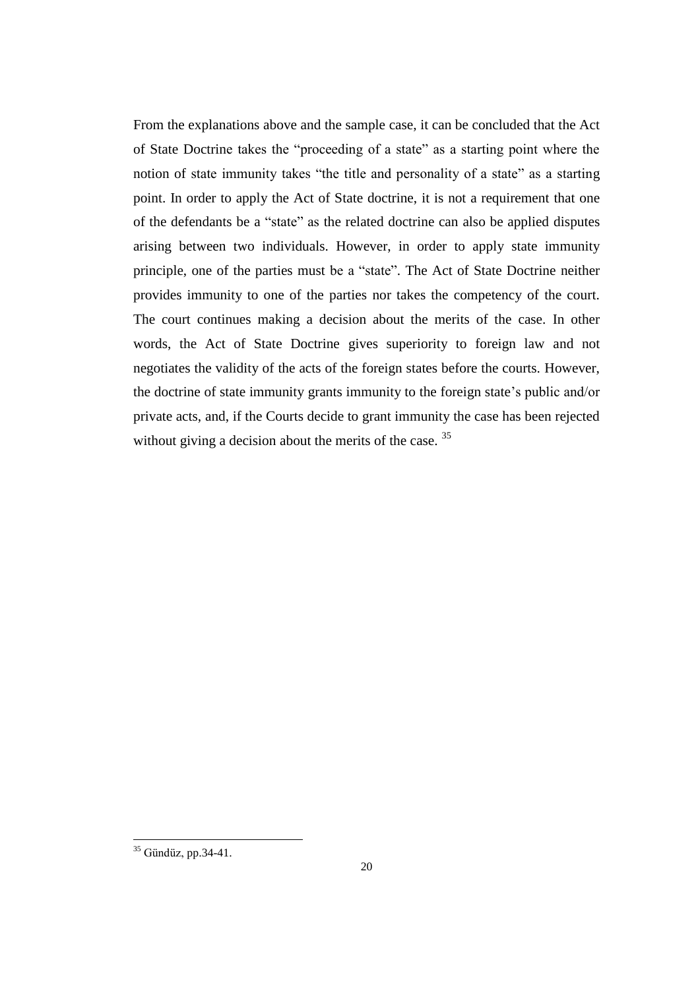From the explanations above and the sample case, it can be concluded that the Act of State Doctrine takes the "proceeding of a state" as a starting point where the notion of state immunity takes "the title and personality of a state" as a starting point. In order to apply the Act of State doctrine, it is not a requirement that one of the defendants be a "state" as the related doctrine can also be applied disputes arising between two individuals. However, in order to apply state immunity principle, one of the parties must be a "state". The Act of State Doctrine neither provides immunity to one of the parties nor takes the competency of the court. The court continues making a decision about the merits of the case. In other words, the Act of State Doctrine gives superiority to foreign law and not negotiates the validity of the acts of the foreign states before the courts. However, the doctrine of state immunity grants immunity to the foreign state's public and/or private acts, and, if the Courts decide to grant immunity the case has been rejected without giving a decision about the merits of the case.<sup>35</sup>

 $35$  Gündüz, pp.34-41.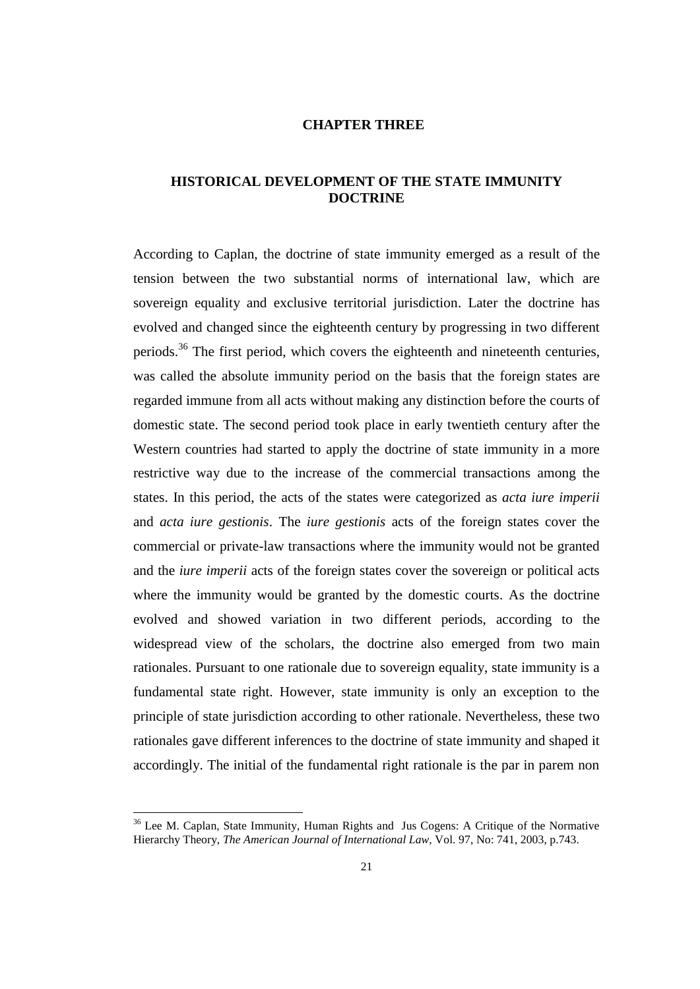## **CHAPTER THREE**

## **HISTORICAL DEVELOPMENT OF THE STATE IMMUNITY DOCTRINE**

According to Caplan, the doctrine of state immunity emerged as a result of the tension between the two substantial norms of international law, which are sovereign equality and exclusive territorial jurisdiction. Later the doctrine has evolved and changed since the eighteenth century by progressing in two different periods.<sup>36</sup> The first period, which covers the eighteenth and nineteenth centuries, was called the absolute immunity period on the basis that the foreign states are regarded immune from all acts without making any distinction before the courts of domestic state. The second period took place in early twentieth century after the Western countries had started to apply the doctrine of state immunity in a more restrictive way due to the increase of the commercial transactions among the states. In this period, the acts of the states were categorized as *acta iure imperii* and *acta iure gestionis*. The *iure gestionis* acts of the foreign states cover the commercial or private-law transactions where the immunity would not be granted and the *iure imperii* acts of the foreign states cover the sovereign or political acts where the immunity would be granted by the domestic courts. As the doctrine evolved and showed variation in two different periods, according to the widespread view of the scholars, the doctrine also emerged from two main rationales. Pursuant to one rationale due to sovereign equality, state immunity is a fundamental state right. However, state immunity is only an exception to the principle of state jurisdiction according to other rationale. Nevertheless, these two rationales gave different inferences to the doctrine of state immunity and shaped it accordingly. The initial of the fundamental right rationale is the par in parem non

<sup>&</sup>lt;sup>36</sup> Lee M. Caplan, State Immunity, Human Rights and Jus Cogens: A Critique of the Normative Hierarchy Theory, *The American Journal of International Law,* Vol. 97, No: 741, 2003, p.743.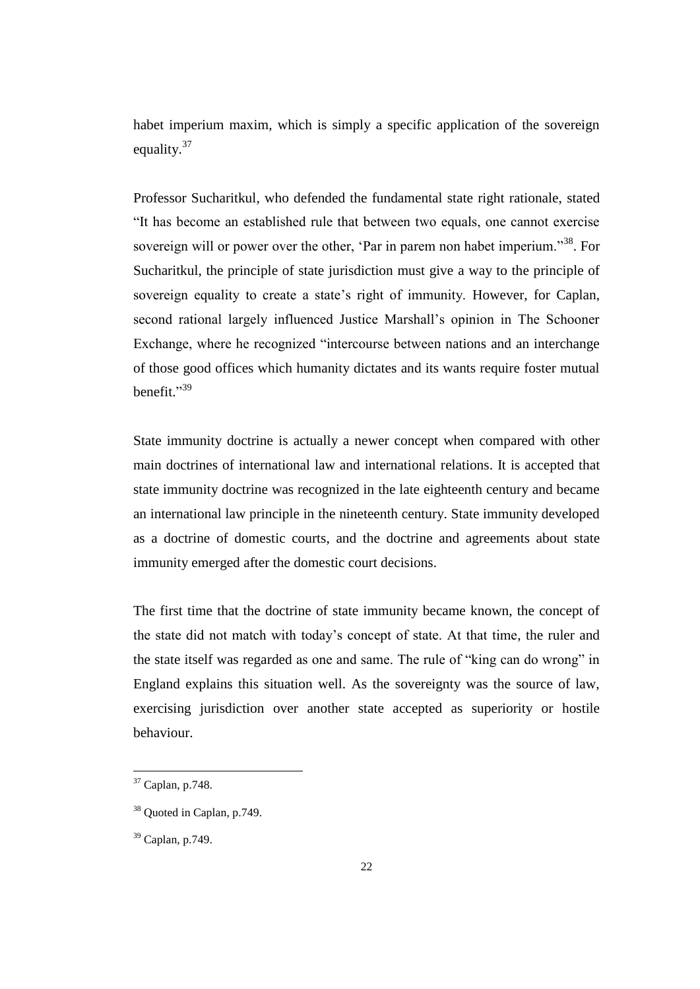habet imperium maxim, which is simply a specific application of the sovereign equality.<sup>37</sup>

Professor Sucharitkul, who defended the fundamental state right rationale, stated "It has become an established rule that between two equals, one cannot exercise sovereign will or power over the other, 'Par in parem non habet imperium."<sup>38</sup>. For Sucharitkul, the principle of state jurisdiction must give a way to the principle of sovereign equality to create a state's right of immunity. However, for Caplan, second rational largely influenced Justice Marshall's opinion in The Schooner Exchange, where he recognized "intercourse between nations and an interchange of those good offices which humanity dictates and its wants require foster mutual benefit." 39

State immunity doctrine is actually a newer concept when compared with other main doctrines of international law and international relations. It is accepted that state immunity doctrine was recognized in the late eighteenth century and became an international law principle in the nineteenth century. State immunity developed as a doctrine of domestic courts, and the doctrine and agreements about state immunity emerged after the domestic court decisions.

The first time that the doctrine of state immunity became known, the concept of the state did not match with today's concept of state. At that time, the ruler and the state itself was regarded as one and same. The rule of "king can do wrong" in England explains this situation well. As the sovereignty was the source of law, exercising jurisdiction over another state accepted as superiority or hostile behaviour.

 $37$  Caplan, p.748.

<sup>38</sup> Quoted in Caplan, p.749.

 $39$  Caplan, p.749.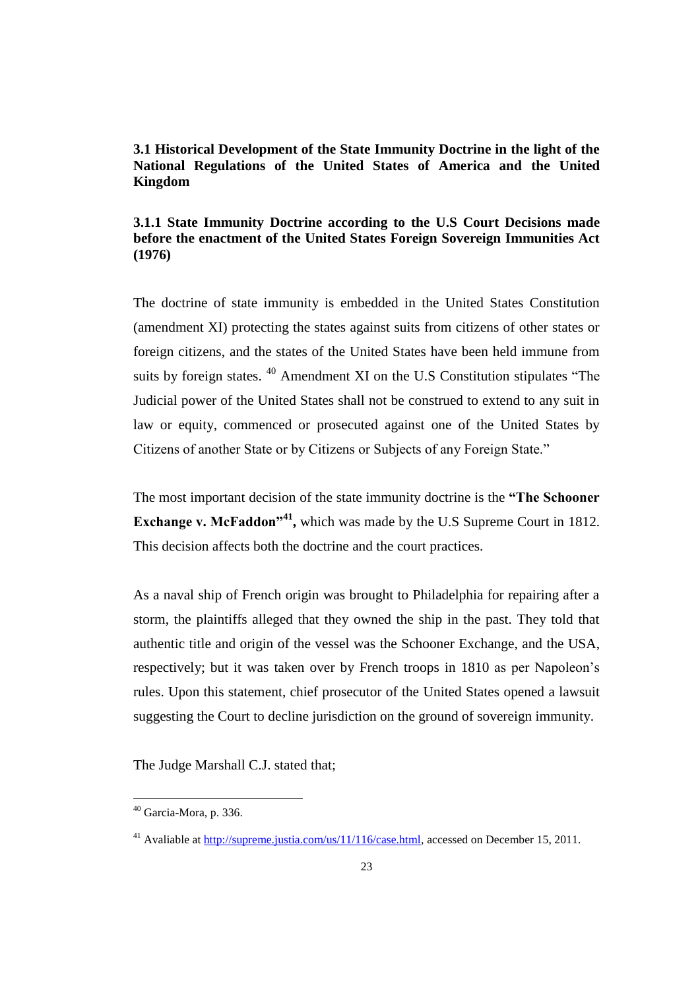# **3.1 Historical Development of the State Immunity Doctrine in the light of the National Regulations of the United States of America and the United Kingdom**

## **3.1.1 State Immunity Doctrine according to the U.S Court Decisions made before the enactment of the United States Foreign Sovereign Immunities Act (1976)**

The doctrine of state immunity is embedded in the United States Constitution (amendment XI) protecting the states against suits from citizens of other states or foreign citizens, and the states of the United States have been held immune from suits by foreign states. <sup>40</sup> Amendment XI on the U.S Constitution stipulates "The Judicial power of the United States shall not be construed to extend to any suit in law or equity, commenced or prosecuted against one of the United States by Citizens of another State or by Citizens or Subjects of any Foreign State."

The most important decision of the state immunity doctrine is the **"The Schooner Exchange v. McFaddon<sup>141</sup>**, which was made by the U.S Supreme Court in 1812. This decision affects both the doctrine and the court practices.

As a naval ship of French origin was brought to Philadelphia for repairing after a storm, the plaintiffs alleged that they owned the ship in the past. They told that authentic title and origin of the vessel was the Schooner Exchange, and the USA, respectively; but it was taken over by French troops in 1810 as per Napoleon's rules. Upon this statement, chief prosecutor of the United States opened a lawsuit suggesting the Court to decline jurisdiction on the ground of sovereign immunity.

The Judge Marshall C.J. stated that;

 $40$  Garcia-Mora, p. 336.

<sup>&</sup>lt;sup>41</sup> Avaliable at [http://supreme.justia.com/us/11/116/case.html,](http://supreme.justia.com/us/11/116/case.html) accessed on December 15, 2011.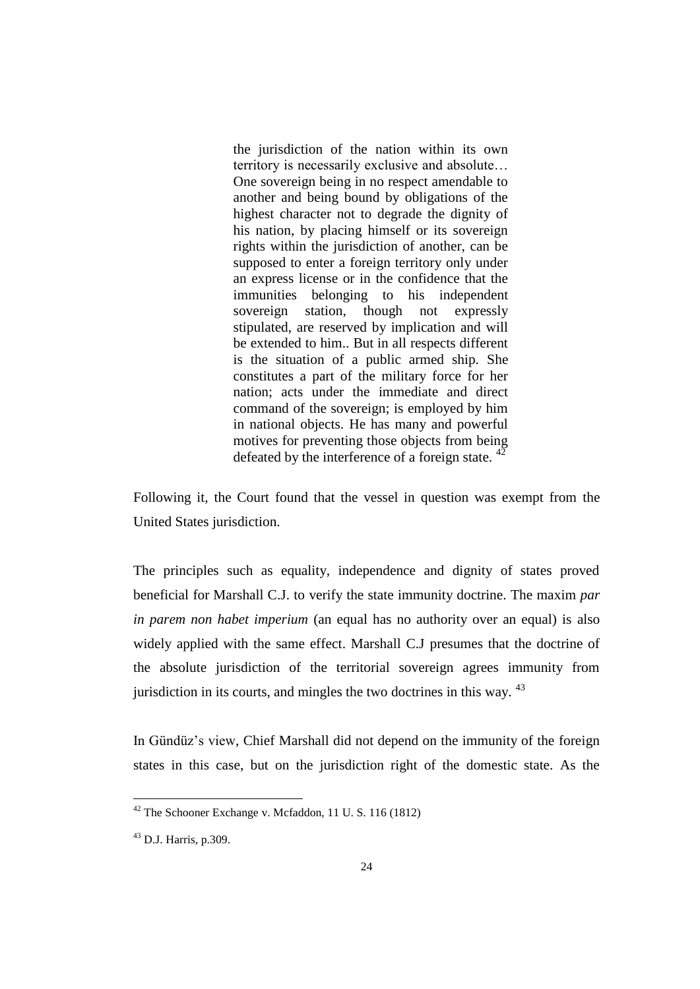the jurisdiction of the nation within its own territory is necessarily exclusive and absolute… One sovereign being in no respect amendable to another and being bound by obligations of the highest character not to degrade the dignity of his nation, by placing himself or its sovereign rights within the jurisdiction of another, can be supposed to enter a foreign territory only under an express license or in the confidence that the immunities belonging to his independent sovereign station, though not expressly stipulated, are reserved by implication and will be extended to him.. But in all respects different is the situation of a public armed ship. She constitutes a part of the military force for her nation; acts under the immediate and direct command of the sovereign; is employed by him in national objects. He has many and powerful motives for preventing those objects from being defeated by the interference of a foreign state.  $42$ 

Following it, the Court found that the vessel in question was exempt from the United States jurisdiction.

The principles such as equality, independence and dignity of states proved beneficial for Marshall C.J. to verify the state immunity doctrine. The maxim *par in parem non habet imperium* (an equal has no authority over an equal) is also widely applied with the same effect. Marshall C.J presumes that the doctrine of the absolute jurisdiction of the territorial sovereign agrees immunity from jurisdiction in its courts, and mingles the two doctrines in this way.  $43$ 

In Gündüz's view, Chief Marshall did not depend on the immunity of the foreign states in this case, but on the jurisdiction right of the domestic state. As the

 $42$  The Schooner Exchange v. Mcfaddon, 11 U.S. 116 (1812)

 $^{43}$  D.J. Harris, p.309.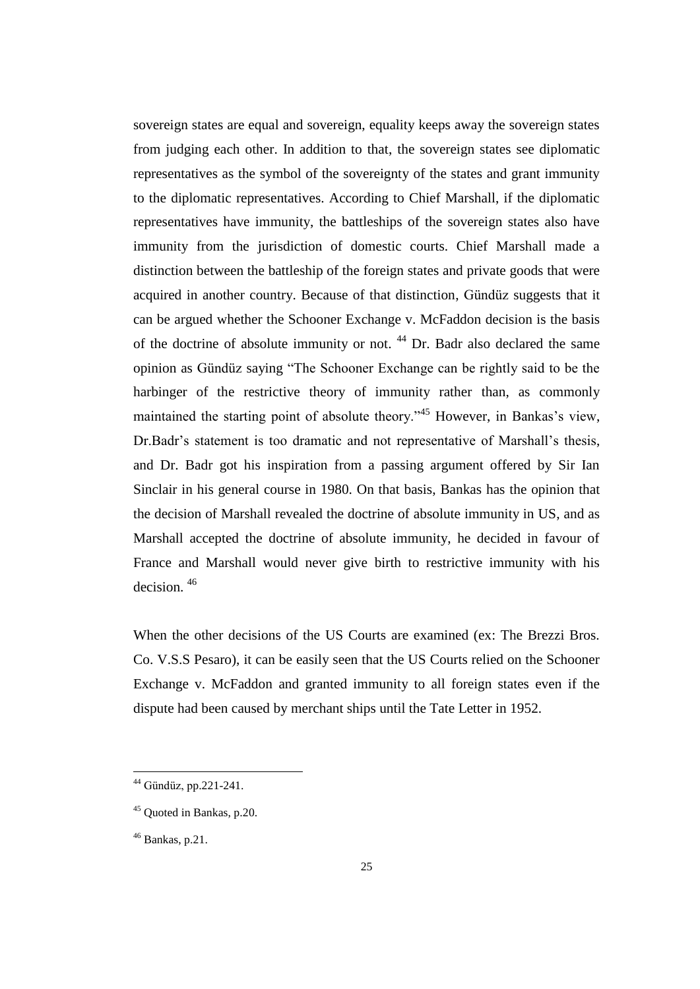sovereign states are equal and sovereign, equality keeps away the sovereign states from judging each other. In addition to that, the sovereign states see diplomatic representatives as the symbol of the sovereignty of the states and grant immunity to the diplomatic representatives. According to Chief Marshall, if the diplomatic representatives have immunity, the battleships of the sovereign states also have immunity from the jurisdiction of domestic courts. Chief Marshall made a distinction between the battleship of the foreign states and private goods that were acquired in another country. Because of that distinction, Gündüz suggests that it can be argued whether the Schooner Exchange v. McFaddon decision is the basis of the doctrine of absolute immunity or not. <sup>44</sup> Dr. Badr also declared the same opinion as Gündüz saying "The Schooner Exchange can be rightly said to be the harbinger of the restrictive theory of immunity rather than, as commonly maintained the starting point of absolute theory.<sup>345</sup> However, in Bankas's view, Dr.Badr's statement is too dramatic and not representative of Marshall's thesis, and Dr. Badr got his inspiration from a passing argument offered by Sir Ian Sinclair in his general course in 1980. On that basis, Bankas has the opinion that the decision of Marshall revealed the doctrine of absolute immunity in US, and as Marshall accepted the doctrine of absolute immunity, he decided in favour of France and Marshall would never give birth to restrictive immunity with his decision. <sup>46</sup>

When the other decisions of the US Courts are examined (ex: The Brezzi Bros. Co. V.S.S Pesaro), it can be easily seen that the US Courts relied on the Schooner Exchange v. McFaddon and granted immunity to all foreign states even if the dispute had been caused by merchant ships until the Tate Letter in 1952.

<sup>44</sup> Gündüz, pp.221-241.

<sup>45</sup> Quoted in Bankas, p.20.

 $46$  Bankas, p.21.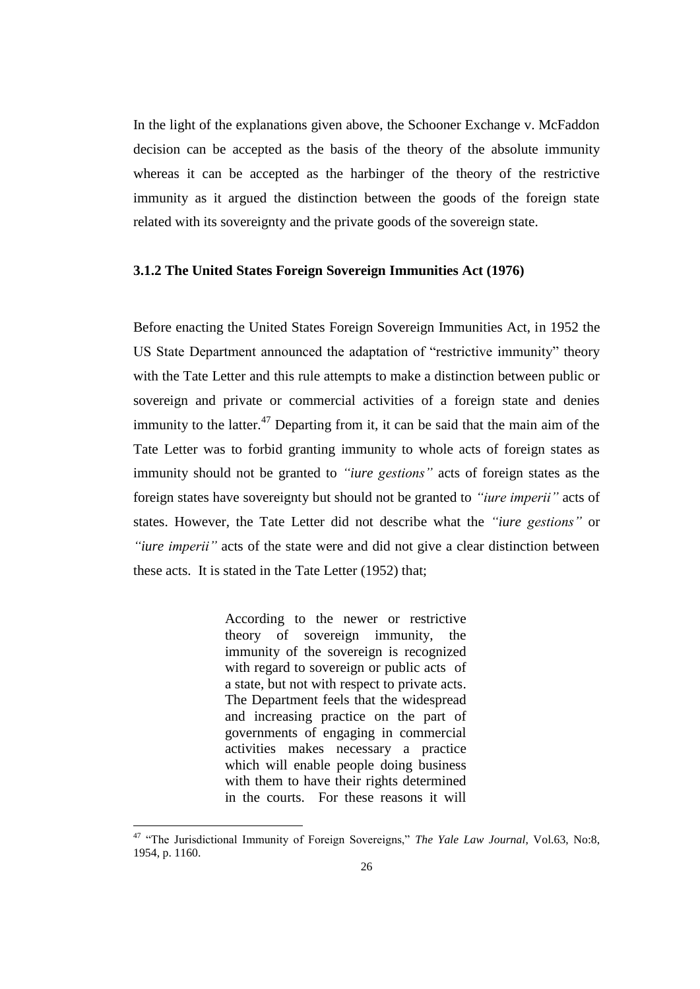In the light of the explanations given above, the Schooner Exchange v. McFaddon decision can be accepted as the basis of the theory of the absolute immunity whereas it can be accepted as the harbinger of the theory of the restrictive immunity as it argued the distinction between the goods of the foreign state related with its sovereignty and the private goods of the sovereign state.

#### **3.1.2 The United States Foreign Sovereign Immunities Act (1976)**

Before enacting the United States Foreign Sovereign Immunities Act, in 1952 the US State Department announced the adaptation of "restrictive immunity" theory with the Tate Letter and this rule attempts to make a distinction between public or sovereign and private or commercial activities of a foreign state and denies immunity to the latter.<sup>47</sup> Departing from it, it can be said that the main aim of the Tate Letter was to forbid granting immunity to whole acts of foreign states as immunity should not be granted to *"iure gestions"* acts of foreign states as the foreign states have sovereignty but should not be granted to *"iure imperii"* acts of states. However, the Tate Letter did not describe what the *"iure gestions"* or *"iure imperii"* acts of the state were and did not give a clear distinction between these acts. It is stated in the Tate Letter (1952) that;

> According to the newer or restrictive theory of sovereign immunity, the immunity of the sovereign is recognized with regard to sovereign or public acts of a state, but not with respect to private acts. The Department feels that the widespread and increasing practice on the part of governments of engaging in commercial activities makes necessary a practice which will enable people doing business with them to have their rights determined in the courts. For these reasons it will

<sup>&</sup>lt;sup>47</sup> "The Jurisdictional Immunity of Foreign Sovereigns," *The Yale Law Journal*, Vol.63, No:8, 1954, p. 1160.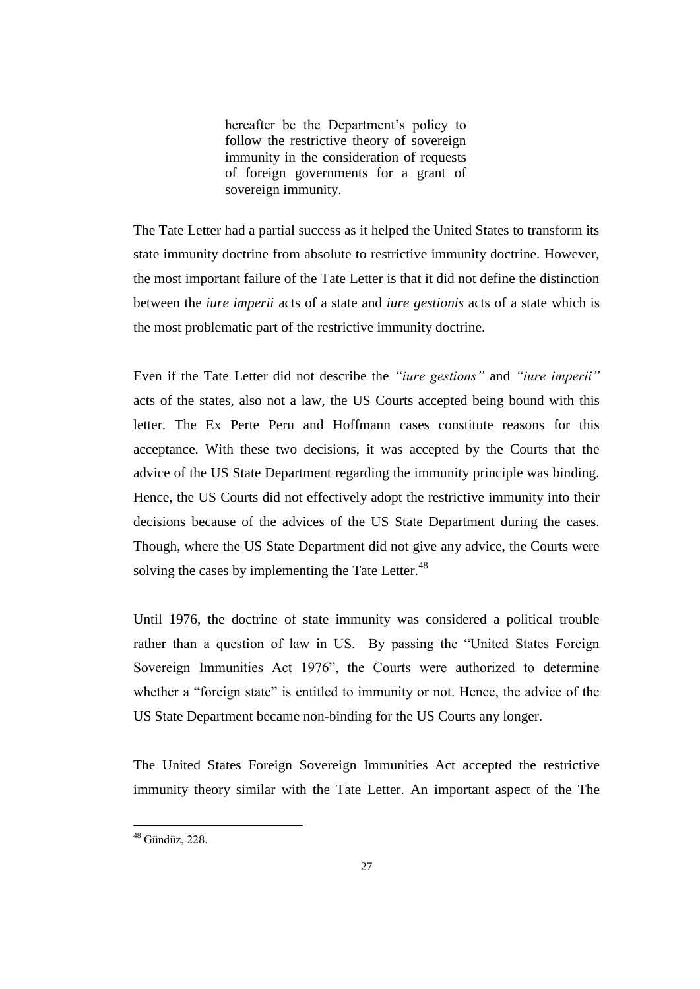hereafter be the Department's policy to follow the restrictive theory of sovereign immunity in the consideration of requests of foreign governments for a grant of sovereign immunity.

The Tate Letter had a partial success as it helped the United States to transform its state immunity doctrine from absolute to restrictive immunity doctrine. However, the most important failure of the Tate Letter is that it did not define the distinction between the *iure imperii* acts of a state and *iure gestionis* acts of a state which is the most problematic part of the restrictive immunity doctrine.

Even if the Tate Letter did not describe the *"iure gestions"* and *"iure imperii"* acts of the states, also not a law, the US Courts accepted being bound with this letter. The Ex Perte Peru and Hoffmann cases constitute reasons for this acceptance. With these two decisions, it was accepted by the Courts that the advice of the US State Department regarding the immunity principle was binding. Hence, the US Courts did not effectively adopt the restrictive immunity into their decisions because of the advices of the US State Department during the cases. Though, where the US State Department did not give any advice, the Courts were solving the cases by implementing the Tate Letter.<sup>48</sup>

Until 1976, the doctrine of state immunity was considered a political trouble rather than a question of law in US. By passing the "United States Foreign Sovereign Immunities Act 1976", the Courts were authorized to determine whether a "foreign state" is entitled to immunity or not. Hence, the advice of the US State Department became non-binding for the US Courts any longer.

The United States Foreign Sovereign Immunities Act accepted the restrictive immunity theory similar with the Tate Letter. An important aspect of the The

 $48$  Gündüz, 228.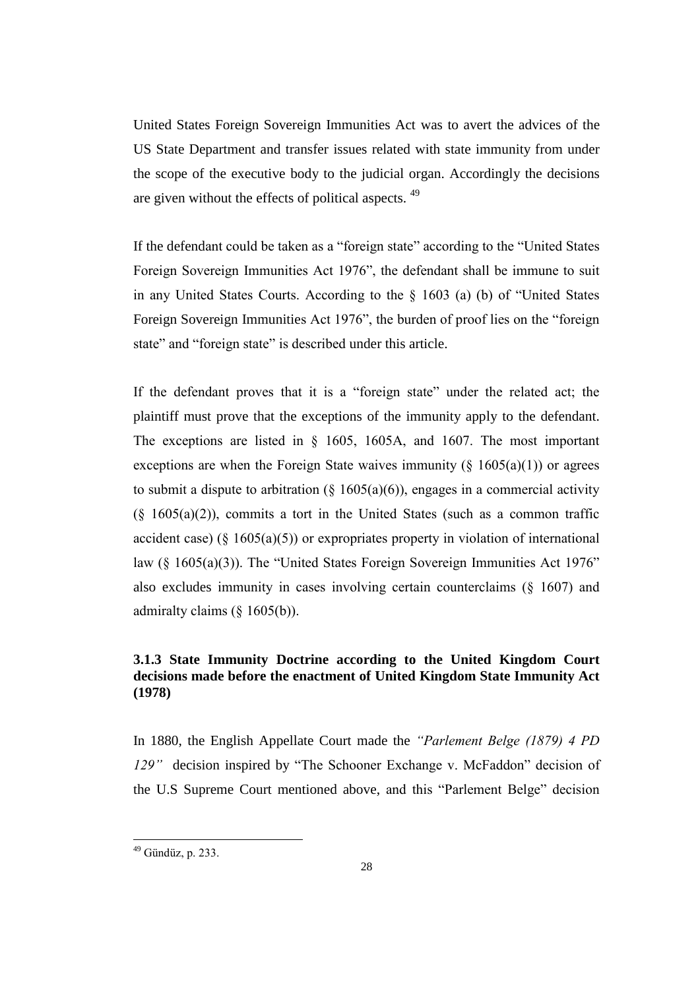United States Foreign Sovereign Immunities Act was to avert the advices of the US State Department and transfer issues related with state immunity from under the scope of the executive body to the judicial organ. Accordingly the decisions are given without the effects of political aspects. <sup>49</sup>

If the defendant could be taken as a "foreign state" according to the "United States Foreign Sovereign Immunities Act 1976", the defendant shall be immune to suit in any United States Courts. According to the § 1603 (a) (b) of "United States Foreign Sovereign Immunities Act 1976", the burden of proof lies on the "foreign state" and "foreign state" is described under this article.

If the defendant proves that it is a "foreign state" under the related act; the plaintiff must prove that the exceptions of the immunity apply to the defendant. The exceptions are listed in § 1605, 1605A, and 1607. The most important exceptions are when the Foreign State waives immunity ( $\S$  1605(a)(1)) or agrees to submit a dispute to arbitration  $(\S 1605(a)(6))$ , engages in a commercial activity  $(\S 1605(a)(2))$ , commits a tort in the United States (such as a common traffic accident case) ( $\S$  1605(a)(5)) or expropriates property in violation of international law (§ 1605(a)(3)). The "United States Foreign Sovereign Immunities Act 1976" also excludes immunity in cases involving certain counterclaims (§ 1607) and admiralty claims (§ 1605(b)).

## **3.1.3 State Immunity Doctrine according to the United Kingdom Court decisions made before the enactment of United Kingdom State Immunity Act (1978)**

In 1880, the English Appellate Court made the *"Parlement Belge (1879) 4 PD 129"*decision inspired by "The Schooner Exchange v. McFaddon" decision of the U.S Supreme Court mentioned above, and this "Parlement Belge" decision

<sup>&</sup>lt;sup>49</sup> Gündüz, p. 233.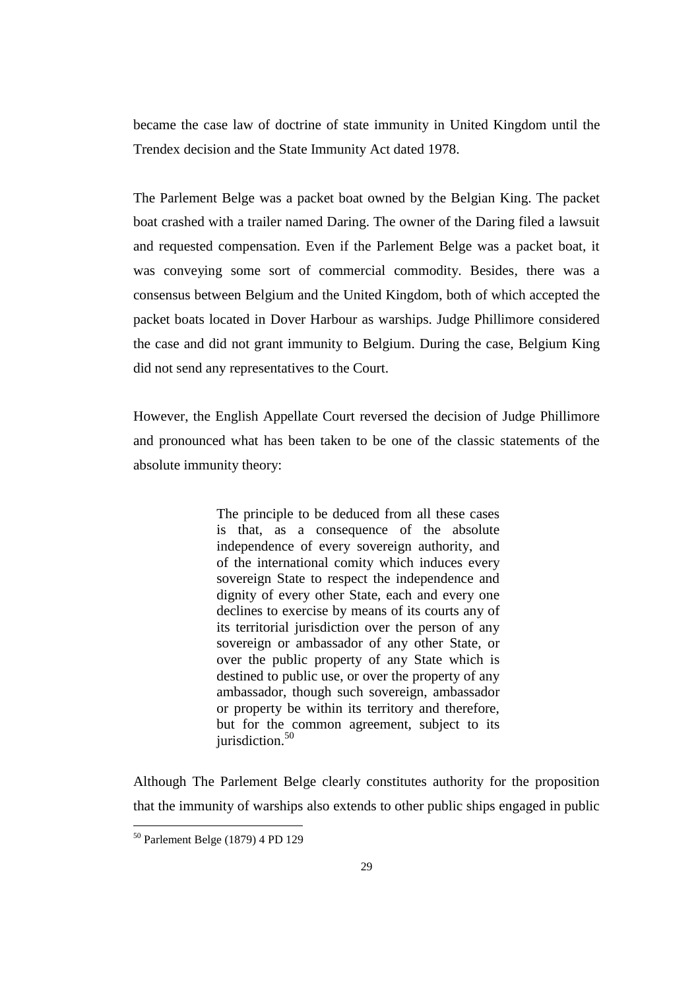became the case law of doctrine of state immunity in United Kingdom until the Trendex decision and the State Immunity Act dated 1978.

The Parlement Belge was a packet boat owned by the Belgian King. The packet boat crashed with a trailer named Daring. The owner of the Daring filed a lawsuit and requested compensation. Even if the Parlement Belge was a packet boat, it was conveying some sort of commercial commodity. Besides, there was a consensus between Belgium and the United Kingdom, both of which accepted the packet boats located in Dover Harbour as warships. Judge Phillimore considered the case and did not grant immunity to Belgium. During the case, Belgium King did not send any representatives to the Court.

However, the English Appellate Court reversed the decision of Judge Phillimore and pronounced what has been taken to be one of the classic statements of the absolute immunity theory:

> The principle to be deduced from all these cases is that, as a consequence of the absolute independence of every sovereign authority, and of the international comity which induces every sovereign State to respect the independence and dignity of every other State, each and every one declines to exercise by means of its courts any of its territorial jurisdiction over the person of any sovereign or ambassador of any other State, or over the public property of any State which is destined to public use, or over the property of any ambassador, though such sovereign, ambassador or property be within its territory and therefore, but for the common agreement, subject to its  $i$ urisdiction.<sup>50</sup>

Although The Parlement Belge clearly constitutes authority for the proposition that the immunity of warships also extends to other public ships engaged in public

<sup>50</sup> Parlement Belge (1879) 4 PD 129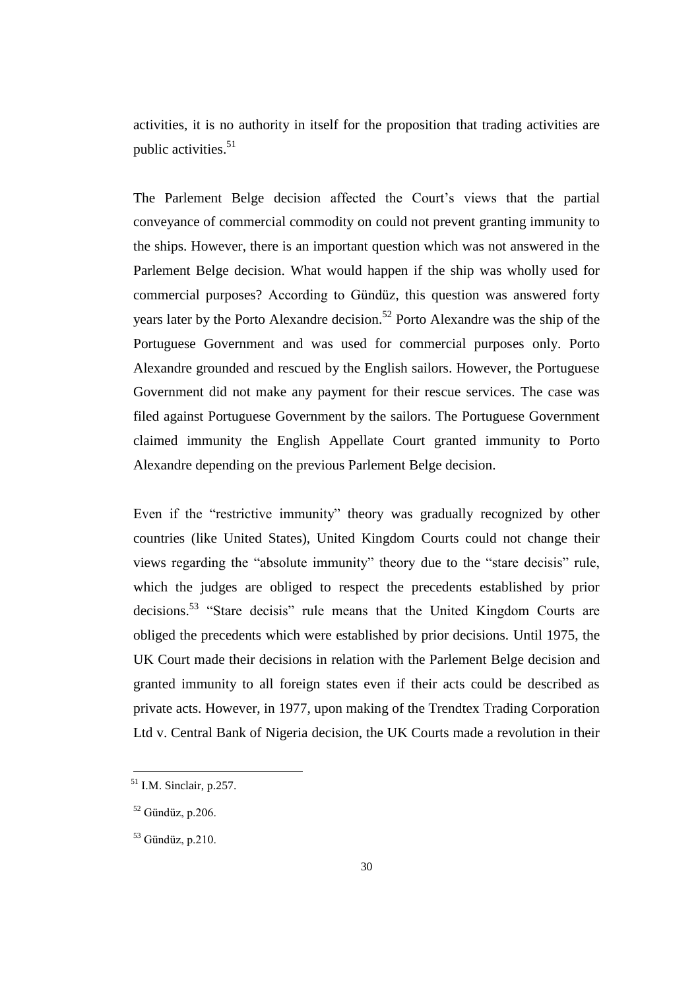activities, it is no authority in itself for the proposition that trading activities are public activities. $51$ 

The Parlement Belge decision affected the Court's views that the partial conveyance of commercial commodity on could not prevent granting immunity to the ships. However, there is an important question which was not answered in the Parlement Belge decision. What would happen if the ship was wholly used for commercial purposes? According to Gündüz, this question was answered forty years later by the Porto Alexandre decision.<sup>52</sup> Porto Alexandre was the ship of the Portuguese Government and was used for commercial purposes only. Porto Alexandre grounded and rescued by the English sailors. However, the Portuguese Government did not make any payment for their rescue services. The case was filed against Portuguese Government by the sailors. The Portuguese Government claimed immunity the English Appellate Court granted immunity to Porto Alexandre depending on the previous Parlement Belge decision.

Even if the "restrictive immunity" theory was gradually recognized by other countries (like United States), United Kingdom Courts could not change their views regarding the "absolute immunity" theory due to the "stare decisis" rule, which the judges are obliged to respect the precedents established by prior decisions.<sup>53</sup> "Stare decisis" rule means that the United Kingdom Courts are obliged the precedents which were established by prior decisions. Until 1975, the UK Court made their decisions in relation with the Parlement Belge decision and granted immunity to all foreign states even if their acts could be described as private acts. However, in 1977, upon making of the Trendtex Trading Corporation Ltd v. Central Bank of Nigeria decision, the UK Courts made a revolution in their

 $51$  I.M. Sinclair, p.257.

 $52$  Gündüz, p.206.

 $53$  Gündüz, p.210.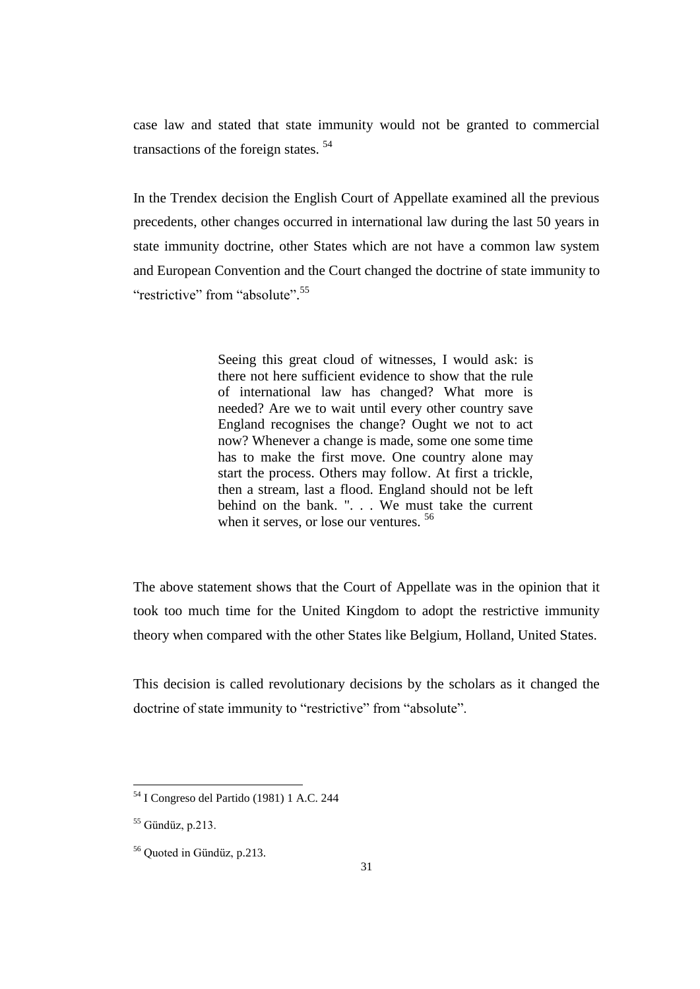case law and stated that state immunity would not be granted to commercial transactions of the foreign states. <sup>54</sup>

In the Trendex decision the English Court of Appellate examined all the previous precedents, other changes occurred in international law during the last 50 years in state immunity doctrine, other States which are not have a common law system and European Convention and the Court changed the doctrine of state immunity to "restrictive" from "absolute".<sup>55</sup>

> Seeing this great cloud of witnesses, I would ask: is there not here sufficient evidence to show that the rule of international law has changed? What more is needed? Are we to wait until every other country save England recognises the change? Ought we not to act now? Whenever a change is made, some one some time has to make the first move. One country alone may start the process. Others may follow. At first a trickle, then a stream, last a flood. England should not be left behind on the bank. ". . . We must take the current when it serves, or lose our ventures.  $56$

The above statement shows that the Court of Appellate was in the opinion that it took too much time for the United Kingdom to adopt the restrictive immunity theory when compared with the other States like Belgium, Holland, United States.

This decision is called revolutionary decisions by the scholars as it changed the doctrine of state immunity to "restrictive" from "absolute".

<sup>54</sup> I Congreso del Partido (1981) 1 A.C. 244

 $55$  Gündüz, p.213.

<sup>56</sup> Quoted in Gündüz, p.213.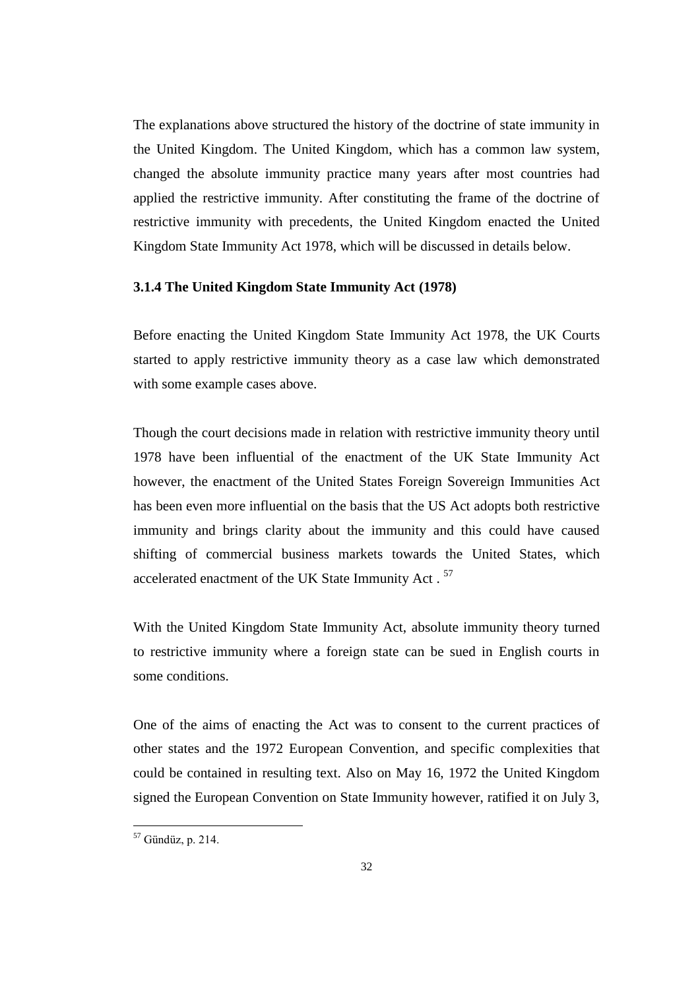The explanations above structured the history of the doctrine of state immunity in the United Kingdom. The United Kingdom, which has a common law system, changed the absolute immunity practice many years after most countries had applied the restrictive immunity. After constituting the frame of the doctrine of restrictive immunity with precedents, the United Kingdom enacted the United Kingdom State Immunity Act 1978, which will be discussed in details below.

### **3.1.4 The United Kingdom State Immunity Act (1978)**

Before enacting the United Kingdom State Immunity Act 1978, the UK Courts started to apply restrictive immunity theory as a case law which demonstrated with some example cases above.

Though the court decisions made in relation with restrictive immunity theory until 1978 have been influential of the enactment of the UK State Immunity Act however, the enactment of the United States Foreign Sovereign Immunities Act has been even more influential on the basis that the US Act adopts both restrictive immunity and brings clarity about the immunity and this could have caused shifting of commercial business markets towards the United States, which accelerated enactment of the UK State Immunity Act.<sup>57</sup>

With the United Kingdom State Immunity Act, absolute immunity theory turned to restrictive immunity where a foreign state can be sued in English courts in some conditions.

One of the aims of enacting the Act was to consent to the current practices of other states and the 1972 European Convention, and specific complexities that could be contained in resulting text. Also on May 16, 1972 the United Kingdom signed the European Convention on State Immunity however, ratified it on July 3,

 $57$  Gündüz, p. 214.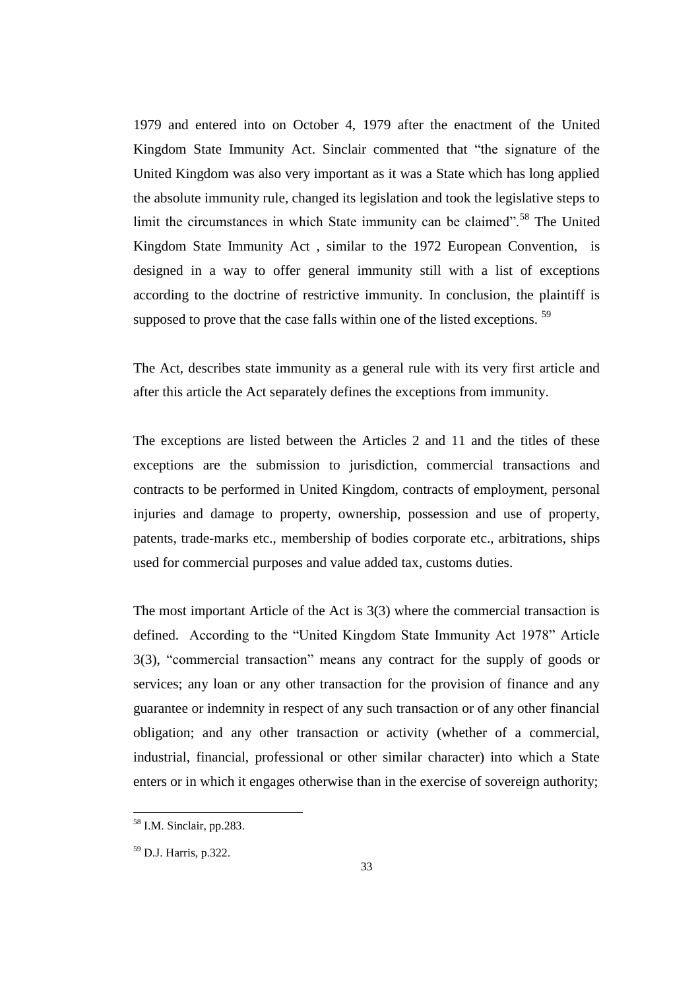1979 and entered into on October 4, 1979 after the enactment of the United Kingdom State Immunity Act. Sinclair commented that "the signature of the United Kingdom was also very important as it was a State which has long applied the absolute immunity rule, changed its legislation and took the legislative steps to limit the circumstances in which State immunity can be claimed".<sup>58</sup> The United Kingdom State Immunity Act , similar to the 1972 European Convention, is designed in a way to offer general immunity still with a list of exceptions according to the doctrine of restrictive immunity. In conclusion, the plaintiff is supposed to prove that the case falls within one of the listed exceptions.<sup>59</sup>

The Act, describes state immunity as a general rule with its very first article and after this article the Act separately defines the exceptions from immunity.

The exceptions are listed between the Articles 2 and 11 and the titles of these exceptions are the submission to jurisdiction, commercial transactions and contracts to be performed in United Kingdom, contracts of employment, personal injuries and damage to property, ownership, possession and use of property, patents, trade-marks etc., membership of bodies corporate etc., arbitrations, ships used for commercial purposes and value added tax, customs duties.

The most important Article of the Act is 3(3) where the commercial transaction is defined. According to the "United Kingdom State Immunity Act 1978" Article 3(3), "commercial transaction" means any contract for the supply of goods or services; any loan or any other transaction for the provision of finance and any guarantee or indemnity in respect of any such transaction or of any other financial obligation; and any other transaction or activity (whether of a commercial, industrial, financial, professional or other similar character) into which a State enters or in which it engages otherwise than in the exercise of sovereign authority;

<sup>58</sup> I.M. Sinclair, pp.283.

<sup>59</sup> D.J. Harris, p.322.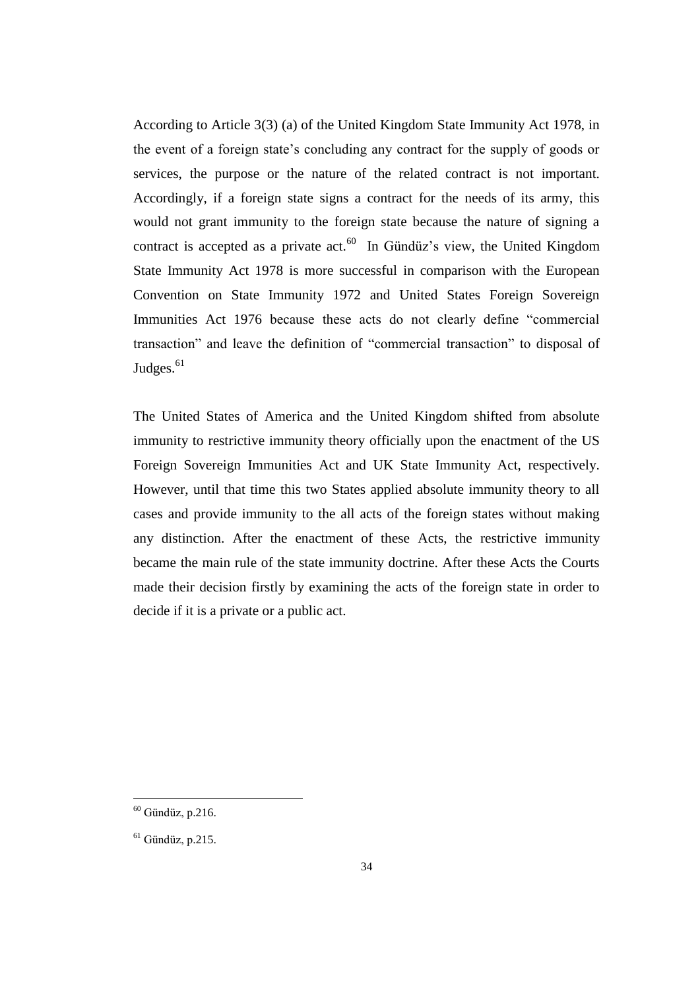According to Article 3(3) (a) of the United Kingdom State Immunity Act 1978, in the event of a foreign state's concluding any contract for the supply of goods or services, the purpose or the nature of the related contract is not important. Accordingly, if a foreign state signs a contract for the needs of its army, this would not grant immunity to the foreign state because the nature of signing a contract is accepted as a private  $act.^{60}$  In Gündüz's view, the United Kingdom State Immunity Act 1978 is more successful in comparison with the European Convention on State Immunity 1972 and United States Foreign Sovereign Immunities Act 1976 because these acts do not clearly define "commercial transaction" and leave the definition of "commercial transaction" to disposal of Judges. $61$ 

The United States of America and the United Kingdom shifted from absolute immunity to restrictive immunity theory officially upon the enactment of the US Foreign Sovereign Immunities Act and UK State Immunity Act, respectively. However, until that time this two States applied absolute immunity theory to all cases and provide immunity to the all acts of the foreign states without making any distinction. After the enactment of these Acts, the restrictive immunity became the main rule of the state immunity doctrine. After these Acts the Courts made their decision firstly by examining the acts of the foreign state in order to decide if it is a private or a public act.

 $60$  Gündüz, p.216.

 $<sup>61</sup>$  Gündüz, p.215.</sup>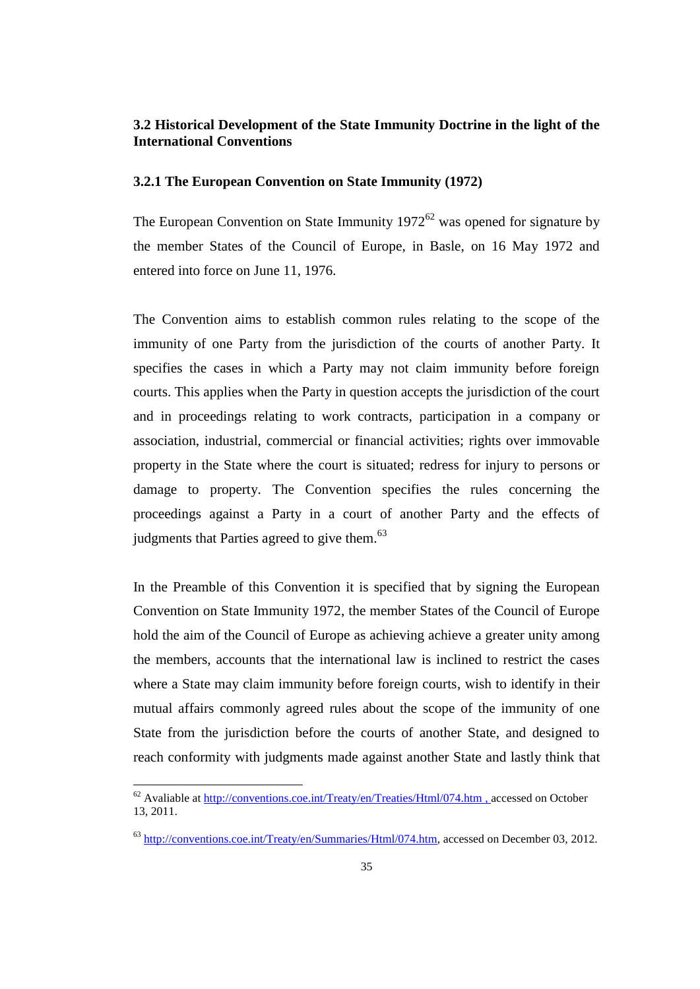## **3.2 Historical Development of the State Immunity Doctrine in the light of the International Conventions**

#### **3.2.1 The European Convention on State Immunity (1972)**

The European Convention on State Immunity  $1972^{62}$  was opened for signature by the member States of the Council of Europe, in Basle, on 16 May 1972 and entered into force on June 11, 1976.

The Convention aims to establish common rules relating to the scope of the immunity of one Party from the jurisdiction of the courts of another Party. It specifies the cases in which a Party may not claim immunity before foreign courts. This applies when the Party in question accepts the jurisdiction of the court and in proceedings relating to work contracts, participation in a company or association, industrial, commercial or financial activities; rights over immovable property in the State where the court is situated; redress for injury to persons or damage to property. The Convention specifies the rules concerning the proceedings against a Party in a court of another Party and the effects of judgments that Parties agreed to give them.<sup>63</sup>

In the Preamble of this Convention it is specified that by signing the European Convention on State Immunity 1972, the member States of the Council of Europe hold the aim of the Council of Europe as achieving achieve a greater unity among the members, accounts that the international law is inclined to restrict the cases where a State may claim immunity before foreign courts, wish to identify in their mutual affairs commonly agreed rules about the scope of the immunity of one State from the jurisdiction before the courts of another State, and designed to reach conformity with judgments made against another State and lastly think that

 $62$  Avaliable at  $\frac{http://conventions.coe.int/Teaty/en/Teaties/Html/074.htm}{http://conventions.coe.int/Teaty/en/Teaties/Html/074.htm}$ , accessed on October 13, 2011.

<sup>63</sup> [http://conventions.coe.int/Treaty/en/Summaries/Html/074.htm,](http://conventions.coe.int/Treaty/en/Summaries/Html/074.htm) accessed on December 03, 2012.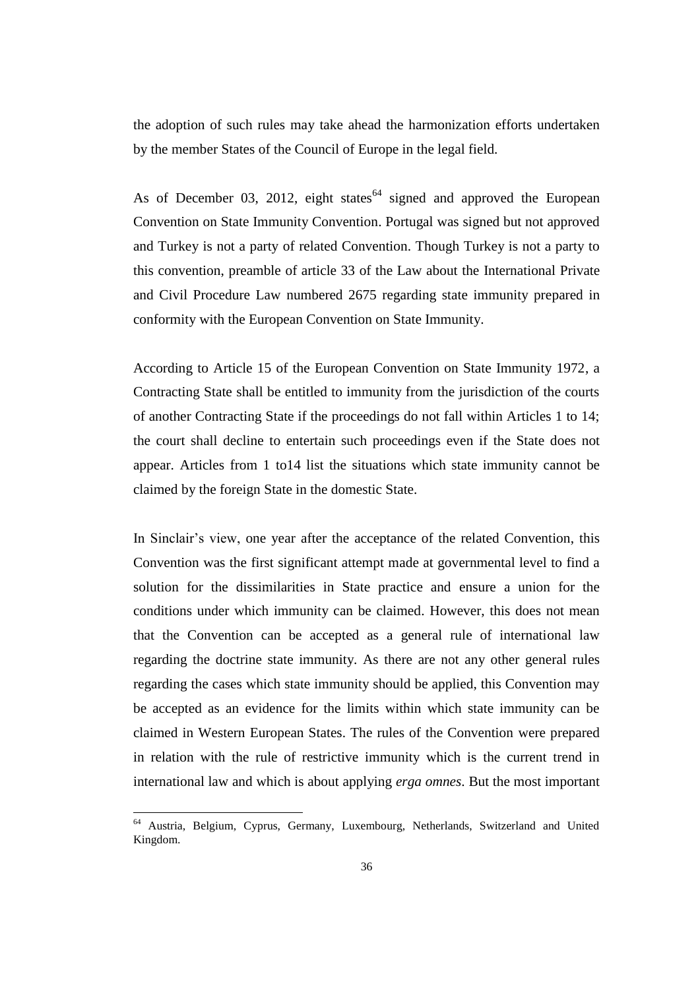the adoption of such rules may take ahead the harmonization efforts undertaken by the member States of the Council of Europe in the legal field.

As of December 03, 2012, eight states<sup>64</sup> signed and approved the European Convention on State Immunity Convention. Portugal was signed but not approved and Turkey is not a party of related Convention. Though Turkey is not a party to this convention, preamble of article 33 of the Law about the International Private and Civil Procedure Law numbered 2675 regarding state immunity prepared in conformity with the European Convention on State Immunity.

According to Article 15 of the European Convention on State Immunity 1972, a Contracting State shall be entitled to immunity from the jurisdiction of the courts of another Contracting State if the proceedings do not fall within Articles 1 to 14; the court shall decline to entertain such proceedings even if the State does not appear. Articles from 1 to14 list the situations which state immunity cannot be claimed by the foreign State in the domestic State.

In Sinclair's view, one year after the acceptance of the related Convention, this Convention was the first significant attempt made at governmental level to find a solution for the dissimilarities in State practice and ensure a union for the conditions under which immunity can be claimed. However, this does not mean that the Convention can be accepted as a general rule of international law regarding the doctrine state immunity. As there are not any other general rules regarding the cases which state immunity should be applied, this Convention may be accepted as an evidence for the limits within which state immunity can be claimed in Western European States. The rules of the Convention were prepared in relation with the rule of restrictive immunity which is the current trend in international law and which is about applying *erga omnes*. But the most important

<sup>&</sup>lt;sup>64</sup> Austria, Belgium, Cyprus, Germany, Luxembourg, Netherlands, Switzerland and United Kingdom.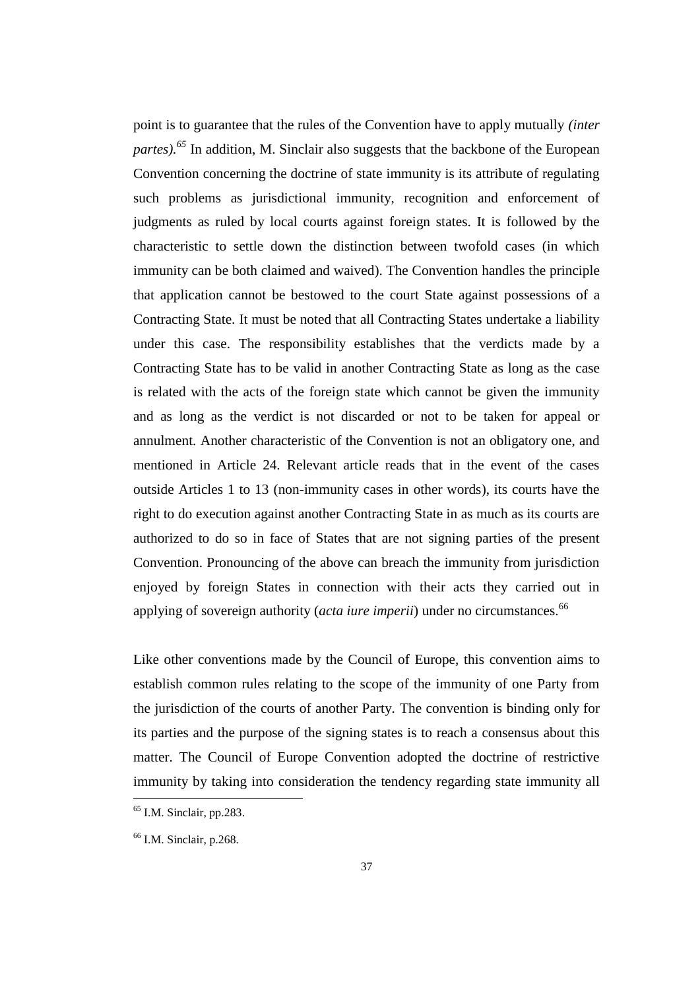point is to guarantee that the rules of the Convention have to apply mutually *(inter partes). <sup>65</sup>* In addition, M. Sinclair also suggests that the backbone of the European Convention concerning the doctrine of state immunity is its attribute of regulating such problems as jurisdictional immunity, recognition and enforcement of judgments as ruled by local courts against foreign states. It is followed by the characteristic to settle down the distinction between twofold cases (in which immunity can be both claimed and waived). The Convention handles the principle that application cannot be bestowed to the court State against possessions of a Contracting State. It must be noted that all Contracting States undertake a liability under this case. The responsibility establishes that the verdicts made by a Contracting State has to be valid in another Contracting State as long as the case is related with the acts of the foreign state which cannot be given the immunity and as long as the verdict is not discarded or not to be taken for appeal or annulment. Another characteristic of the Convention is not an obligatory one, and mentioned in Article 24. Relevant article reads that in the event of the cases outside Articles 1 to 13 (non-immunity cases in other words), its courts have the right to do execution against another Contracting State in as much as its courts are authorized to do so in face of States that are not signing parties of the present Convention. Pronouncing of the above can breach the immunity from jurisdiction enjoyed by foreign States in connection with their acts they carried out in applying of sovereign authority (*acta iure imperii*) under no circumstances.<sup>66</sup>

Like other conventions made by the Council of Europe, this convention aims to establish common rules relating to the scope of the immunity of one Party from the jurisdiction of the courts of another Party. The convention is binding only for its parties and the purpose of the signing states is to reach a consensus about this matter. The Council of Europe Convention adopted the doctrine of restrictive immunity by taking into consideration the tendency regarding state immunity all

 $<sup>65</sup>$  I.M. Sinclair, pp.283.</sup>

 $<sup>66</sup>$  I.M. Sinclair, p.268.</sup>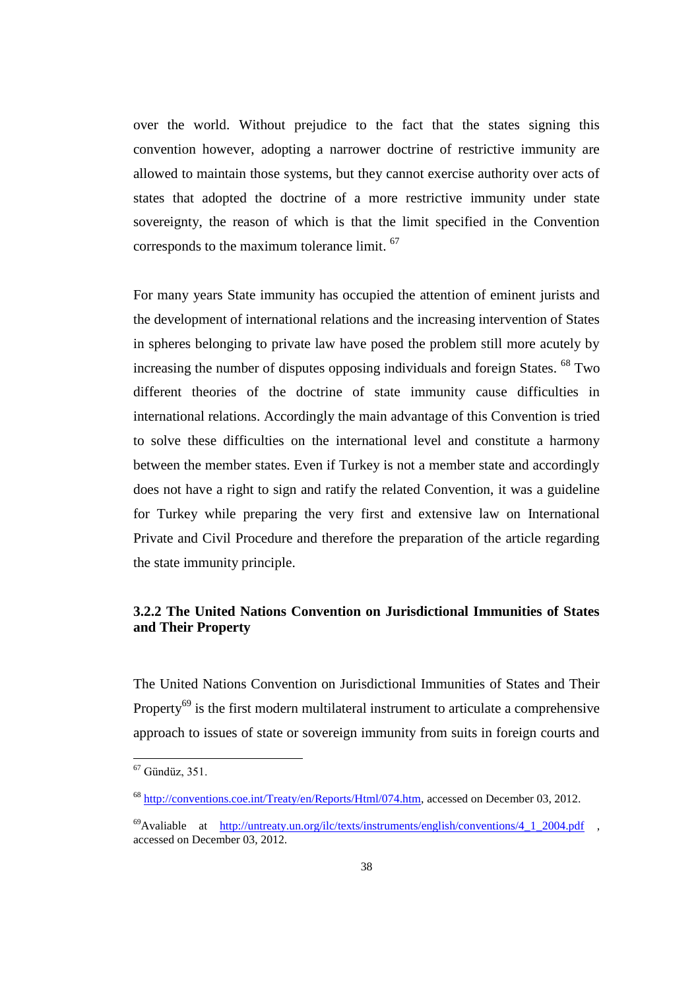over the world. Without prejudice to the fact that the states signing this convention however, adopting a narrower doctrine of restrictive immunity are allowed to maintain those systems, but they cannot exercise authority over acts of states that adopted the doctrine of a more restrictive immunity under state sovereignty, the reason of which is that the limit specified in the Convention corresponds to the maximum tolerance limit. <sup>67</sup>

For many years State immunity has occupied the attention of eminent jurists and the development of international relations and the increasing intervention of States in spheres belonging to private law have posed the problem still more acutely by increasing the number of disputes opposing individuals and foreign States. <sup>68</sup> Two different theories of the doctrine of state immunity cause difficulties in international relations. Accordingly the main advantage of this Convention is tried to solve these difficulties on the international level and constitute a harmony between the member states. Even if Turkey is not a member state and accordingly does not have a right to sign and ratify the related Convention, it was a guideline for Turkey while preparing the very first and extensive law on International Private and Civil Procedure and therefore the preparation of the article regarding the state immunity principle.

# **3.2.2 The United Nations Convention on Jurisdictional Immunities of States and Their Property**

The United Nations Convention on Jurisdictional Immunities of States and Their Property<sup>69</sup> is the first modern multilateral instrument to articulate a comprehensive approach to issues of state or sovereign immunity from suits in foreign courts and

 $67$  Gündüz, 351.

<sup>68</sup> [http://conventions.coe.int/Treaty/en/Reports/Html/074.htm,](http://conventions.coe.int/Treaty/en/Reports/Html/074.htm) accessed on December 03, 2012.

 $^{69}$ Avaliable at <u>[http://untreaty.un.org/ilc/texts/instruments/english/conventions/4\\_1\\_2004.pdf](http://untreaty.un.org/ilc/texts/instruments/english/conventions/4_1_2004.pdf)</u> . accessed on December 03, 2012.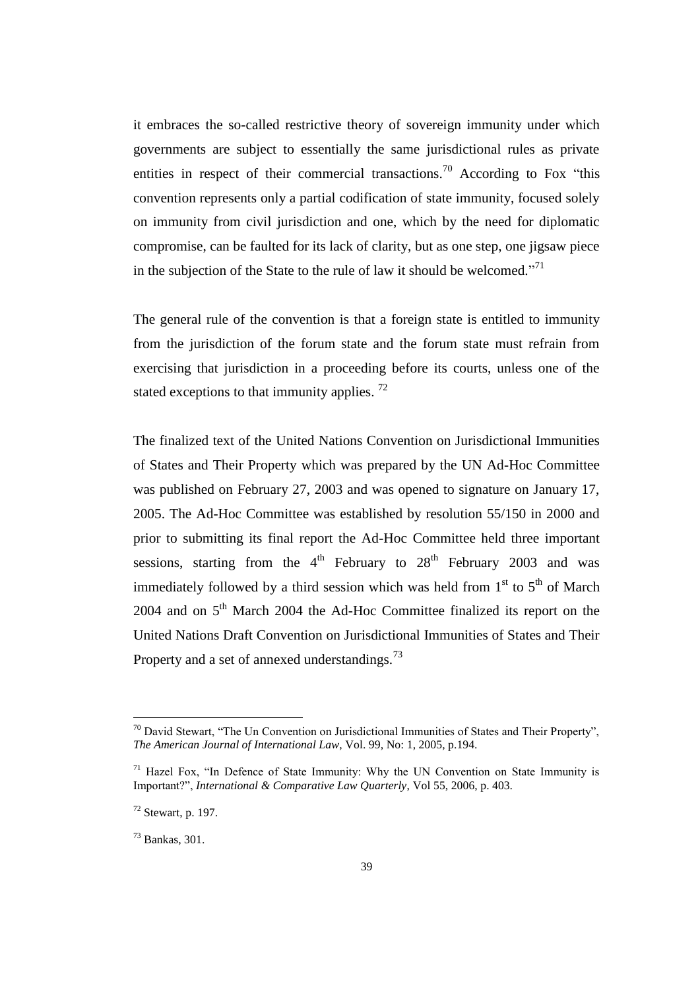it embraces the so-called restrictive theory of sovereign immunity under which governments are subject to essentially the same jurisdictional rules as private entities in respect of their commercial transactions.<sup>70</sup> According to Fox "this convention represents only a partial codification of state immunity, focused solely on immunity from civil jurisdiction and one, which by the need for diplomatic compromise, can be faulted for its lack of clarity, but as one step, one jigsaw piece in the subjection of the State to the rule of law it should be welcomed. $171$ 

The general rule of the convention is that a foreign state is entitled to immunity from the jurisdiction of the forum state and the forum state must refrain from exercising that jurisdiction in a proceeding before its courts, unless one of the stated exceptions to that immunity applies.<sup>72</sup>

The finalized text of the United Nations Convention on Jurisdictional Immunities of States and Their Property which was prepared by the UN Ad-Hoc Committee was published on February 27, 2003 and was opened to signature on January 17, 2005. The Ad-Hoc Committee was established by resolution 55/150 in 2000 and prior to submitting its final report the Ad-Hoc Committee held three important sessions, starting from the  $4<sup>th</sup>$  February to  $28<sup>th</sup>$  February 2003 and was immediately followed by a third session which was held from  $1<sup>st</sup>$  to  $5<sup>th</sup>$  of March 2004 and on 5<sup>th</sup> March 2004 the Ad-Hoc Committee finalized its report on the United Nations Draft Convention on Jurisdictional Immunities of States and Their Property and a set of annexed understandings.<sup>73</sup>

 $70$  David Stewart, "The Un Convention on Jurisdictional Immunities of States and Their Property", *The American Journal of International Law*, Vol. 99, No: 1, 2005, p.194.

 $71$  Hazel Fox, "In Defence of State Immunity: Why the UN Convention on State Immunity is Important?", *International & Comparative Law Quarterly*, Vol 55, 2006, p. 403.

 $72$  Stewart, p. 197.

<sup>73</sup> Bankas, 301.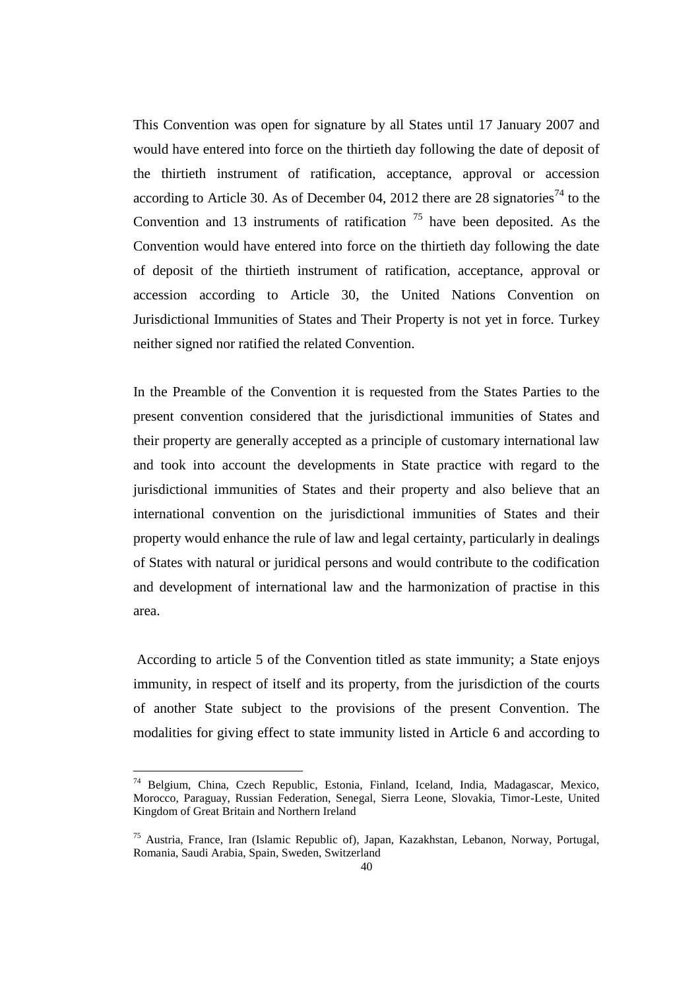This Convention was open for signature by all States until 17 January 2007 and would have entered into force on the thirtieth day following the date of deposit of the thirtieth instrument of ratification, acceptance, approval or accession according to Article 30. As of December 04, 2012 there are 28 signatories<sup>74</sup> to the Convention and 13 instruments of ratification  $<sup>75</sup>$  have been deposited. As the</sup> Convention would have entered into force on the thirtieth day following the date of deposit of the thirtieth instrument of ratification, acceptance, approval or accession according to Article 30, the United Nations Convention on Jurisdictional Immunities of States and Their Property is not yet in force. Turkey neither signed nor ratified the related Convention.

In the Preamble of the Convention it is requested from the States Parties to the present convention considered that the jurisdictional immunities of States and their property are generally accepted as a principle of customary international law and took into account the developments in State practice with regard to the jurisdictional immunities of States and their property and also believe that an international convention on the jurisdictional immunities of States and their property would enhance the rule of law and legal certainty, particularly in dealings of States with natural or juridical persons and would contribute to the codification and development of international law and the harmonization of practise in this area.

According to article 5 of the Convention titled as state immunity; a State enjoys immunity, in respect of itself and its property, from the jurisdiction of the courts of another State subject to the provisions of the present Convention. The modalities for giving effect to state immunity listed in Article 6 and according to

<sup>74</sup> Belgium, China, Czech Republic, Estonia, Finland, Iceland, India, Madagascar, Mexico, Morocco, Paraguay, Russian Federation, Senegal, Sierra Leone, Slovakia, Timor-Leste, United Kingdom of Great Britain and Northern Ireland

<sup>75</sup> Austria, France, Iran (Islamic Republic of), Japan, Kazakhstan, Lebanon, Norway, Portugal, Romania, Saudi Arabia, Spain, Sweden, Switzerland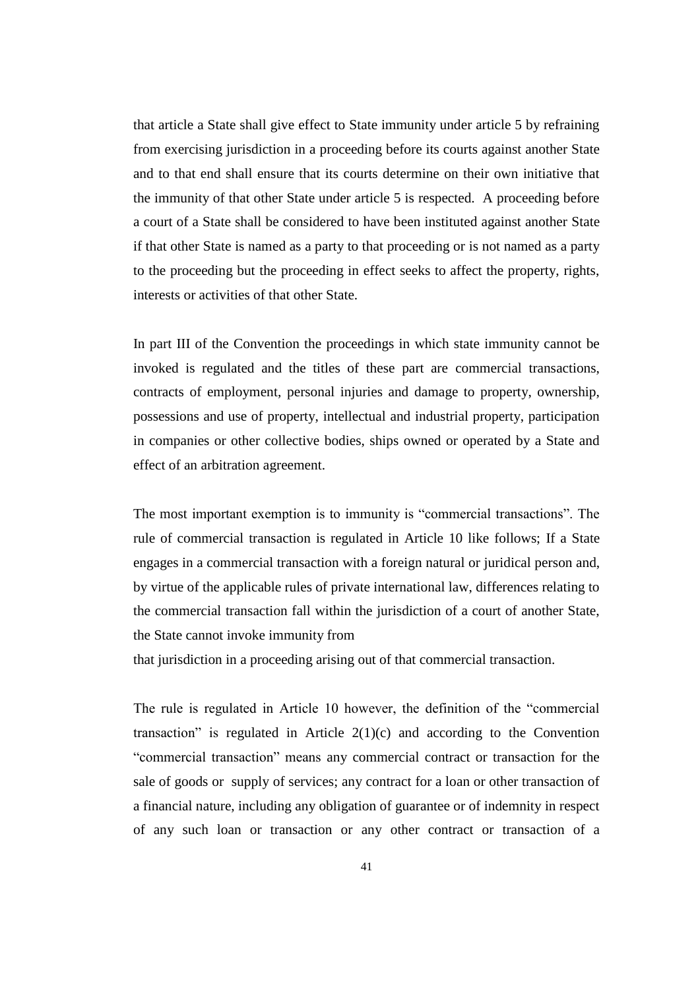that article a State shall give effect to State immunity under article 5 by refraining from exercising jurisdiction in a proceeding before its courts against another State and to that end shall ensure that its courts determine on their own initiative that the immunity of that other State under article 5 is respected. A proceeding before a court of a State shall be considered to have been instituted against another State if that other State is named as a party to that proceeding or is not named as a party to the proceeding but the proceeding in effect seeks to affect the property, rights, interests or activities of that other State.

In part III of the Convention the proceedings in which state immunity cannot be invoked is regulated and the titles of these part are commercial transactions, contracts of employment, personal injuries and damage to property, ownership, possessions and use of property, intellectual and industrial property, participation in companies or other collective bodies, ships owned or operated by a State and effect of an arbitration agreement.

The most important exemption is to immunity is "commercial transactions". The rule of commercial transaction is regulated in Article 10 like follows; If a State engages in a commercial transaction with a foreign natural or juridical person and, by virtue of the applicable rules of private international law, differences relating to the commercial transaction fall within the jurisdiction of a court of another State, the State cannot invoke immunity from

that jurisdiction in a proceeding arising out of that commercial transaction.

The rule is regulated in Article 10 however, the definition of the "commercial transaction" is regulated in Article  $2(1)(c)$  and according to the Convention "commercial transaction" means any commercial contract or transaction for the sale of goods or supply of services; any contract for a loan or other transaction of a financial nature, including any obligation of guarantee or of indemnity in respect of any such loan or transaction or any other contract or transaction of a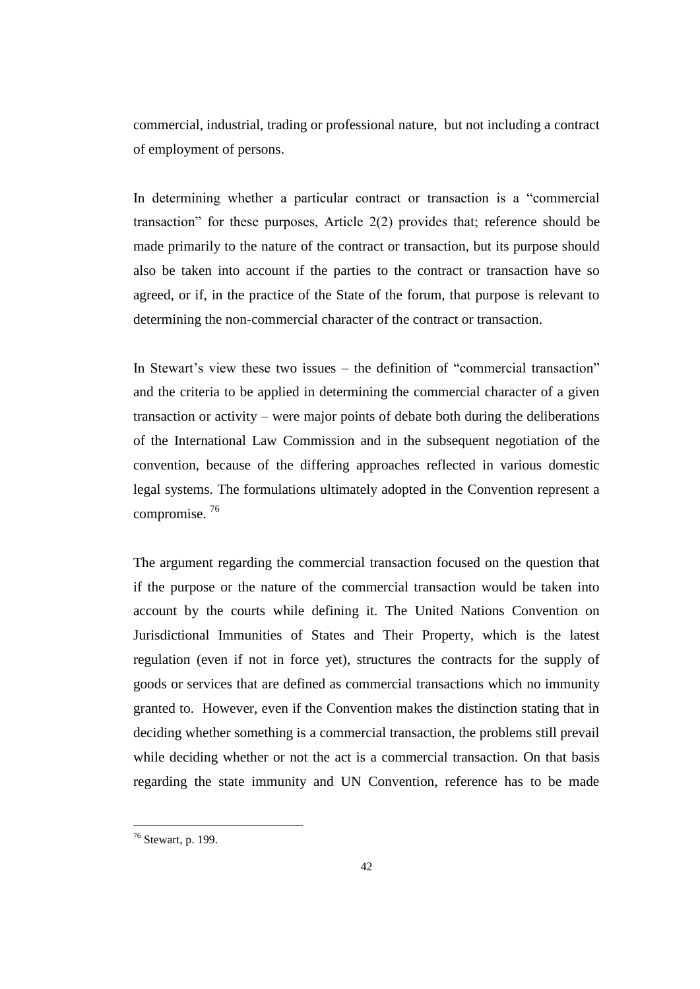commercial, industrial, trading or professional nature, but not including a contract of employment of persons.

In determining whether a particular contract or transaction is a "commercial transaction" for these purposes, Article 2(2) provides that; reference should be made primarily to the nature of the contract or transaction, but its purpose should also be taken into account if the parties to the contract or transaction have so agreed, or if, in the practice of the State of the forum, that purpose is relevant to determining the non-commercial character of the contract or transaction.

In Stewart's view these two issues – the definition of "commercial transaction" and the criteria to be applied in determining the commercial character of a given transaction or activity – were major points of debate both during the deliberations of the International Law Commission and in the subsequent negotiation of the convention, because of the differing approaches reflected in various domestic legal systems. The formulations ultimately adopted in the Convention represent a compromise. <sup>76</sup>

The argument regarding the commercial transaction focused on the question that if the purpose or the nature of the commercial transaction would be taken into account by the courts while defining it. The United Nations Convention on Jurisdictional Immunities of States and Their Property, which is the latest regulation (even if not in force yet), structures the contracts for the supply of goods or services that are defined as commercial transactions which no immunity granted to. However, even if the Convention makes the distinction stating that in deciding whether something is a commercial transaction, the problems still prevail while deciding whether or not the act is a commercial transaction. On that basis regarding the state immunity and UN Convention, reference has to be made

 $76$  Stewart, p. 199.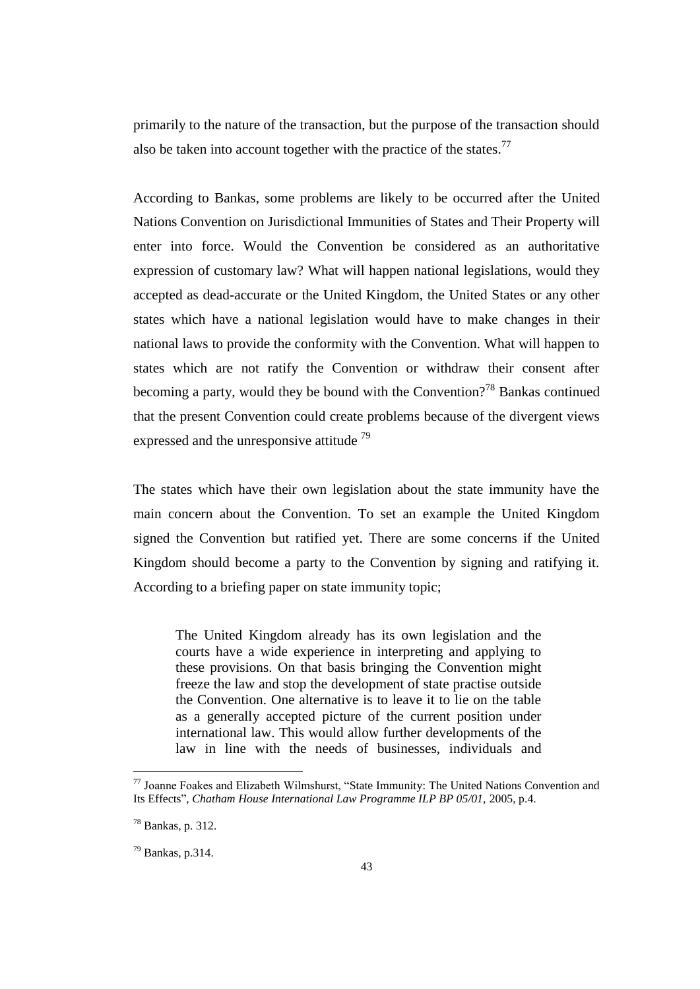primarily to the nature of the transaction, but the purpose of the transaction should also be taken into account together with the practice of the states.<sup>77</sup>

According to Bankas, some problems are likely to be occurred after the United Nations Convention on Jurisdictional Immunities of States and Their Property will enter into force. Would the Convention be considered as an authoritative expression of customary law? What will happen national legislations, would they accepted as dead-accurate or the United Kingdom, the United States or any other states which have a national legislation would have to make changes in their national laws to provide the conformity with the Convention. What will happen to states which are not ratify the Convention or withdraw their consent after becoming a party, would they be bound with the Convention?<sup>78</sup> Bankas continued that the present Convention could create problems because of the divergent views expressed and the unresponsive attitude  $79$ 

The states which have their own legislation about the state immunity have the main concern about the Convention. To set an example the United Kingdom signed the Convention but ratified yet. There are some concerns if the United Kingdom should become a party to the Convention by signing and ratifying it. According to a briefing paper on state immunity topic;

The United Kingdom already has its own legislation and the courts have a wide experience in interpreting and applying to these provisions. On that basis bringing the Convention might freeze the law and stop the development of state practise outside the Convention. One alternative is to leave it to lie on the table as a generally accepted picture of the current position under international law. This would allow further developments of the law in line with the needs of businesses, individuals and

 $77$  Joanne Foakes and Elizabeth Wilmshurst, "State Immunity: The United Nations Convention and Its Effects", *Chatham House International Law Programme ILP BP 05/01*, 2005, p.4.

<sup>78</sup> Bankas, p. 312.

 $79$  Bankas, p.314.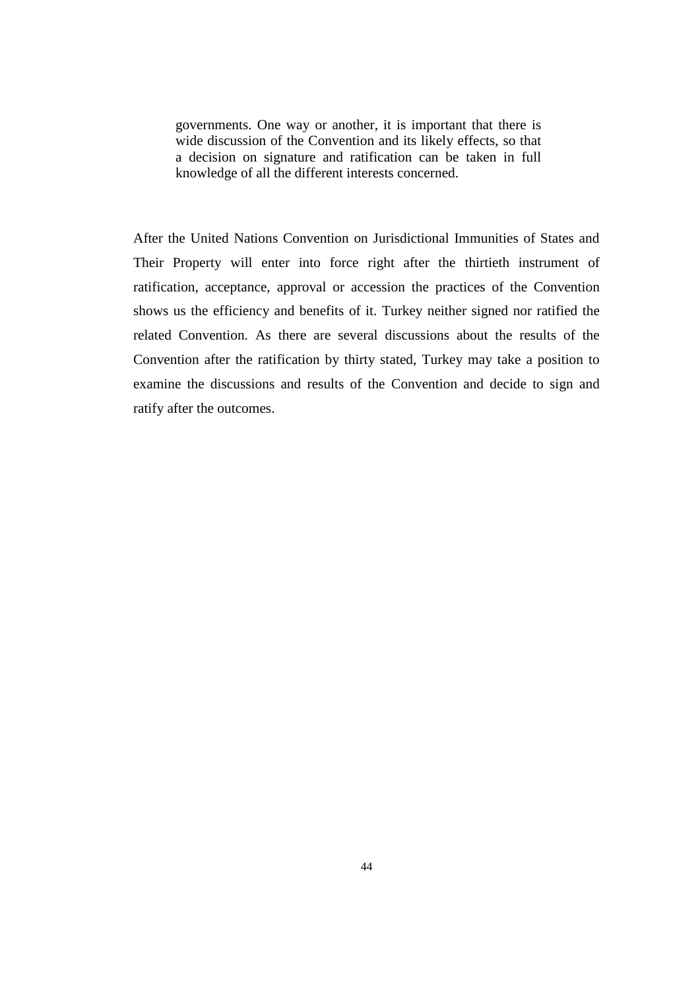governments. One way or another, it is important that there is wide discussion of the Convention and its likely effects, so that a decision on signature and ratification can be taken in full knowledge of all the different interests concerned.

After the United Nations Convention on Jurisdictional Immunities of States and Their Property will enter into force right after the thirtieth instrument of ratification, acceptance, approval or accession the practices of the Convention shows us the efficiency and benefits of it. Turkey neither signed nor ratified the related Convention. As there are several discussions about the results of the Convention after the ratification by thirty stated, Turkey may take a position to examine the discussions and results of the Convention and decide to sign and ratify after the outcomes.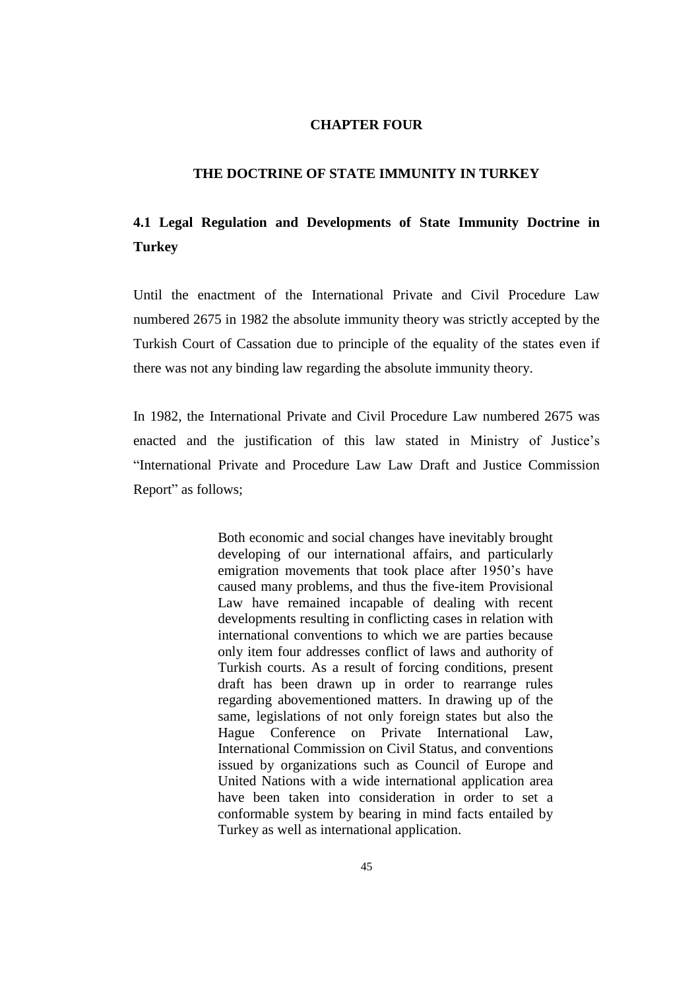### **CHAPTER FOUR**

## **THE DOCTRINE OF STATE IMMUNITY IN TURKEY**

# **4.1 Legal Regulation and Developments of State Immunity Doctrine in Turkey**

Until the enactment of the International Private and Civil Procedure Law numbered 2675 in 1982 the absolute immunity theory was strictly accepted by the Turkish Court of Cassation due to principle of the equality of the states even if there was not any binding law regarding the absolute immunity theory.

In 1982, the International Private and Civil Procedure Law numbered 2675 was enacted and the justification of this law stated in Ministry of Justice's "International Private and Procedure Law Law Draft and Justice Commission Report" as follows;

> Both economic and social changes have inevitably brought developing of our international affairs, and particularly emigration movements that took place after 1950's have caused many problems, and thus the five-item Provisional Law have remained incapable of dealing with recent developments resulting in conflicting cases in relation with international conventions to which we are parties because only item four addresses conflict of laws and authority of Turkish courts. As a result of forcing conditions, present draft has been drawn up in order to rearrange rules regarding abovementioned matters. In drawing up of the same, legislations of not only foreign states but also the Hague Conference on Private International Law, International Commission on Civil Status, and conventions issued by organizations such as Council of Europe and United Nations with a wide international application area have been taken into consideration in order to set a conformable system by bearing in mind facts entailed by Turkey as well as international application.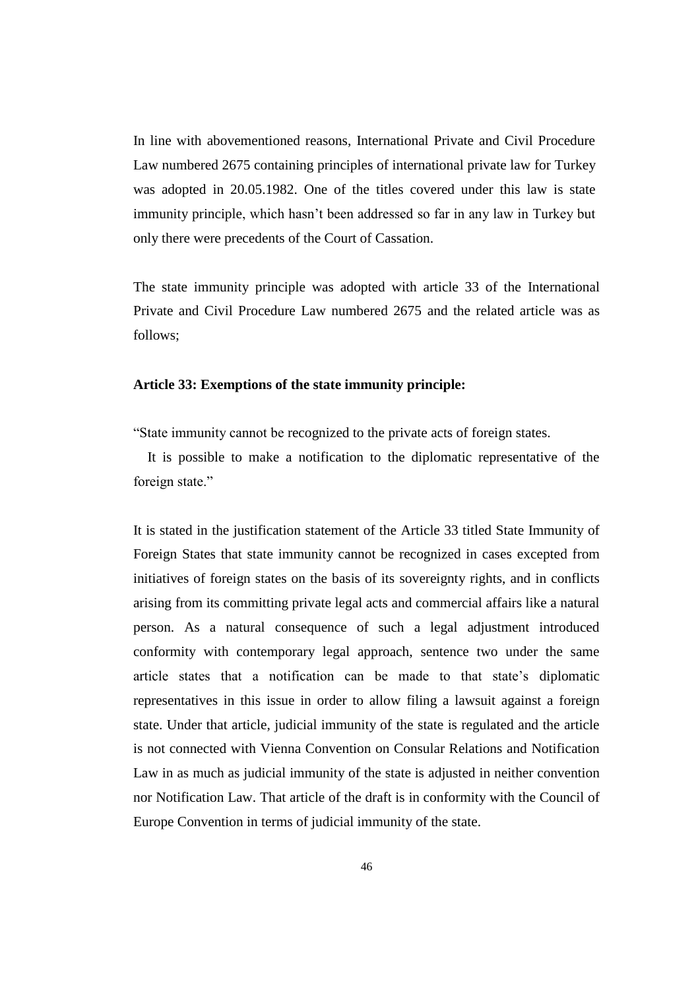In line with abovementioned reasons, International Private and Civil Procedure Law numbered 2675 containing principles of international private law for Turkey was adopted in 20.05.1982. One of the titles covered under this law is state immunity principle, which hasn't been addressed so far in any law in Turkey but only there were precedents of the Court of Cassation.

The state immunity principle was adopted with article 33 of the International Private and Civil Procedure Law numbered 2675 and the related article was as follows;

#### **Article 33: Exemptions of the state immunity principle:**

"State immunity cannot be recognized to the private acts of foreign states.

 It is possible to make a notification to the diplomatic representative of the foreign state."

It is stated in the justification statement of the Article 33 titled State Immunity of Foreign States that state immunity cannot be recognized in cases excepted from initiatives of foreign states on the basis of its sovereignty rights, and in conflicts arising from its committing private legal acts and commercial affairs like a natural person. As a natural consequence of such a legal adjustment introduced conformity with contemporary legal approach, sentence two under the same article states that a notification can be made to that state's diplomatic representatives in this issue in order to allow filing a lawsuit against a foreign state. Under that article, judicial immunity of the state is regulated and the article is not connected with Vienna Convention on Consular Relations and Notification Law in as much as judicial immunity of the state is adjusted in neither convention nor Notification Law. That article of the draft is in conformity with the Council of Europe Convention in terms of judicial immunity of the state.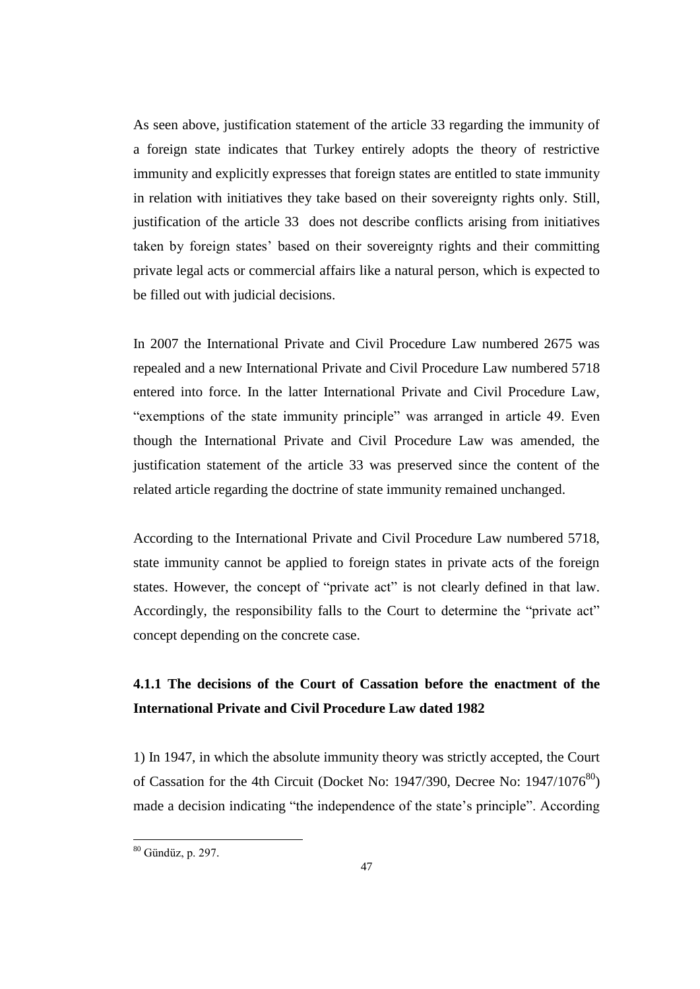As seen above, justification statement of the article 33 regarding the immunity of a foreign state indicates that Turkey entirely adopts the theory of restrictive immunity and explicitly expresses that foreign states are entitled to state immunity in relation with initiatives they take based on their sovereignty rights only. Still, justification of the article 33 does not describe conflicts arising from initiatives taken by foreign states' based on their sovereignty rights and their committing private legal acts or commercial affairs like a natural person, which is expected to be filled out with judicial decisions.

In 2007 the International Private and Civil Procedure Law numbered 2675 was repealed and a new International Private and Civil Procedure Law numbered 5718 entered into force. In the latter International Private and Civil Procedure Law, "exemptions of the state immunity principle" was arranged in article 49. Even though the International Private and Civil Procedure Law was amended, the justification statement of the article 33 was preserved since the content of the related article regarding the doctrine of state immunity remained unchanged.

According to the International Private and Civil Procedure Law numbered 5718, state immunity cannot be applied to foreign states in private acts of the foreign states. However, the concept of "private act" is not clearly defined in that law. Accordingly, the responsibility falls to the Court to determine the "private act" concept depending on the concrete case.

# **4.1.1 The decisions of the Court of Cassation before the enactment of the International Private and Civil Procedure Law dated 1982**

1) In 1947, in which the absolute immunity theory was strictly accepted, the Court of Cassation for the 4th Circuit (Docket No: 1947/390, Decree No:  $1947/1076^{80}$ ) made a decision indicating "the independence of the state's principle". According

 $80$  Gündüz, p. 297.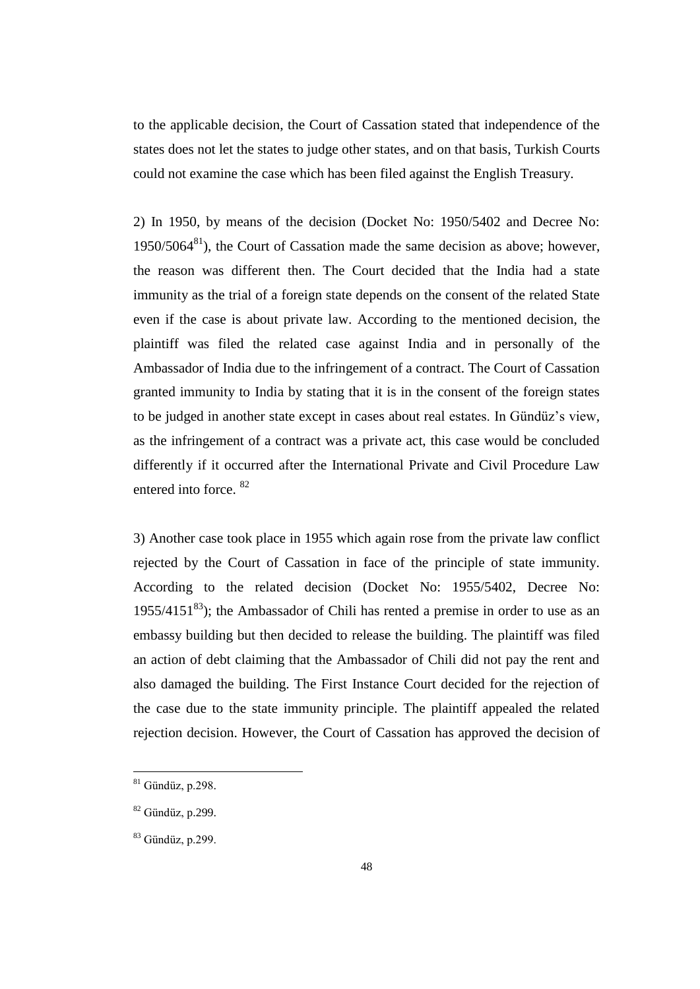to the applicable decision, the Court of Cassation stated that independence of the states does not let the states to judge other states, and on that basis, Turkish Courts could not examine the case which has been filed against the English Treasury.

2) In 1950, by means of the decision (Docket No: 1950/5402 and Decree No:  $1950/5064^{81}$ ), the Court of Cassation made the same decision as above; however, the reason was different then. The Court decided that the India had a state immunity as the trial of a foreign state depends on the consent of the related State even if the case is about private law. According to the mentioned decision, the plaintiff was filed the related case against India and in personally of the Ambassador of India due to the infringement of a contract. The Court of Cassation granted immunity to India by stating that it is in the consent of the foreign states to be judged in another state except in cases about real estates. In Gündüz's view, as the infringement of a contract was a private act, this case would be concluded differently if it occurred after the International Private and Civil Procedure Law entered into force. <sup>82</sup>

3) Another case took place in 1955 which again rose from the private law conflict rejected by the Court of Cassation in face of the principle of state immunity. According to the related decision (Docket No: 1955/5402, Decree No: 1955/4151 $^{83}$ ); the Ambassador of Chili has rented a premise in order to use as an embassy building but then decided to release the building. The plaintiff was filed an action of debt claiming that the Ambassador of Chili did not pay the rent and also damaged the building. The First Instance Court decided for the rejection of the case due to the state immunity principle. The plaintiff appealed the related rejection decision. However, the Court of Cassation has approved the decision of

 $81$  Gündüz, p.298.

 $82$  Gündüz, p.299.

 $83$  Gündüz, p.299.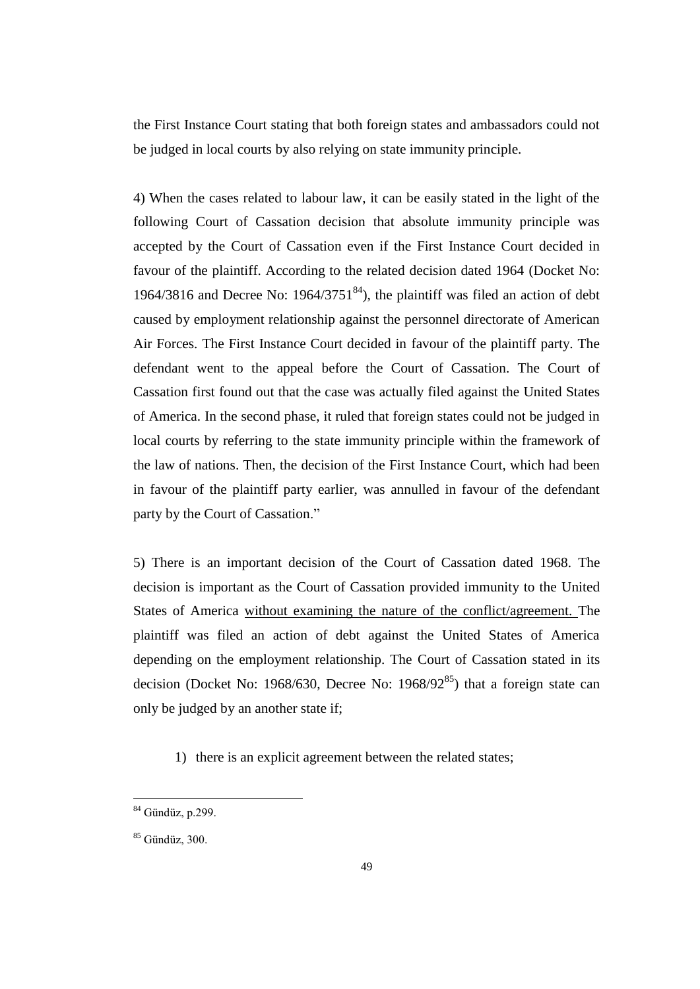the First Instance Court stating that both foreign states and ambassadors could not be judged in local courts by also relying on state immunity principle.

4) When the cases related to labour law, it can be easily stated in the light of the following Court of Cassation decision that absolute immunity principle was accepted by the Court of Cassation even if the First Instance Court decided in favour of the plaintiff. According to the related decision dated 1964 (Docket No: 1964/3816 and Decree No:  $1964/3751^{84}$ , the plaintiff was filed an action of debt caused by employment relationship against the personnel directorate of American Air Forces. The First Instance Court decided in favour of the plaintiff party. The defendant went to the appeal before the Court of Cassation. The Court of Cassation first found out that the case was actually filed against the United States of America. In the second phase, it ruled that foreign states could not be judged in local courts by referring to the state immunity principle within the framework of the law of nations. Then, the decision of the First Instance Court, which had been in favour of the plaintiff party earlier, was annulled in favour of the defendant party by the Court of Cassation."

5) There is an important decision of the Court of Cassation dated 1968. The decision is important as the Court of Cassation provided immunity to the United States of America without examining the nature of the conflict/agreement. The plaintiff was filed an action of debt against the United States of America depending on the employment relationship. The Court of Cassation stated in its decision (Docket No: 1968/630, Decree No: 1968/92 $^{85}$ ) that a foreign state can only be judged by an another state if;

1) there is an explicit agreement between the related states;

<sup>&</sup>lt;sup>84</sup> Gündüz, p.299.

<sup>85</sup> Gündüz, 300.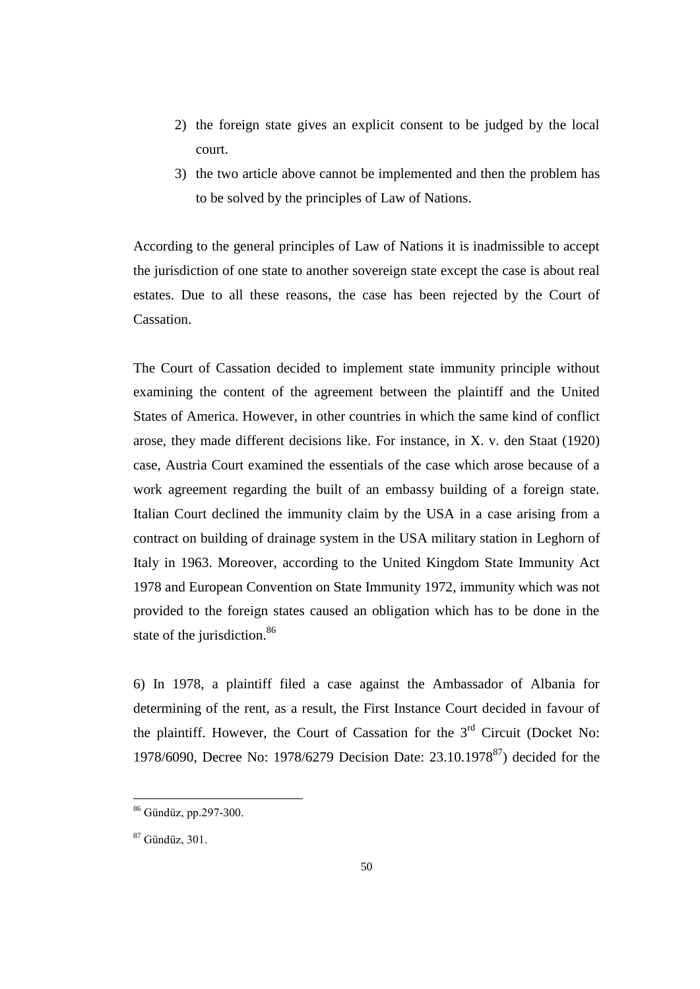- 2) the foreign state gives an explicit consent to be judged by the local court.
- 3) the two article above cannot be implemented and then the problem has to be solved by the principles of Law of Nations.

According to the general principles of Law of Nations it is inadmissible to accept the jurisdiction of one state to another sovereign state except the case is about real estates. Due to all these reasons, the case has been rejected by the Court of Cassation.

The Court of Cassation decided to implement state immunity principle without examining the content of the agreement between the plaintiff and the United States of America. However, in other countries in which the same kind of conflict arose, they made different decisions like. For instance, in X. v. den Staat (1920) case, Austria Court examined the essentials of the case which arose because of a work agreement regarding the built of an embassy building of a foreign state. Italian Court declined the immunity claim by the USA in a case arising from a contract on building of drainage system in the USA military station in Leghorn of Italy in 1963. Moreover, according to the United Kingdom State Immunity Act 1978 and European Convention on State Immunity 1972, immunity which was not provided to the foreign states caused an obligation which has to be done in the state of the jurisdiction.<sup>86</sup>

6) In 1978, a plaintiff filed a case against the Ambassador of Albania for determining of the rent, as a result, the First Instance Court decided in favour of the plaintiff. However, the Court of Cassation for the  $3<sup>rd</sup>$  Circuit (Docket No: 1978/6090, Decree No: 1978/6279 Decision Date: 23.10.1978<sup>87</sup>) decided for the

<sup>86</sup> Gündüz, pp.297-300.

<sup>87</sup> Gündüz, 301.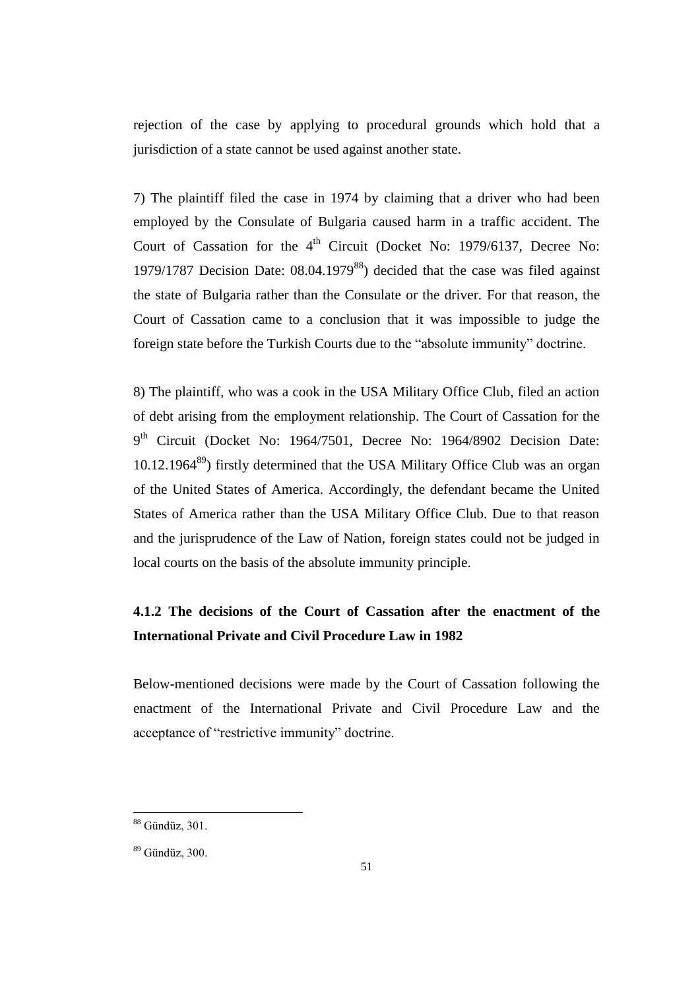rejection of the case by applying to procedural grounds which hold that a jurisdiction of a state cannot be used against another state.

7) The plaintiff filed the case in 1974 by claiming that a driver who had been employed by the Consulate of Bulgaria caused harm in a traffic accident. The Court of Cassation for the  $4<sup>th</sup>$  Circuit (Docket No: 1979/6137, Decree No: 1979/1787 Decision Date:  $08.04.1979^{88}$  decided that the case was filed against the state of Bulgaria rather than the Consulate or the driver. For that reason, the Court of Cassation came to a conclusion that it was impossible to judge the foreign state before the Turkish Courts due to the "absolute immunity" doctrine.

8) The plaintiff, who was a cook in the USA Military Office Club, filed an action of debt arising from the employment relationship. The Court of Cassation for the 9<sup>th</sup> Circuit (Docket No: 1964/7501, Decree No: 1964/8902 Decision Date:  $10.12.1964^{89}$ ) firstly determined that the USA Military Office Club was an organ of the United States of America. Accordingly, the defendant became the United States of America rather than the USA Military Office Club. Due to that reason and the jurisprudence of the Law of Nation, foreign states could not be judged in local courts on the basis of the absolute immunity principle.

# **4.1.2 The decisions of the Court of Cassation after the enactment of the International Private and Civil Procedure Law in 1982**

Below-mentioned decisions were made by the Court of Cassation following the enactment of the International Private and Civil Procedure Law and the acceptance of "restrictive immunity" doctrine.

<sup>88</sup> Gündüz, 301.

<sup>89</sup> Gündüz, 300.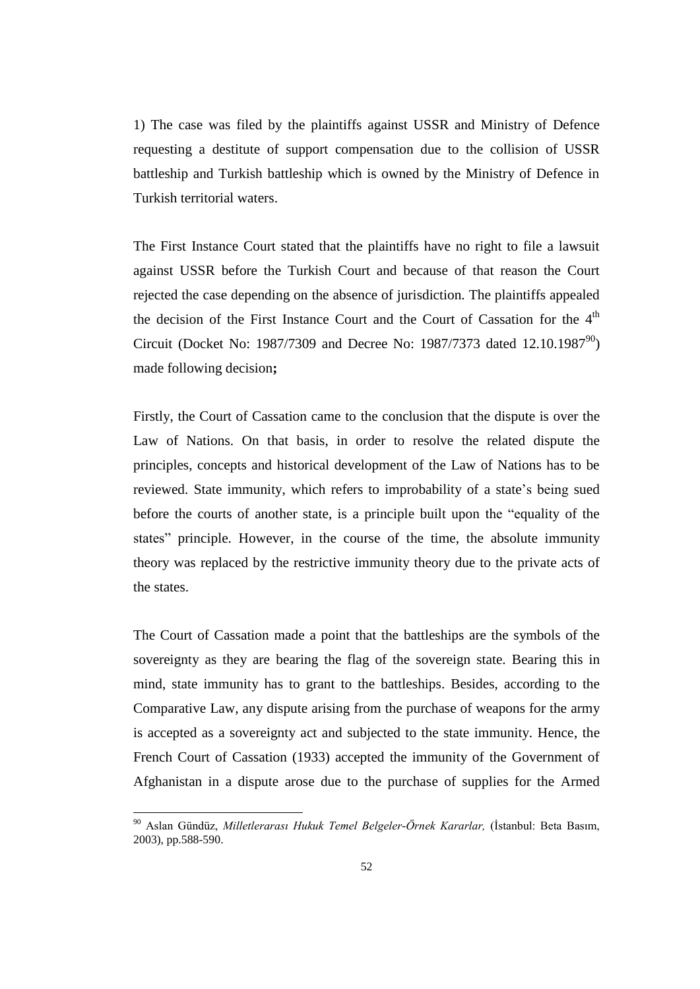1) The case was filed by the plaintiffs against USSR and Ministry of Defence requesting a destitute of support compensation due to the collision of USSR battleship and Turkish battleship which is owned by the Ministry of Defence in Turkish territorial waters.

The First Instance Court stated that the plaintiffs have no right to file a lawsuit against USSR before the Turkish Court and because of that reason the Court rejected the case depending on the absence of jurisdiction. The plaintiffs appealed the decision of the First Instance Court and the Court of Cassation for the  $4<sup>th</sup>$ Circuit (Docket No: 1987/7309 and Decree No: 1987/7373 dated 12.10.1987<sup>90</sup>) made following decision**;**

Firstly, the Court of Cassation came to the conclusion that the dispute is over the Law of Nations. On that basis, in order to resolve the related dispute the principles, concepts and historical development of the Law of Nations has to be reviewed. State immunity, which refers to improbability of a state's being sued before the courts of another state, is a principle built upon the "equality of the states" principle. However, in the course of the time, the absolute immunity theory was replaced by the restrictive immunity theory due to the private acts of the states.

The Court of Cassation made a point that the battleships are the symbols of the sovereignty as they are bearing the flag of the sovereign state. Bearing this in mind, state immunity has to grant to the battleships. Besides, according to the Comparative Law, any dispute arising from the purchase of weapons for the army is accepted as a sovereignty act and subjected to the state immunity. Hence, the French Court of Cassation (1933) accepted the immunity of the Government of Afghanistan in a dispute arose due to the purchase of supplies for the Armed

<sup>90</sup> Aslan Gündüz, *Milletlerarası Hukuk Temel Belgeler-Örnek Kararlar,* (İstanbul: Beta Basım, 2003), pp.588-590.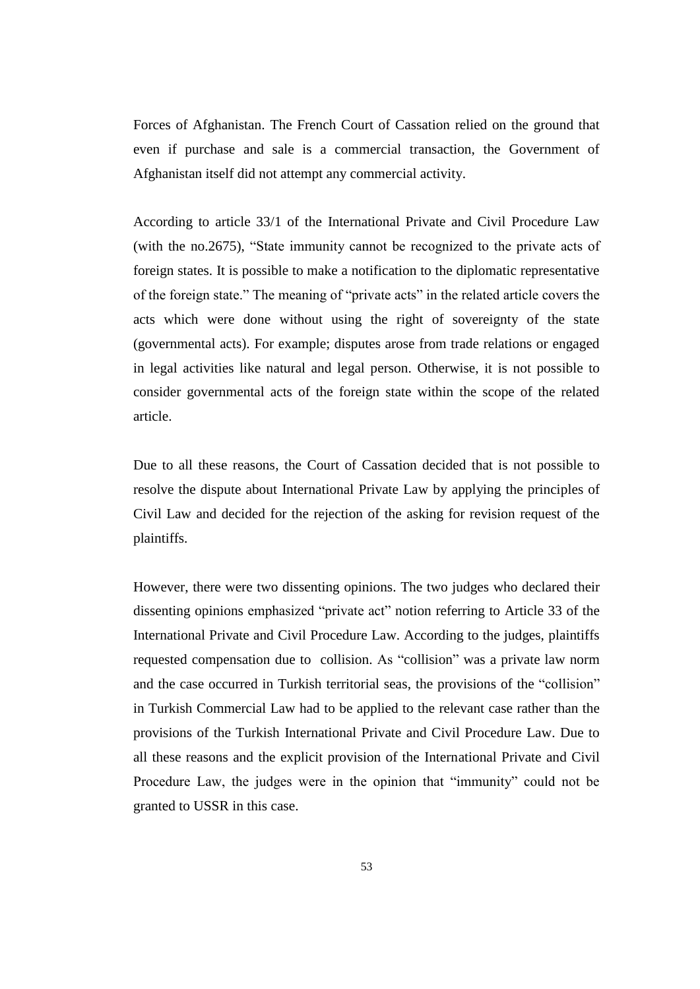Forces of Afghanistan. The French Court of Cassation relied on the ground that even if purchase and sale is a commercial transaction, the Government of Afghanistan itself did not attempt any commercial activity.

According to article 33/1 of the International Private and Civil Procedure Law (with the no.2675), "State immunity cannot be recognized to the private acts of foreign states. It is possible to make a notification to the diplomatic representative of the foreign state." The meaning of "private acts" in the related article covers the acts which were done without using the right of sovereignty of the state (governmental acts). For example; disputes arose from trade relations or engaged in legal activities like natural and legal person. Otherwise, it is not possible to consider governmental acts of the foreign state within the scope of the related article.

Due to all these reasons, the Court of Cassation decided that is not possible to resolve the dispute about International Private Law by applying the principles of Civil Law and decided for the rejection of the asking for revision request of the plaintiffs.

However, there were two dissenting opinions. The two judges who declared their dissenting opinions emphasized "private act" notion referring to Article 33 of the International Private and Civil Procedure Law. According to the judges, plaintiffs requested compensation due to collision. As "collision" was a private law norm and the case occurred in Turkish territorial seas, the provisions of the "collision" in Turkish Commercial Law had to be applied to the relevant case rather than the provisions of the Turkish International Private and Civil Procedure Law. Due to all these reasons and the explicit provision of the International Private and Civil Procedure Law, the judges were in the opinion that "immunity" could not be granted to USSR in this case.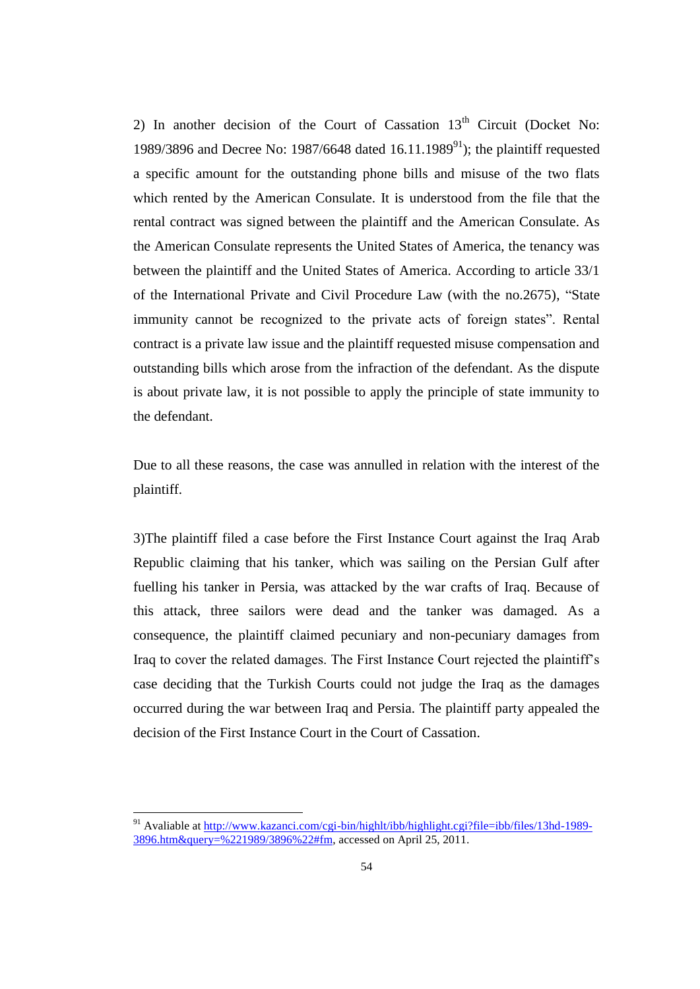2) In another decision of the Court of Cassation  $13<sup>th</sup>$  Circuit (Docket No: 1989/3896 and Decree No: 1987/6648 dated  $16.11.1989^{91}$ ); the plaintiff requested a specific amount for the outstanding phone bills and misuse of the two flats which rented by the American Consulate. It is understood from the file that the rental contract was signed between the plaintiff and the American Consulate. As the American Consulate represents the United States of America, the tenancy was between the plaintiff and the United States of America. According to article 33/1 of the International Private and Civil Procedure Law (with the no.2675), "State immunity cannot be recognized to the private acts of foreign states". Rental contract is a private law issue and the plaintiff requested misuse compensation and outstanding bills which arose from the infraction of the defendant. As the dispute is about private law, it is not possible to apply the principle of state immunity to the defendant.

Due to all these reasons, the case was annulled in relation with the interest of the plaintiff.

3)The plaintiff filed a case before the First Instance Court against the Iraq Arab Republic claiming that his tanker, which was sailing on the Persian Gulf after fuelling his tanker in Persia, was attacked by the war crafts of Iraq. Because of this attack, three sailors were dead and the tanker was damaged. As a consequence, the plaintiff claimed pecuniary and non-pecuniary damages from Iraq to cover the related damages. The First Instance Court rejected the plaintiff's case deciding that the Turkish Courts could not judge the Iraq as the damages occurred during the war between Iraq and Persia. The plaintiff party appealed the decision of the First Instance Court in the Court of Cassation.

<sup>&</sup>lt;sup>91</sup> Avaliable at [http://www.kazanci.com/cgi-bin/highlt/ibb/highlight.cgi?file=ibb/files/13hd-1989-](http://www.kazanci.com/cgi-bin/highlt/ibb/highlight.cgi?file=ibb/files/13hd-1989-3896.htm&query=%221989/3896%22#fm) [3896.htm&query=%221989/3896%22#fm,](http://www.kazanci.com/cgi-bin/highlt/ibb/highlight.cgi?file=ibb/files/13hd-1989-3896.htm&query=%221989/3896%22#fm) accessed on April 25, 2011.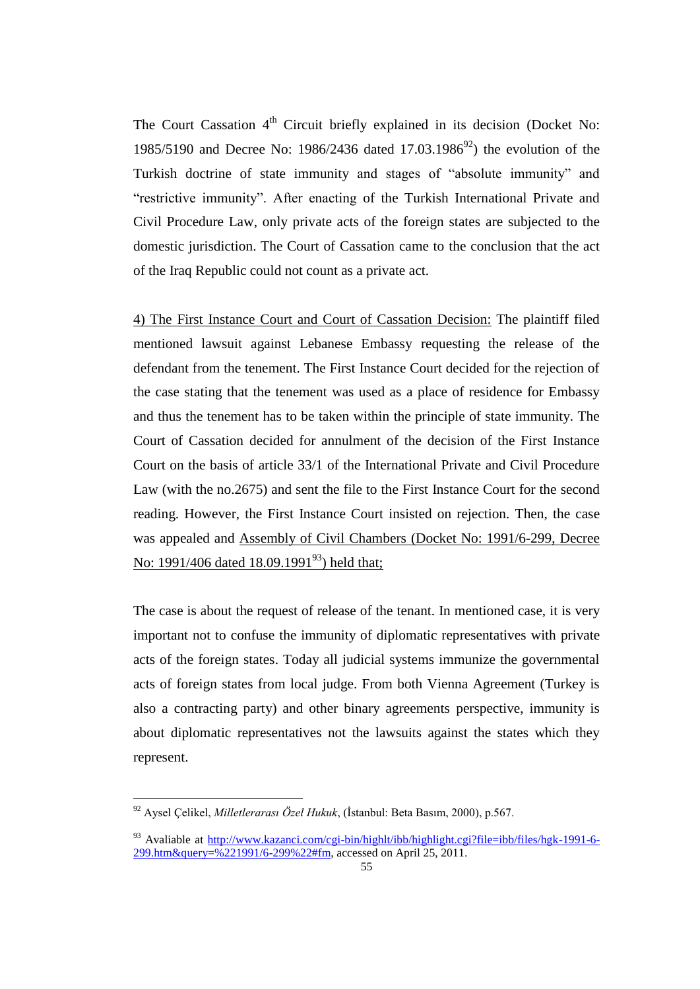The Court Cassation 4<sup>th</sup> Circuit briefly explained in its decision (Docket No: 1985/5190 and Decree No: 1986/2436 dated 17.03.1986<sup>92</sup>) the evolution of the Turkish doctrine of state immunity and stages of "absolute immunity" and "restrictive immunity". After enacting of the Turkish International Private and Civil Procedure Law, only private acts of the foreign states are subjected to the domestic jurisdiction. The Court of Cassation came to the conclusion that the act of the Iraq Republic could not count as a private act.

4) The First Instance Court and Court of Cassation Decision: The plaintiff filed mentioned lawsuit against Lebanese Embassy requesting the release of the defendant from the tenement. The First Instance Court decided for the rejection of the case stating that the tenement was used as a place of residence for Embassy and thus the tenement has to be taken within the principle of state immunity. The Court of Cassation decided for annulment of the decision of the First Instance Court on the basis of article 33/1 of the International Private and Civil Procedure Law (with the no.2675) and sent the file to the First Instance Court for the second reading. However, the First Instance Court insisted on rejection. Then, the case was appealed and Assembly of Civil Chambers (Docket No: 1991/6-299, Decree No: 1991/406 dated 18.09.1991<sup>93</sup>) held that;

The case is about the request of release of the tenant. In mentioned case, it is very important not to confuse the immunity of diplomatic representatives with private acts of the foreign states. Today all judicial systems immunize the governmental acts of foreign states from local judge. From both Vienna Agreement (Turkey is also a contracting party) and other binary agreements perspective, immunity is about diplomatic representatives not the lawsuits against the states which they represent.

<sup>92</sup> Aysel Çelikel, *Milletlerarası Özel Hukuk*, (İstanbul: Beta Basım, 2000), p.567.

<sup>&</sup>lt;sup>93</sup> Avaliable at <u>[http://www.kazanci.com/cgi-bin/highlt/ibb/highlight.cgi?file=ibb/files/hgk-1991-6-](http://www.kazanci.com/cgi-bin/highlt/ibb/highlight.cgi?file=ibb/files/hgk-1991-6-299.htm&query=%221991/6-299%22#fm)</u> [299.htm&query=%221991/6-299%22#fm,](http://www.kazanci.com/cgi-bin/highlt/ibb/highlight.cgi?file=ibb/files/hgk-1991-6-299.htm&query=%221991/6-299%22#fm) accessed on April 25, 2011.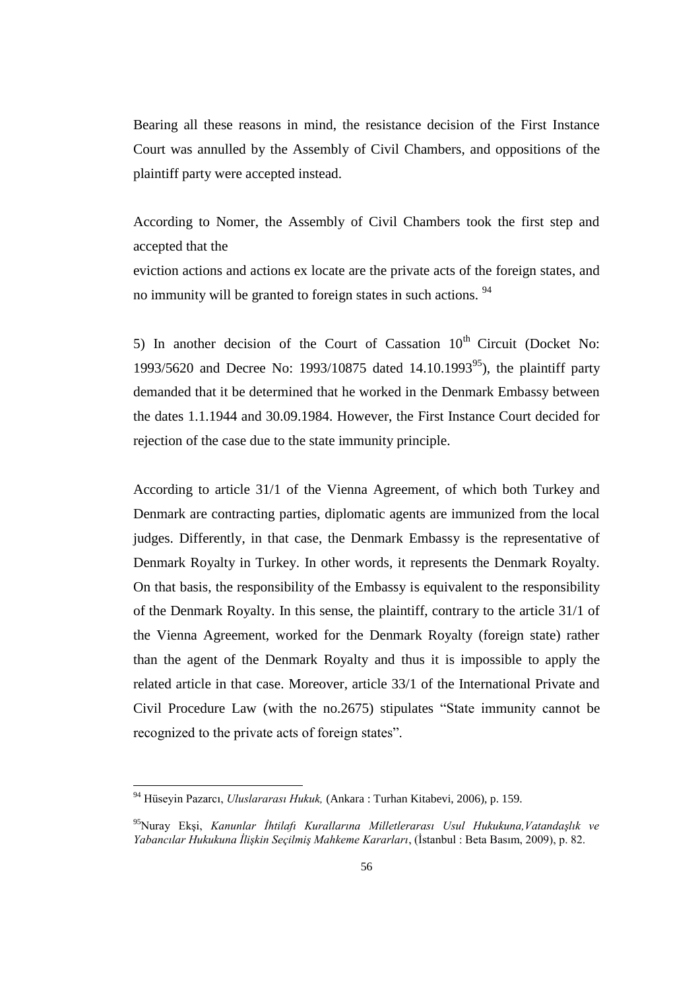Bearing all these reasons in mind, the resistance decision of the First Instance Court was annulled by the Assembly of Civil Chambers, and oppositions of the plaintiff party were accepted instead.

According to Nomer, the Assembly of Civil Chambers took the first step and accepted that the

eviction actions and actions ex locate are the private acts of the foreign states, and no immunity will be granted to foreign states in such actions. <sup>94</sup>

5) In another decision of the Court of Cassation  $10^{th}$  Circuit (Docket No: 1993/5620 and Decree No: 1993/10875 dated 14.10.1993<sup>95</sup>), the plaintiff party demanded that it be determined that he worked in the Denmark Embassy between the dates 1.1.1944 and 30.09.1984. However, the First Instance Court decided for rejection of the case due to the state immunity principle.

According to article 31/1 of the Vienna Agreement, of which both Turkey and Denmark are contracting parties, diplomatic agents are immunized from the local judges. Differently, in that case, the Denmark Embassy is the representative of Denmark Royalty in Turkey. In other words, it represents the Denmark Royalty. On that basis, the responsibility of the Embassy is equivalent to the responsibility of the Denmark Royalty. In this sense, the plaintiff, contrary to the article 31/1 of the Vienna Agreement, worked for the Denmark Royalty (foreign state) rather than the agent of the Denmark Royalty and thus it is impossible to apply the related article in that case. Moreover, article 33/1 of the International Private and Civil Procedure Law (with the no.2675) stipulates "State immunity cannot be recognized to the private acts of foreign states".

<sup>94</sup> Hüseyin Pazarcı, *Uluslararası Hukuk,* (Ankara : Turhan Kitabevi, 2006), p. 159.

<sup>95</sup>Nuray Ekşi, *Kanunlar İhtilafı Kurallarına Milletlerarası Usul Hukukuna,Vatandaşlık ve Yabancılar Hukukuna İlişkin Seçilmiş Mahkeme Kararları*, (İstanbul : Beta Basım, 2009), p. 82.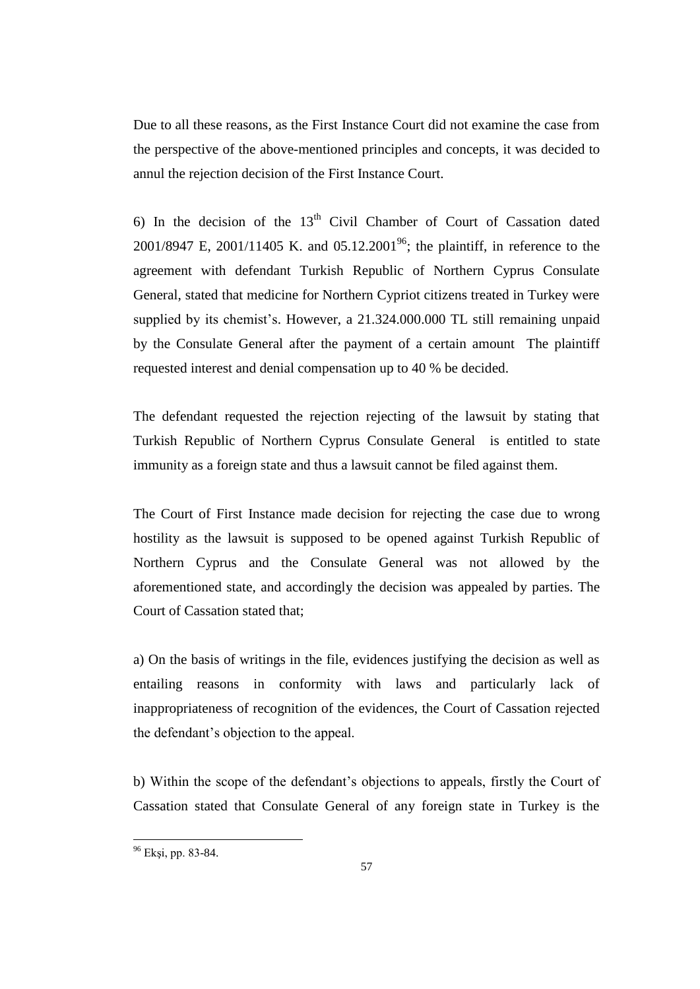Due to all these reasons, as the First Instance Court did not examine the case from the perspective of the above-mentioned principles and concepts, it was decided to annul the rejection decision of the First Instance Court.

6) In the decision of the  $13<sup>th</sup>$  Civil Chamber of Court of Cassation dated 2001/8947 E, 2001/11405 K. and 05.12.2001<sup>96</sup>; the plaintiff, in reference to the agreement with defendant Turkish Republic of Northern Cyprus Consulate General, stated that medicine for Northern Cypriot citizens treated in Turkey were supplied by its chemist's. However, a 21.324.000.000 TL still remaining unpaid by the Consulate General after the payment of a certain amount The plaintiff requested interest and denial compensation up to 40 % be decided.

The defendant requested the rejection rejecting of the lawsuit by stating that Turkish Republic of Northern Cyprus Consulate General is entitled to state immunity as a foreign state and thus a lawsuit cannot be filed against them.

The Court of First Instance made decision for rejecting the case due to wrong hostility as the lawsuit is supposed to be opened against Turkish Republic of Northern Cyprus and the Consulate General was not allowed by the aforementioned state, and accordingly the decision was appealed by parties. The Court of Cassation stated that;

a) On the basis of writings in the file, evidences justifying the decision as well as entailing reasons in conformity with laws and particularly lack of inappropriateness of recognition of the evidences, the Court of Cassation rejected the defendant's objection to the appeal.

b) Within the scope of the defendant's objections to appeals, firstly the Court of Cassation stated that Consulate General of any foreign state in Turkey is the

<sup>&</sup>lt;sup>96</sup> Ekşi, pp. 83-84.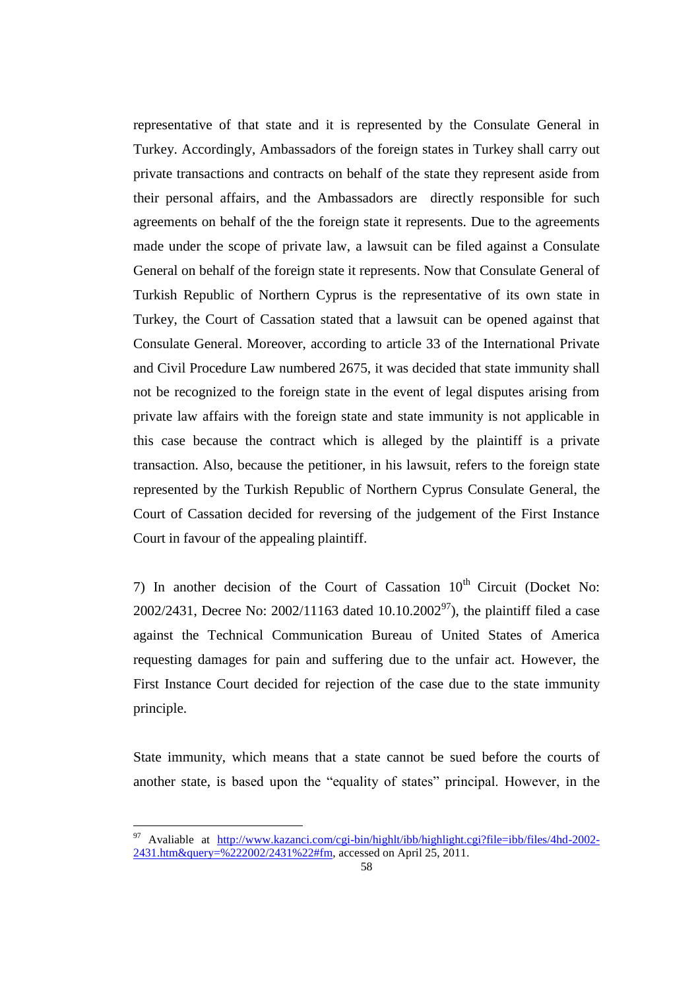representative of that state and it is represented by the Consulate General in Turkey. Accordingly, Ambassadors of the foreign states in Turkey shall carry out private transactions and contracts on behalf of the state they represent aside from their personal affairs, and the Ambassadors are directly responsible for such agreements on behalf of the the foreign state it represents. Due to the agreements made under the scope of private law, a lawsuit can be filed against a Consulate General on behalf of the foreign state it represents. Now that Consulate General of Turkish Republic of Northern Cyprus is the representative of its own state in Turkey, the Court of Cassation stated that a lawsuit can be opened against that Consulate General. Moreover, according to article 33 of the International Private and Civil Procedure Law numbered 2675, it was decided that state immunity shall not be recognized to the foreign state in the event of legal disputes arising from private law affairs with the foreign state and state immunity is not applicable in this case because the contract which is alleged by the plaintiff is a private transaction. Also, because the petitioner, in his lawsuit, refers to the foreign state represented by the Turkish Republic of Northern Cyprus Consulate General, the Court of Cassation decided for reversing of the judgement of the First Instance Court in favour of the appealing plaintiff.

7) In another decision of the Court of Cassation  $10<sup>th</sup>$  Circuit (Docket No: 2002/2431, Decree No: 2002/11163 dated  $10.10.2002^{97}$ , the plaintiff filed a case against the Technical Communication Bureau of United States of America requesting damages for pain and suffering due to the unfair act. However, the First Instance Court decided for rejection of the case due to the state immunity principle.

State immunity, which means that a state cannot be sued before the courts of another state, is based upon the "equality of states" principal. However, in the

<sup>97</sup> Avaliable at [http://www.kazanci.com/cgi-bin/highlt/ibb/highlight.cgi?file=ibb/files/4hd-2002-](http://www.kazanci.com/cgi-bin/highlt/ibb/highlight.cgi?file=ibb/files/4hd-2002-2431.htm&query=%222002/2431%22#fm) [2431.htm&query=%222002/2431%22#fm,](http://www.kazanci.com/cgi-bin/highlt/ibb/highlight.cgi?file=ibb/files/4hd-2002-2431.htm&query=%222002/2431%22#fm) accessed on April 25, 2011.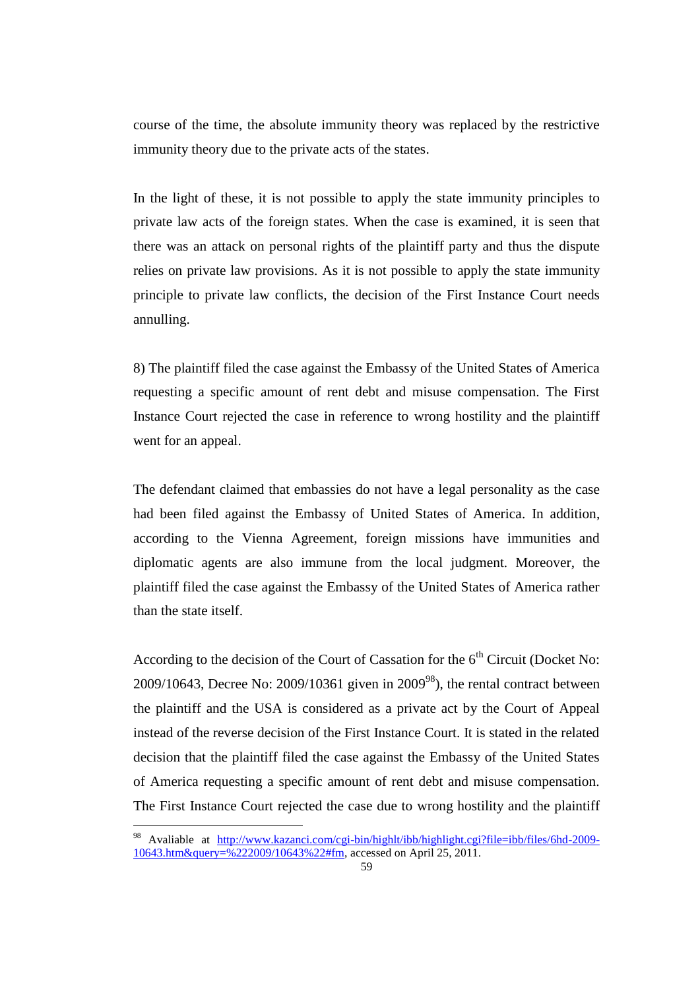course of the time, the absolute immunity theory was replaced by the restrictive immunity theory due to the private acts of the states.

In the light of these, it is not possible to apply the state immunity principles to private law acts of the foreign states. When the case is examined, it is seen that there was an attack on personal rights of the plaintiff party and thus the dispute relies on private law provisions. As it is not possible to apply the state immunity principle to private law conflicts, the decision of the First Instance Court needs annulling.

8) The plaintiff filed the case against the Embassy of the United States of America requesting a specific amount of rent debt and misuse compensation. The First Instance Court rejected the case in reference to wrong hostility and the plaintiff went for an appeal.

The defendant claimed that embassies do not have a legal personality as the case had been filed against the Embassy of United States of America. In addition, according to the Vienna Agreement, foreign missions have immunities and diplomatic agents are also immune from the local judgment. Moreover, the plaintiff filed the case against the Embassy of the United States of America rather than the state itself.

According to the decision of the Court of Cassation for the  $6<sup>th</sup>$  Circuit (Docket No:  $2009/10643$ , Decree No:  $2009/10361$  given in  $2009^{98}$ ), the rental contract between the plaintiff and the USA is considered as a private act by the Court of Appeal instead of the reverse decision of the First Instance Court. It is stated in the related decision that the plaintiff filed the case against the Embassy of the United States of America requesting a specific amount of rent debt and misuse compensation. The First Instance Court rejected the case due to wrong hostility and the plaintiff

<sup>98</sup> Avaliable at [http://www.kazanci.com/cgi-bin/highlt/ibb/highlight.cgi?file=ibb/files/6hd-2009-](http://www.kazanci.com/cgi-bin/highlt/ibb/highlight.cgi?file=ibb/files/6hd-2009-10643.htm&query=%222009/10643%22#fm) [10643.htm&query=%222009/10643%22#fm,](http://www.kazanci.com/cgi-bin/highlt/ibb/highlight.cgi?file=ibb/files/6hd-2009-10643.htm&query=%222009/10643%22#fm) accessed on April 25, 2011.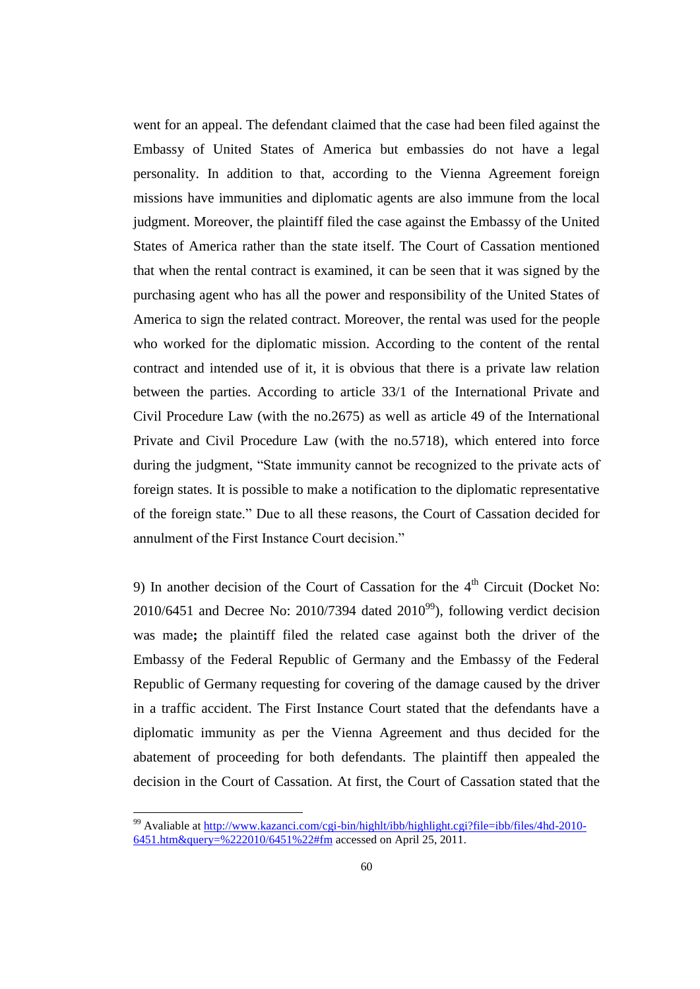went for an appeal. The defendant claimed that the case had been filed against the Embassy of United States of America but embassies do not have a legal personality. In addition to that, according to the Vienna Agreement foreign missions have immunities and diplomatic agents are also immune from the local judgment. Moreover, the plaintiff filed the case against the Embassy of the United States of America rather than the state itself. The Court of Cassation mentioned that when the rental contract is examined, it can be seen that it was signed by the purchasing agent who has all the power and responsibility of the United States of America to sign the related contract. Moreover, the rental was used for the people who worked for the diplomatic mission. According to the content of the rental contract and intended use of it, it is obvious that there is a private law relation between the parties. According to article 33/1 of the International Private and Civil Procedure Law (with the no.2675) as well as article 49 of the International Private and Civil Procedure Law (with the no.5718), which entered into force during the judgment, "State immunity cannot be recognized to the private acts of foreign states. It is possible to make a notification to the diplomatic representative of the foreign state." Due to all these reasons, the Court of Cassation decided for annulment of the First Instance Court decision."

9) In another decision of the Court of Cassation for the  $4<sup>th</sup>$  Circuit (Docket No:  $2010/6451$  and Decree No:  $2010/7394$  dated  $2010^{99}$ ), following verdict decision was made**;** the plaintiff filed the related case against both the driver of the Embassy of the Federal Republic of Germany and the Embassy of the Federal Republic of Germany requesting for covering of the damage caused by the driver in a traffic accident. The First Instance Court stated that the defendants have a diplomatic immunity as per the Vienna Agreement and thus decided for the abatement of proceeding for both defendants. The plaintiff then appealed the decision in the Court of Cassation. At first, the Court of Cassation stated that the

<sup>&</sup>lt;sup>99</sup> Avaliable at [http://www.kazanci.com/cgi-bin/highlt/ibb/highlight.cgi?file=ibb/files/4hd-2010-](http://www.kazanci.com/cgi-bin/highlt/ibb/highlight.cgi?file=ibb/files/4hd-2010-6451.htm&query=%222010/6451%22#fm) [6451.htm&query=%222010/6451%22#fm](http://www.kazanci.com/cgi-bin/highlt/ibb/highlight.cgi?file=ibb/files/4hd-2010-6451.htm&query=%222010/6451%22#fm) accessed on April 25, 2011.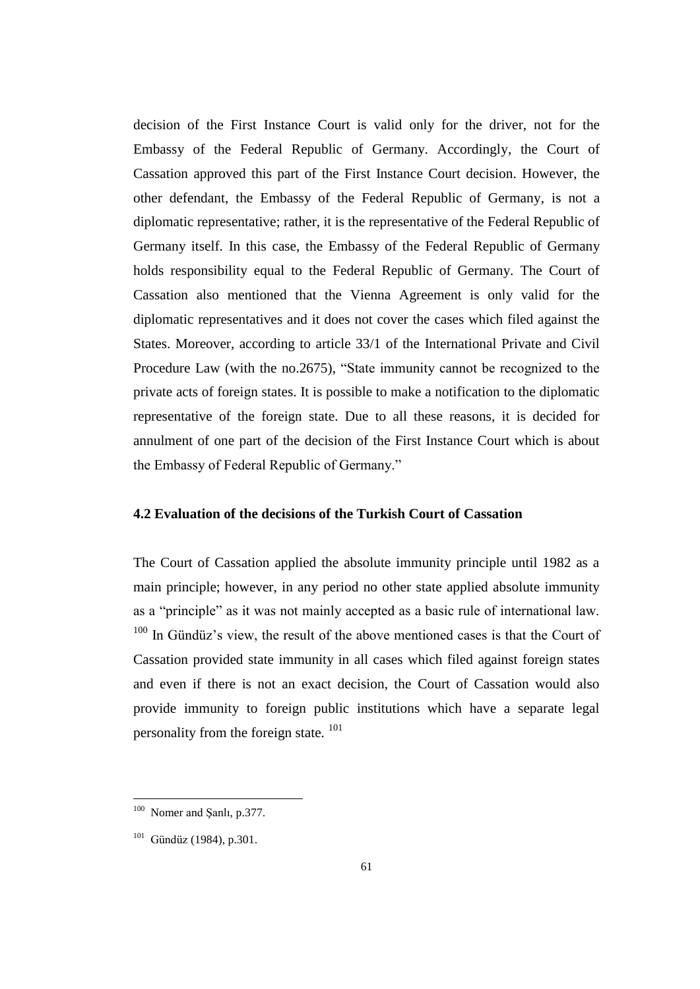decision of the First Instance Court is valid only for the driver, not for the Embassy of the Federal Republic of Germany. Accordingly, the Court of Cassation approved this part of the First Instance Court decision. However, the other defendant, the Embassy of the Federal Republic of Germany, is not a diplomatic representative; rather, it is the representative of the Federal Republic of Germany itself. In this case, the Embassy of the Federal Republic of Germany holds responsibility equal to the Federal Republic of Germany. The Court of Cassation also mentioned that the Vienna Agreement is only valid for the diplomatic representatives and it does not cover the cases which filed against the States. Moreover, according to article 33/1 of the International Private and Civil Procedure Law (with the no.2675), "State immunity cannot be recognized to the private acts of foreign states. It is possible to make a notification to the diplomatic representative of the foreign state. Due to all these reasons, it is decided for annulment of one part of the decision of the First Instance Court which is about the Embassy of Federal Republic of Germany."

## **4.2 Evaluation of the decisions of the Turkish Court of Cassation**

The Court of Cassation applied the absolute immunity principle until 1982 as a main principle; however, in any period no other state applied absolute immunity as a "principle" as it was not mainly accepted as a basic rule of international law.  $100$  In Gündüz's view, the result of the above mentioned cases is that the Court of Cassation provided state immunity in all cases which filed against foreign states and even if there is not an exact decision, the Court of Cassation would also provide immunity to foreign public institutions which have a separate legal personality from the foreign state. <sup>101</sup>

 100 Nomer and Şanlı, p.377.

 $101$  Gündüz (1984), p.301.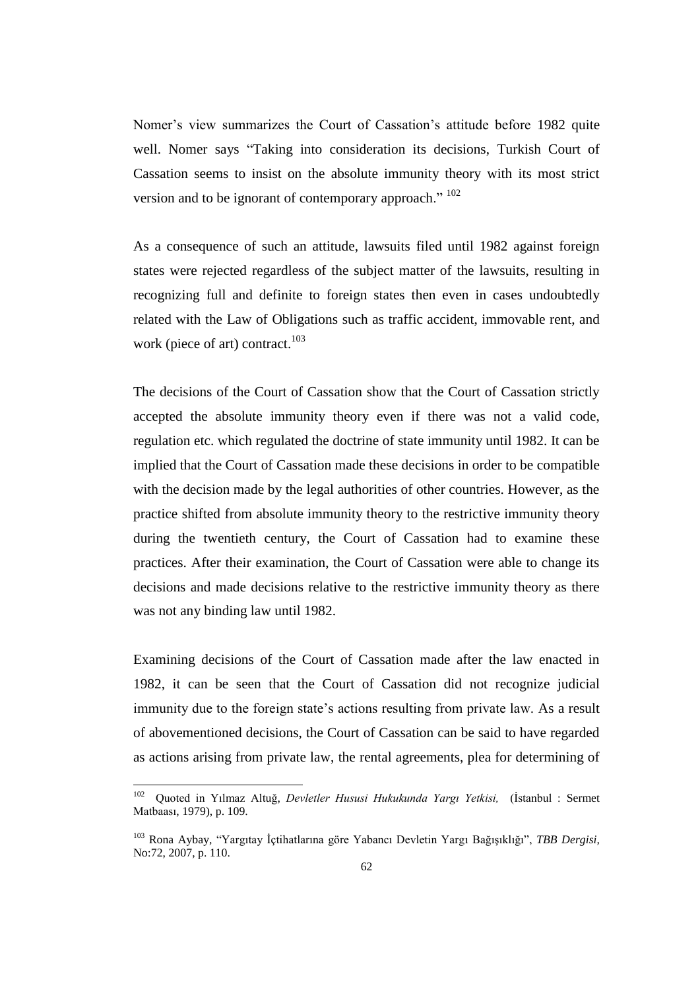Nomer's view summarizes the Court of Cassation's attitude before 1982 quite well. Nomer says "Taking into consideration its decisions, Turkish Court of Cassation seems to insist on the absolute immunity theory with its most strict version and to be ignorant of contemporary approach." <sup>102</sup>

As a consequence of such an attitude, lawsuits filed until 1982 against foreign states were rejected regardless of the subject matter of the lawsuits, resulting in recognizing full and definite to foreign states then even in cases undoubtedly related with the Law of Obligations such as traffic accident, immovable rent, and work (piece of art) contract.<sup>103</sup>

The decisions of the Court of Cassation show that the Court of Cassation strictly accepted the absolute immunity theory even if there was not a valid code, regulation etc. which regulated the doctrine of state immunity until 1982. It can be implied that the Court of Cassation made these decisions in order to be compatible with the decision made by the legal authorities of other countries. However, as the practice shifted from absolute immunity theory to the restrictive immunity theory during the twentieth century, the Court of Cassation had to examine these practices. After their examination, the Court of Cassation were able to change its decisions and made decisions relative to the restrictive immunity theory as there was not any binding law until 1982.

Examining decisions of the Court of Cassation made after the law enacted in 1982, it can be seen that the Court of Cassation did not recognize judicial immunity due to the foreign state's actions resulting from private law. As a result of abovementioned decisions, the Court of Cassation can be said to have regarded as actions arising from private law, the rental agreements, plea for determining of

<sup>102</sup> Quoted in Yılmaz Altuğ, *Devletler Hususi Hukukunda Yargı Yetkisi,* (İstanbul : Sermet Matbaası, 1979), p. 109.

<sup>103</sup> Rona Aybay, "Yargıtay İçtihatlarına göre Yabancı Devletin Yargı Bağışıklığı", *TBB Dergisi,* No:72, 2007, p. 110.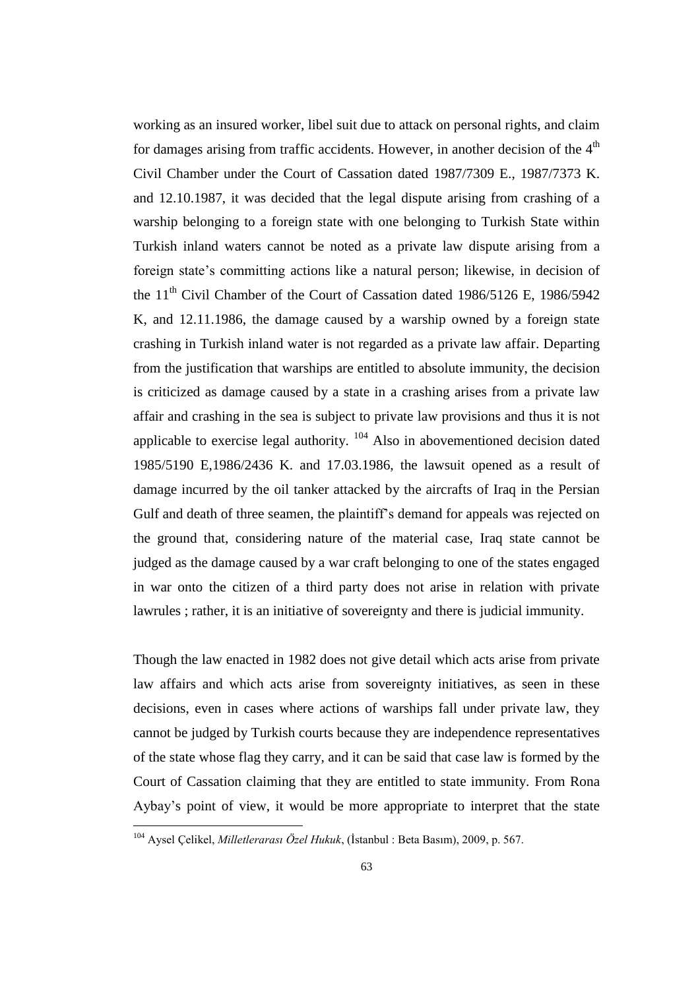working as an insured worker, libel suit due to attack on personal rights, and claim for damages arising from traffic accidents. However, in another decision of the  $4<sup>th</sup>$ Civil Chamber under the Court of Cassation dated 1987/7309 E., 1987/7373 K. and 12.10.1987, it was decided that the legal dispute arising from crashing of a warship belonging to a foreign state with one belonging to Turkish State within Turkish inland waters cannot be noted as a private law dispute arising from a foreign state's committing actions like a natural person; likewise, in decision of the 11<sup>th</sup> Civil Chamber of the Court of Cassation dated 1986/5126 E, 1986/5942 K, and 12.11.1986, the damage caused by a warship owned by a foreign state crashing in Turkish inland water is not regarded as a private law affair. Departing from the justification that warships are entitled to absolute immunity, the decision is criticized as damage caused by a state in a crashing arises from a private law affair and crashing in the sea is subject to private law provisions and thus it is not applicable to exercise legal authority.  $104$  Also in abovementioned decision dated 1985/5190 E,1986/2436 K. and 17.03.1986, the lawsuit opened as a result of damage incurred by the oil tanker attacked by the aircrafts of Iraq in the Persian Gulf and death of three seamen, the plaintiff's demand for appeals was rejected on the ground that, considering nature of the material case, Iraq state cannot be judged as the damage caused by a war craft belonging to one of the states engaged in war onto the citizen of a third party does not arise in relation with private lawrules ; rather, it is an initiative of sovereignty and there is judicial immunity.

Though the law enacted in 1982 does not give detail which acts arise from private law affairs and which acts arise from sovereignty initiatives, as seen in these decisions, even in cases where actions of warships fall under private law, they cannot be judged by Turkish courts because they are independence representatives of the state whose flag they carry, and it can be said that case law is formed by the Court of Cassation claiming that they are entitled to state immunity. From Rona Aybay's point of view, it would be more appropriate to interpret that the state

<sup>104</sup> Aysel Çelikel, *Milletlerarası Özel Hukuk*, (İstanbul : Beta Basım), 2009, p. 567.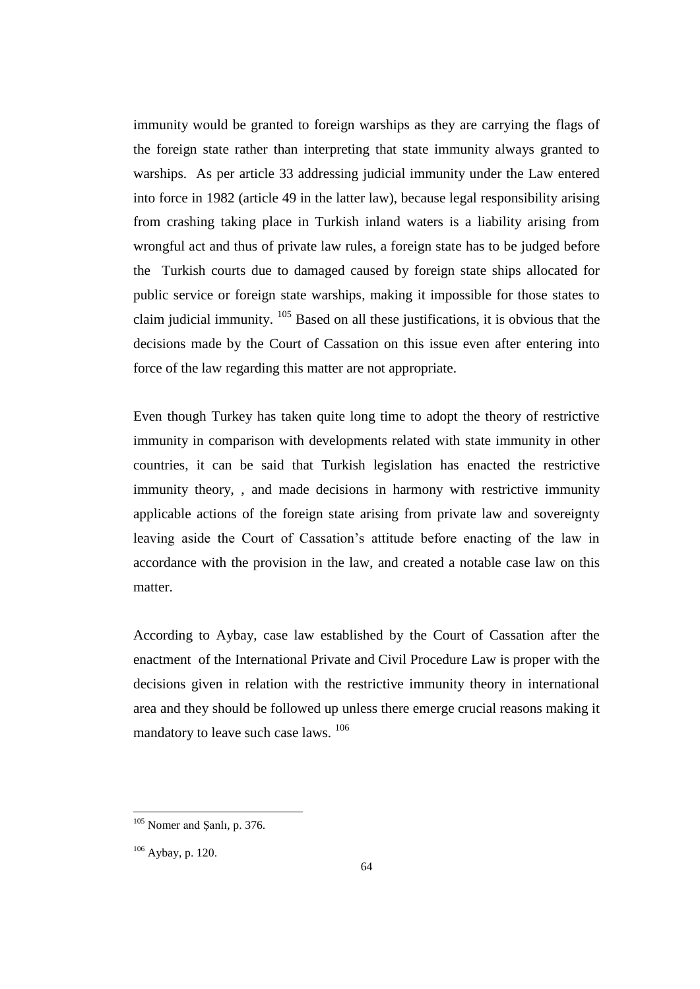immunity would be granted to foreign warships as they are carrying the flags of the foreign state rather than interpreting that state immunity always granted to warships. As per article 33 addressing judicial immunity under the Law entered into force in 1982 (article 49 in the latter law), because legal responsibility arising from crashing taking place in Turkish inland waters is a liability arising from wrongful act and thus of private law rules, a foreign state has to be judged before the Turkish courts due to damaged caused by foreign state ships allocated for public service or foreign state warships, making it impossible for those states to claim judicial immunity.  $105$  Based on all these justifications, it is obvious that the decisions made by the Court of Cassation on this issue even after entering into force of the law regarding this matter are not appropriate.

Even though Turkey has taken quite long time to adopt the theory of restrictive immunity in comparison with developments related with state immunity in other countries, it can be said that Turkish legislation has enacted the restrictive immunity theory, , and made decisions in harmony with restrictive immunity applicable actions of the foreign state arising from private law and sovereignty leaving aside the Court of Cassation's attitude before enacting of the law in accordance with the provision in the law, and created a notable case law on this matter.

According to Aybay, case law established by the Court of Cassation after the enactment of the International Private and Civil Procedure Law is proper with the decisions given in relation with the restrictive immunity theory in international area and they should be followed up unless there emerge crucial reasons making it mandatory to leave such case laws. <sup>106</sup>

<sup>&</sup>lt;sup>105</sup> Nomer and Şanlı, p. 376.

<sup>106</sup> Aybay, p. 120.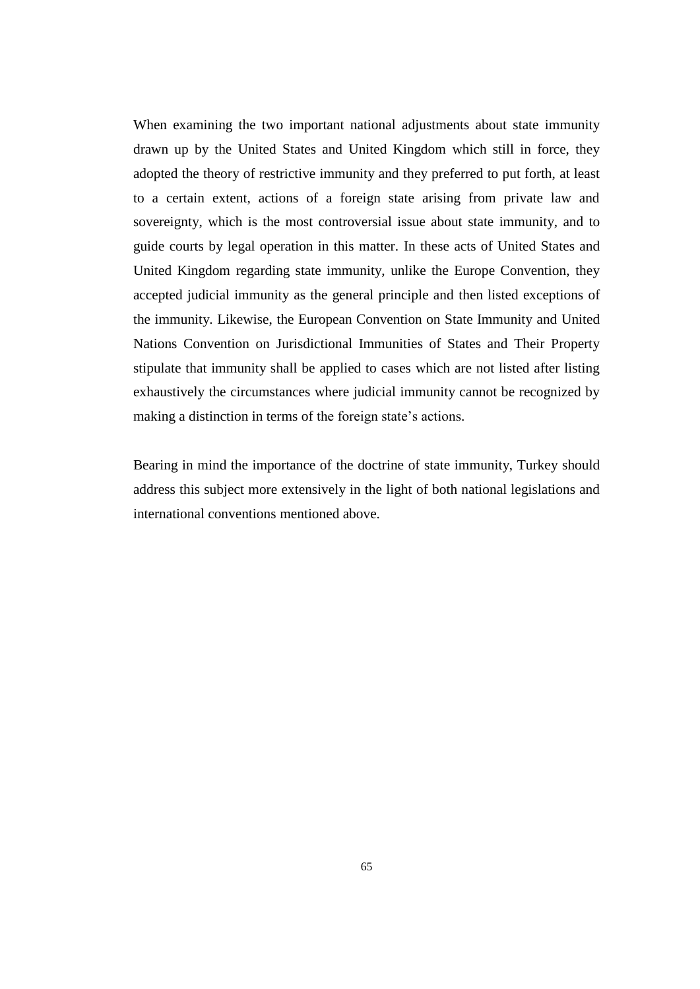When examining the two important national adjustments about state immunity drawn up by the United States and United Kingdom which still in force, they adopted the theory of restrictive immunity and they preferred to put forth, at least to a certain extent, actions of a foreign state arising from private law and sovereignty, which is the most controversial issue about state immunity, and to guide courts by legal operation in this matter. In these acts of United States and United Kingdom regarding state immunity, unlike the Europe Convention, they accepted judicial immunity as the general principle and then listed exceptions of the immunity. Likewise, the European Convention on State Immunity and United Nations Convention on Jurisdictional Immunities of States and Their Property stipulate that immunity shall be applied to cases which are not listed after listing exhaustively the circumstances where judicial immunity cannot be recognized by making a distinction in terms of the foreign state's actions.

Bearing in mind the importance of the doctrine of state immunity, Turkey should address this subject more extensively in the light of both national legislations and international conventions mentioned above.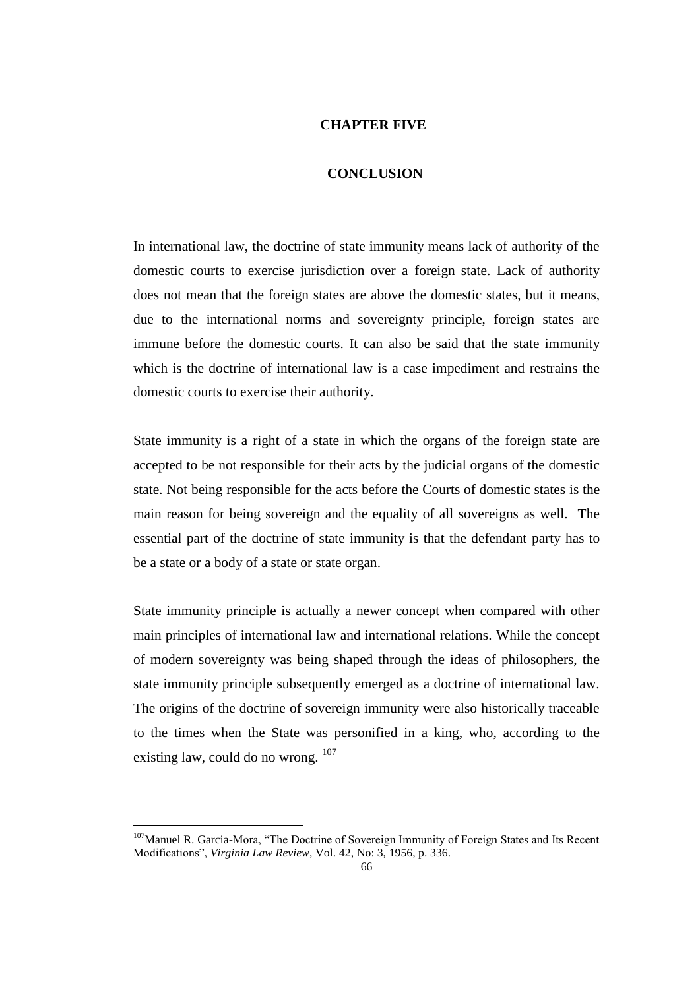### **CHAPTER FIVE**

#### **CONCLUSION**

In international law, the doctrine of state immunity means lack of authority of the domestic courts to exercise jurisdiction over a foreign state. Lack of authority does not mean that the foreign states are above the domestic states, but it means, due to the international norms and sovereignty principle, foreign states are immune before the domestic courts. It can also be said that the state immunity which is the doctrine of international law is a case impediment and restrains the domestic courts to exercise their authority.

State immunity is a right of a state in which the organs of the foreign state are accepted to be not responsible for their acts by the judicial organs of the domestic state. Not being responsible for the acts before the Courts of domestic states is the main reason for being sovereign and the equality of all sovereigns as well. The essential part of the doctrine of state immunity is that the defendant party has to be a state or a body of a state or state organ.

State immunity principle is actually a newer concept when compared with other main principles of international law and international relations. While the concept of modern sovereignty was being shaped through the ideas of philosophers, the state immunity principle subsequently emerged as a doctrine of international law. The origins of the doctrine of sovereign immunity were also historically traceable to the times when the State was personified in a king, who, according to the existing law, could do no wrong.  $107$ 

<sup>&</sup>lt;sup>107</sup>Manuel R. Garcia-Mora, "The Doctrine of Sovereign Immunity of Foreign States and Its Recent Modifications", *Virginia Law Review,* Vol. 42, No: 3, 1956, p. 336.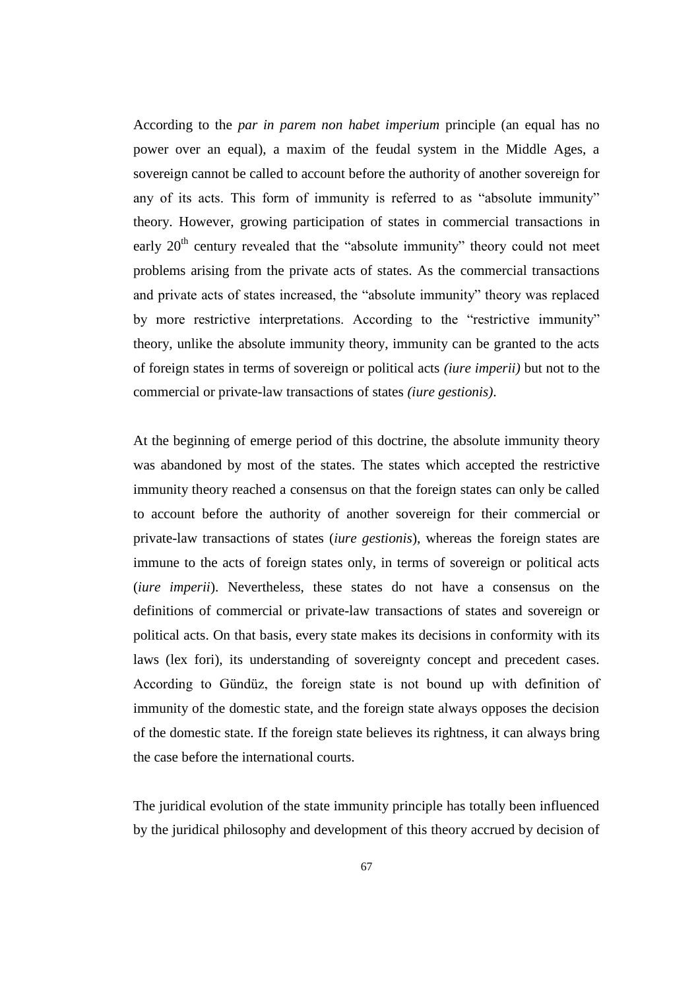According to the *par in parem non habet imperium* principle (an equal has no power over an equal), a maxim of the feudal system in the Middle Ages, a sovereign cannot be called to account before the authority of another sovereign for any of its acts. This form of immunity is referred to as "absolute immunity" theory. However, growing participation of states in commercial transactions in early  $20<sup>th</sup>$  century revealed that the "absolute immunity" theory could not meet problems arising from the private acts of states. As the commercial transactions and private acts of states increased, the "absolute immunity" theory was replaced by more restrictive interpretations. According to the "restrictive immunity" theory, unlike the absolute immunity theory, immunity can be granted to the acts of foreign states in terms of sovereign or political acts *(iure imperii)* but not to the commercial or private-law transactions of states *(iure gestionis)*.

At the beginning of emerge period of this doctrine, the absolute immunity theory was abandoned by most of the states. The states which accepted the restrictive immunity theory reached a consensus on that the foreign states can only be called to account before the authority of another sovereign for their commercial or private-law transactions of states (*iure gestionis*), whereas the foreign states are immune to the acts of foreign states only, in terms of sovereign or political acts (*iure imperii*). Nevertheless, these states do not have a consensus on the definitions of commercial or private-law transactions of states and sovereign or political acts. On that basis, every state makes its decisions in conformity with its laws (lex fori), its understanding of sovereignty concept and precedent cases. According to Gündüz, the foreign state is not bound up with definition of immunity of the domestic state, and the foreign state always opposes the decision of the domestic state. If the foreign state believes its rightness, it can always bring the case before the international courts.

The juridical evolution of the state immunity principle has totally been influenced by the juridical philosophy and development of this theory accrued by decision of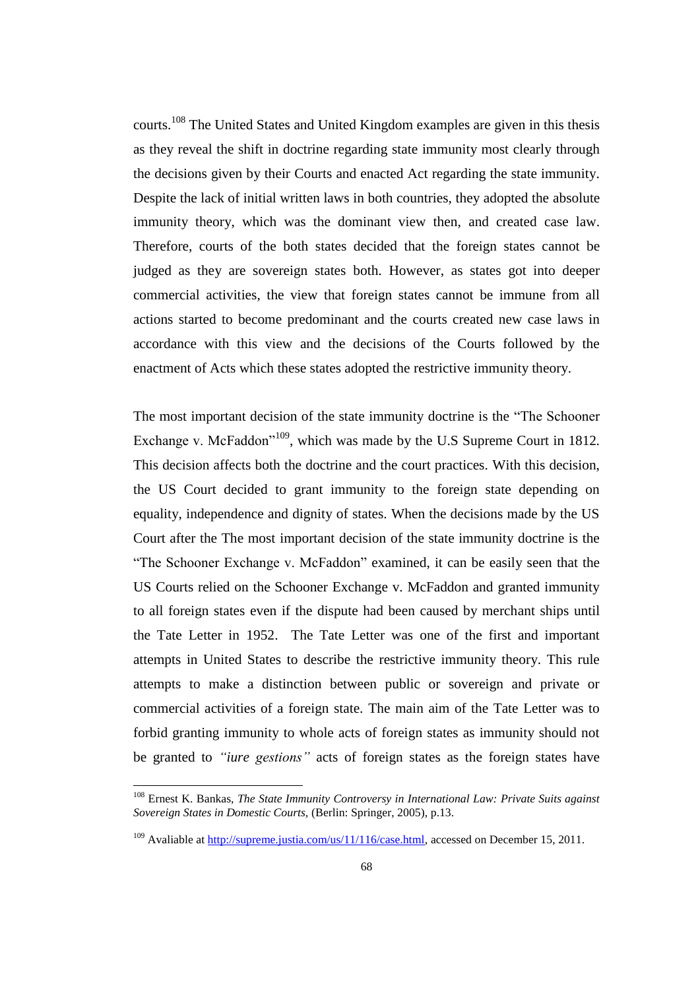courts.<sup>108</sup> The United States and United Kingdom examples are given in this thesis as they reveal the shift in doctrine regarding state immunity most clearly through the decisions given by their Courts and enacted Act regarding the state immunity. Despite the lack of initial written laws in both countries, they adopted the absolute immunity theory, which was the dominant view then, and created case law. Therefore, courts of the both states decided that the foreign states cannot be judged as they are sovereign states both. However, as states got into deeper commercial activities, the view that foreign states cannot be immune from all actions started to become predominant and the courts created new case laws in accordance with this view and the decisions of the Courts followed by the enactment of Acts which these states adopted the restrictive immunity theory.

The most important decision of the state immunity doctrine is the "The Schooner Exchange v. McFaddon<sup> $109$ </sup>, which was made by the U.S Supreme Court in 1812. This decision affects both the doctrine and the court practices. With this decision, the US Court decided to grant immunity to the foreign state depending on equality, independence and dignity of states. When the decisions made by the US Court after the The most important decision of the state immunity doctrine is the "The Schooner Exchange v. McFaddon" examined, it can be easily seen that the US Courts relied on the Schooner Exchange v. McFaddon and granted immunity to all foreign states even if the dispute had been caused by merchant ships until the Tate Letter in 1952. The Tate Letter was one of the first and important attempts in United States to describe the restrictive immunity theory. This rule attempts to make a distinction between public or sovereign and private or commercial activities of a foreign state. The main aim of the Tate Letter was to forbid granting immunity to whole acts of foreign states as immunity should not be granted to *"iure gestions"* acts of foreign states as the foreign states have

<sup>108</sup> Ernest K. Bankas, *The State Immunity Controversy in International Law: Private Suits against Sovereign States in Domestic Courts,* (Berlin: Springer, 2005), p.13.

<sup>&</sup>lt;sup>109</sup> Avaliable a[t http://supreme.justia.com/us/11/116/case.html,](http://supreme.justia.com/us/11/116/case.html) accessed on December 15, 2011.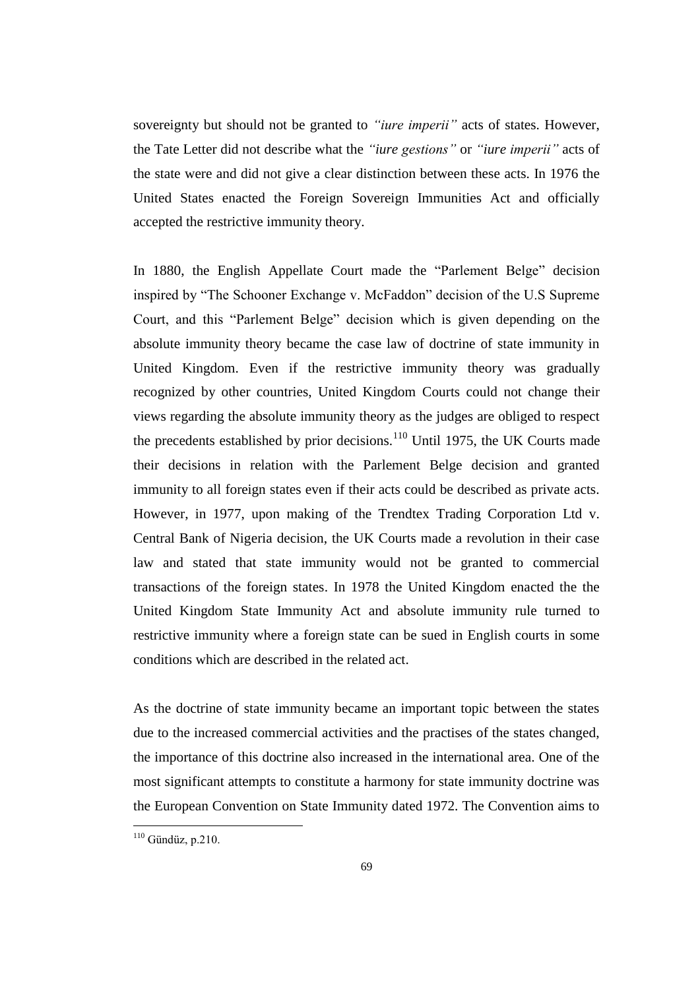sovereignty but should not be granted to *"iure imperii"* acts of states. However, the Tate Letter did not describe what the *"iure gestions"* or *"iure imperii"* acts of the state were and did not give a clear distinction between these acts. In 1976 the United States enacted the Foreign Sovereign Immunities Act and officially accepted the restrictive immunity theory.

In 1880, the English Appellate Court made the "Parlement Belge" decision inspired by "The Schooner Exchange v. McFaddon" decision of the U.S Supreme Court, and this "Parlement Belge" decision which is given depending on the absolute immunity theory became the case law of doctrine of state immunity in United Kingdom. Even if the restrictive immunity theory was gradually recognized by other countries, United Kingdom Courts could not change their views regarding the absolute immunity theory as the judges are obliged to respect the precedents established by prior decisions. $110$  Until 1975, the UK Courts made their decisions in relation with the Parlement Belge decision and granted immunity to all foreign states even if their acts could be described as private acts. However, in 1977, upon making of the Trendtex Trading Corporation Ltd v. Central Bank of Nigeria decision, the UK Courts made a revolution in their case law and stated that state immunity would not be granted to commercial transactions of the foreign states. In 1978 the United Kingdom enacted the the United Kingdom State Immunity Act and absolute immunity rule turned to restrictive immunity where a foreign state can be sued in English courts in some conditions which are described in the related act.

As the doctrine of state immunity became an important topic between the states due to the increased commercial activities and the practises of the states changed, the importance of this doctrine also increased in the international area. One of the most significant attempts to constitute a harmony for state immunity doctrine was the European Convention on State Immunity dated 1972. The Convention aims to

 $110$  Gündüz, p.210.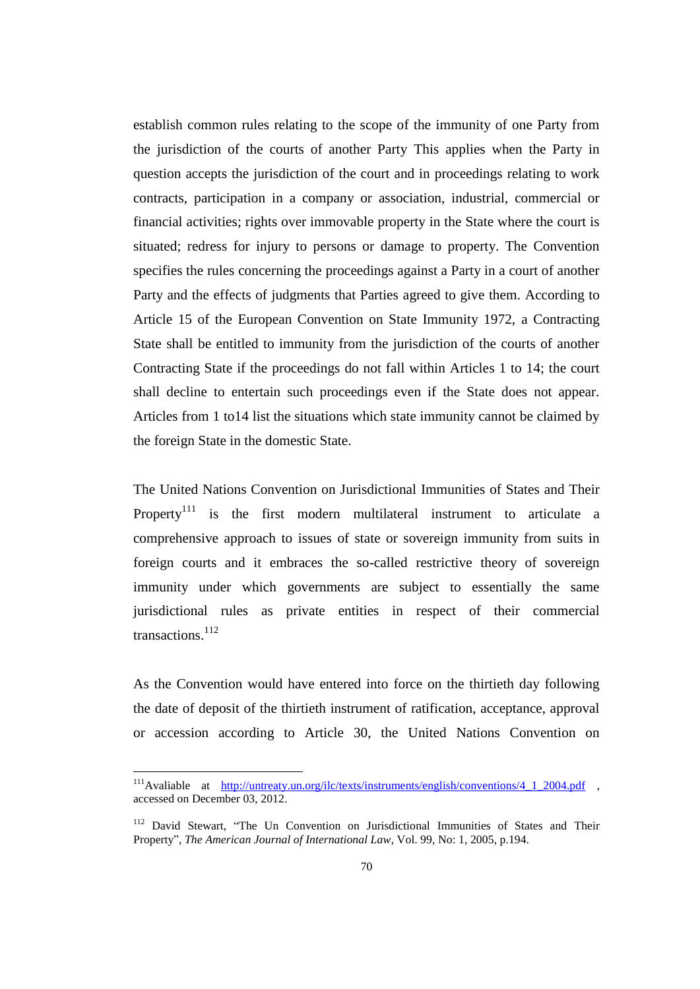establish common rules relating to the scope of the immunity of one Party from the jurisdiction of the courts of another Party This applies when the Party in question accepts the jurisdiction of the court and in proceedings relating to work contracts, participation in a company or association, industrial, commercial or financial activities; rights over immovable property in the State where the court is situated; redress for injury to persons or damage to property. The Convention specifies the rules concerning the proceedings against a Party in a court of another Party and the effects of judgments that Parties agreed to give them. According to Article 15 of the European Convention on State Immunity 1972, a Contracting State shall be entitled to immunity from the jurisdiction of the courts of another Contracting State if the proceedings do not fall within Articles 1 to 14; the court shall decline to entertain such proceedings even if the State does not appear. Articles from 1 to14 list the situations which state immunity cannot be claimed by the foreign State in the domestic State.

The United Nations Convention on Jurisdictional Immunities of States and Their Property<sup>111</sup> is the first modern multilateral instrument to articulate a comprehensive approach to issues of state or sovereign immunity from suits in foreign courts and it embraces the so-called restrictive theory of sovereign immunity under which governments are subject to essentially the same jurisdictional rules as private entities in respect of their commercial transactions.<sup>112</sup>

As the Convention would have entered into force on the thirtieth day following the date of deposit of the thirtieth instrument of ratification, acceptance, approval or accession according to Article 30, the United Nations Convention on

<sup>&</sup>lt;sup>111</sup>Avaliable at <u>http://untreaty.un.org/ilc/texts/instruments/english/conventions/4 1 2004.pdf</u> , accessed on December 03, 2012.

<sup>&</sup>lt;sup>112</sup> David Stewart, "The Un Convention on Jurisdictional Immunities of States and Their Property", *The American Journal of International Law*, Vol. 99, No: 1, 2005, p.194.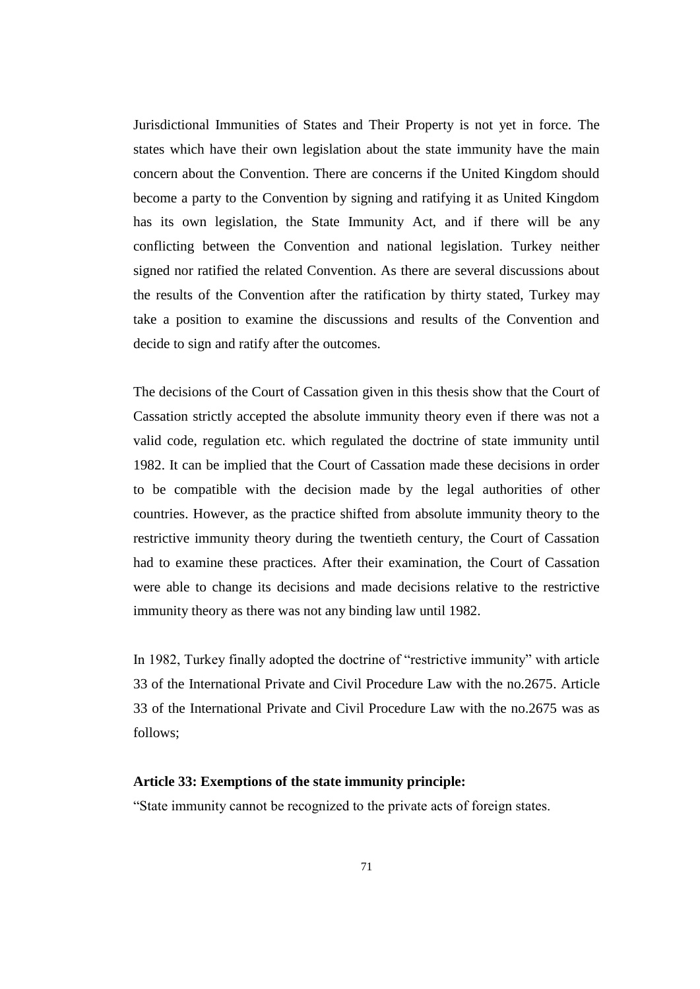Jurisdictional Immunities of States and Their Property is not yet in force. The states which have their own legislation about the state immunity have the main concern about the Convention. There are concerns if the United Kingdom should become a party to the Convention by signing and ratifying it as United Kingdom has its own legislation, the State Immunity Act, and if there will be any conflicting between the Convention and national legislation. Turkey neither signed nor ratified the related Convention. As there are several discussions about the results of the Convention after the ratification by thirty stated, Turkey may take a position to examine the discussions and results of the Convention and decide to sign and ratify after the outcomes.

The decisions of the Court of Cassation given in this thesis show that the Court of Cassation strictly accepted the absolute immunity theory even if there was not a valid code, regulation etc. which regulated the doctrine of state immunity until 1982. It can be implied that the Court of Cassation made these decisions in order to be compatible with the decision made by the legal authorities of other countries. However, as the practice shifted from absolute immunity theory to the restrictive immunity theory during the twentieth century, the Court of Cassation had to examine these practices. After their examination, the Court of Cassation were able to change its decisions and made decisions relative to the restrictive immunity theory as there was not any binding law until 1982.

In 1982, Turkey finally adopted the doctrine of "restrictive immunity" with article 33 of the International Private and Civil Procedure Law with the no.2675. Article 33 of the International Private and Civil Procedure Law with the no.2675 was as follows;

#### **Article 33: Exemptions of the state immunity principle:**

"State immunity cannot be recognized to the private acts of foreign states.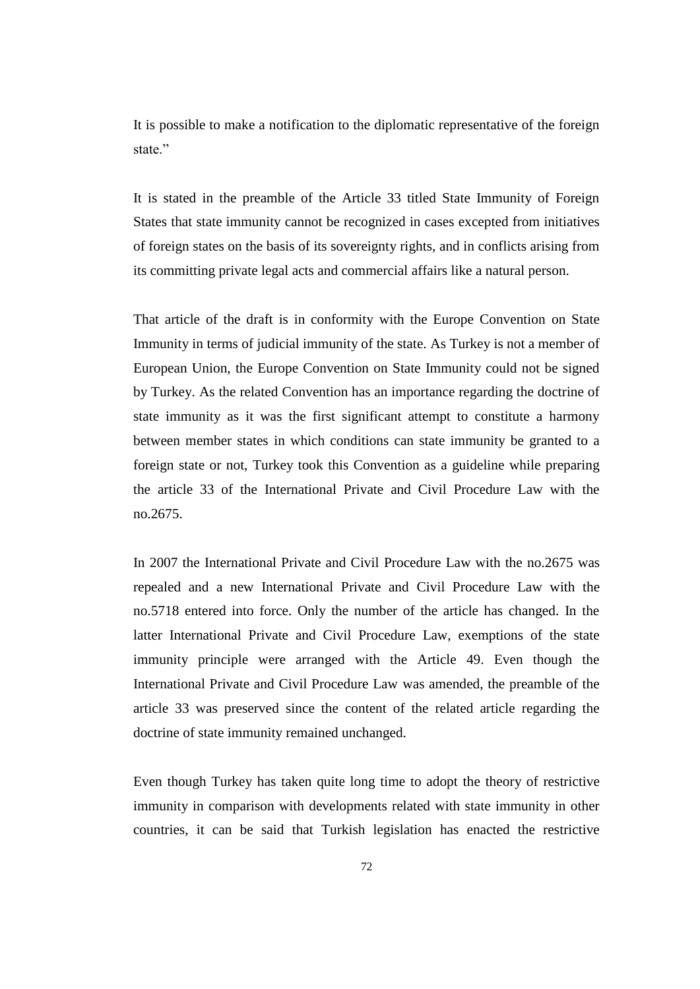It is possible to make a notification to the diplomatic representative of the foreign state."

It is stated in the preamble of the Article 33 titled State Immunity of Foreign States that state immunity cannot be recognized in cases excepted from initiatives of foreign states on the basis of its sovereignty rights, and in conflicts arising from its committing private legal acts and commercial affairs like a natural person.

That article of the draft is in conformity with the Europe Convention on State Immunity in terms of judicial immunity of the state. As Turkey is not a member of European Union, the Europe Convention on State Immunity could not be signed by Turkey. As the related Convention has an importance regarding the doctrine of state immunity as it was the first significant attempt to constitute a harmony between member states in which conditions can state immunity be granted to a foreign state or not, Turkey took this Convention as a guideline while preparing the article 33 of the International Private and Civil Procedure Law with the no.2675.

In 2007 the International Private and Civil Procedure Law with the no.2675 was repealed and a new International Private and Civil Procedure Law with the no.5718 entered into force. Only the number of the article has changed. In the latter International Private and Civil Procedure Law, exemptions of the state immunity principle were arranged with the Article 49. Even though the International Private and Civil Procedure Law was amended, the preamble of the article 33 was preserved since the content of the related article regarding the doctrine of state immunity remained unchanged.

Even though Turkey has taken quite long time to adopt the theory of restrictive immunity in comparison with developments related with state immunity in other countries, it can be said that Turkish legislation has enacted the restrictive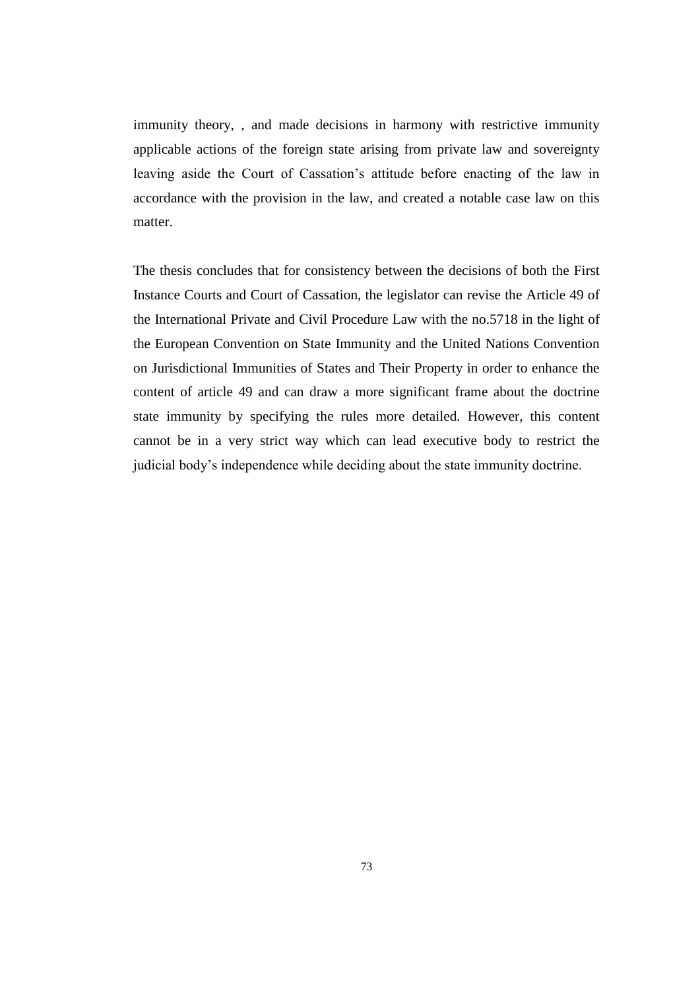immunity theory, , and made decisions in harmony with restrictive immunity applicable actions of the foreign state arising from private law and sovereignty leaving aside the Court of Cassation's attitude before enacting of the law in accordance with the provision in the law, and created a notable case law on this matter.

The thesis concludes that for consistency between the decisions of both the First Instance Courts and Court of Cassation, the legislator can revise the Article 49 of the International Private and Civil Procedure Law with the no.5718 in the light of the European Convention on State Immunity and the United Nations Convention on Jurisdictional Immunities of States and Their Property in order to enhance the content of article 49 and can draw a more significant frame about the doctrine state immunity by specifying the rules more detailed. However, this content cannot be in a very strict way which can lead executive body to restrict the judicial body's independence while deciding about the state immunity doctrine.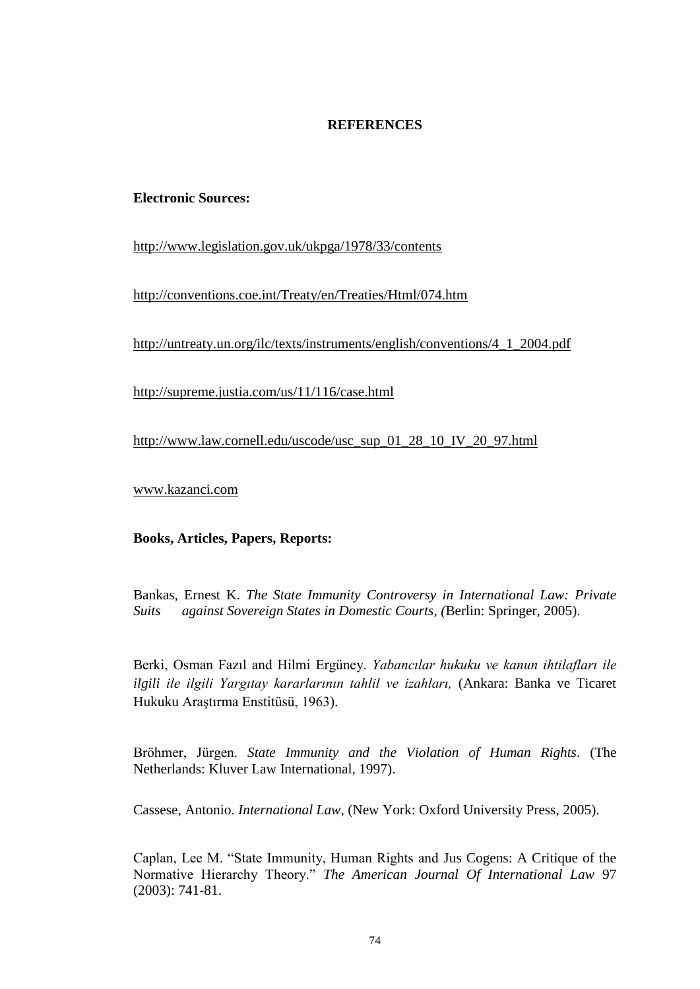## **REFERENCES**

## **Electronic Sources:**

<http://www.legislation.gov.uk/ukpga/1978/33/contents>

<http://conventions.coe.int/Treaty/en/Treaties/Html/074.htm>

[http://untreaty.un.org/ilc/texts/instruments/english/conventions/4\\_1\\_2004.pdf](http://untreaty.un.org/ilc/texts/instruments/english/conventions/4_1_2004.pdf)

<http://supreme.justia.com/us/11/116/case.html>

[http://www.law.cornell.edu/uscode/usc\\_sup\\_01\\_28\\_10\\_IV\\_20\\_97.html](http://www.law.cornell.edu/uscode/usc_sup_01_28_10_IV_20_97.html)

[www.kazanci.com](http://www.kazanci.com/)

## **Books, Articles, Papers, Reports:**

Bankas, Ernest K. *The State Immunity Controversy in International Law: Private Suits against Sovereign States in Domestic Courts, (*Berlin: Springer, 2005).

Berki, Osman Fazıl and Hilmi Ergüney. *Yabancılar hukuku ve kanun ihtilafları ile ilgili ile ilgili Yargıtay kararlarının tahlil ve izahları,* (Ankara: Banka ve Ticaret Hukuku Araştırma Enstitüsü, 1963).

Bröhmer, Jürgen. *State Immunity and the Violation of Human Rights*. (The Netherlands: Kluver Law International, 1997).

Cassese, Antonio. *International Law*, (New York: Oxford University Press, 2005).

Caplan, Lee M. "State Immunity, Human Rights and Jus Cogens: A Critique of the Normative Hierarchy Theory." *The American Journal Of International Law* 97 (2003): 741-81.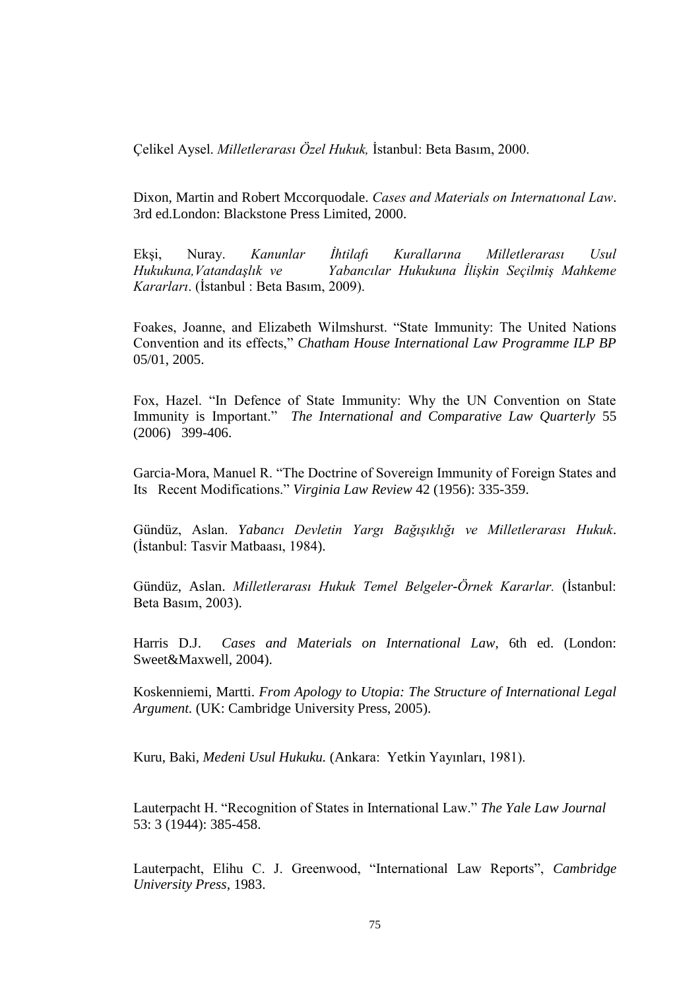Çelikel Aysel. *Milletlerarası Özel Hukuk,* İstanbul: Beta Basım, 2000.

Dixon, Martin and Robert Mccorquodale. *Cases and Materials on Internatıonal Law*. 3rd ed.London: Blackstone Press Limited, 2000.

Ekşi, Nuray. *Kanunlar İhtilafı Kurallarına Milletlerarası Usul Hukukuna,Vatandaşlık ve Yabancılar Hukukuna İlişkin Seçilmiş Mahkeme Kararları*. (İstanbul : Beta Basım, 2009).

Foakes, Joanne, and Elizabeth Wilmshurst. "State Immunity: The United Nations Convention and its effects," *Chatham House International Law Programme ILP BP* 05/01, 2005.

Fox, Hazel. "In Defence of State Immunity: Why the UN Convention on State Immunity is Important." *The International and Comparative Law Quarterly* 55 (2006) 399-406.

Garcia-Mora, Manuel R. "The Doctrine of Sovereign Immunity of Foreign States and Its Recent Modifications." *Virginia Law Review* 42 (1956): 335-359.

Gündüz, Aslan. *Yabancı Devletin Yargı Bağışıklığı ve Milletlerarası Hukuk*. (İstanbul: Tasvir Matbaası, 1984).

Gündüz, Aslan. *Milletlerarası Hukuk Temel Belgeler-Örnek Kararlar.* (İstanbul: Beta Basım, 2003).

Harris D.J. *Cases and Materials on International Law,* 6th ed. (London: Sweet&Maxwell, 2004).

Koskenniemi, Martti. *From Apology to Utopia: The Structure of International Legal Argument.* (UK: Cambridge University Press, 2005).

Kuru, Baki, *Medeni Usul Hukuku.* (Ankara: Yetkin Yayınları, 1981).

Lauterpacht H. "Recognition of States in International Law." *The Yale Law Journal* 53: 3 (1944): 385-458.

Lauterpacht, Elihu C. J. Greenwood, "International Law Reports", *Cambridge University Press,* 1983.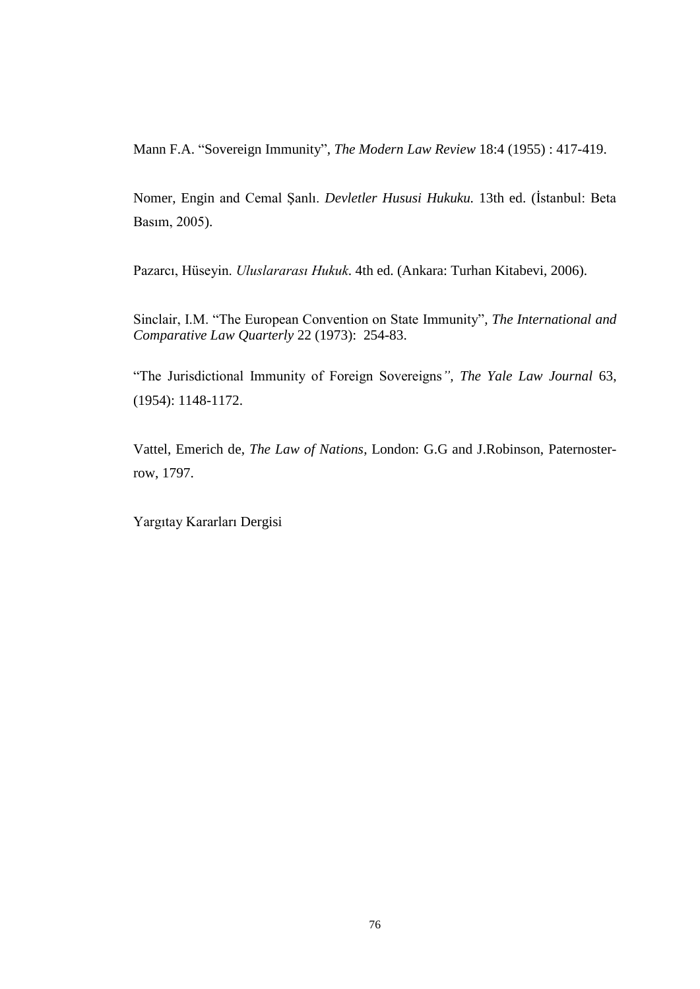Mann F.A. "Sovereign Immunity", *The Modern Law Review* 18:4 (1955) : 417-419.

Nomer, Engin and Cemal Şanlı. *Devletler Hususi Hukuku.* 13th ed. (İstanbul: Beta Basım, 2005).

Pazarcı, Hüseyin. *Uluslararası Hukuk*. 4th ed. (Ankara: Turhan Kitabevi, 2006).

Sinclair, I.M. "The European Convention on State Immunity"*, The International and Comparative Law Quarterly* 22 (1973): 254-83.

"The Jurisdictional Immunity of Foreign Sovereigns*", The Yale Law Journal* 63, (1954): 1148-1172.

Vattel, Emerich de, *The Law of Nations*, London: G.G and J.Robinson, Paternosterrow, 1797.

Yargıtay Kararları Dergisi